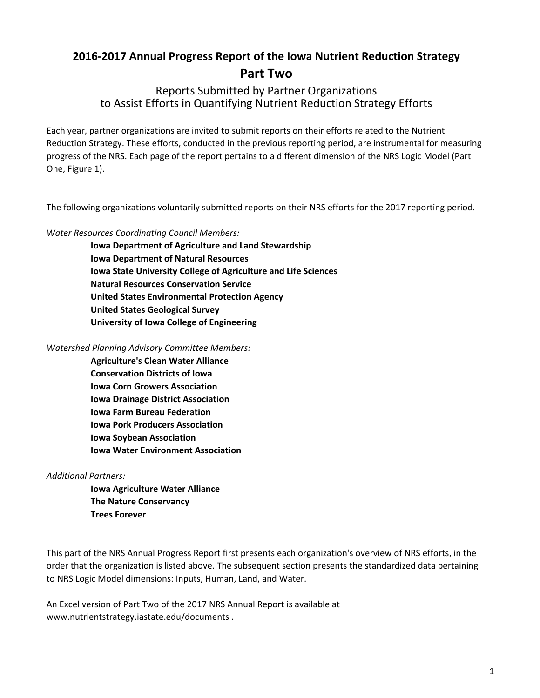# **2016-2017 Annual Progress Report of the Iowa Nutrient Reduction Strategy Part Two**

## Reports Submitted by Partner Organizations to Assist Efforts in Quantifying Nutrient Reduction Strategy Efforts

Each year, partner organizations are invited to submit reports on their efforts related to the Nutrient Reduction Strategy. These efforts, conducted in the previous reporting period, are instrumental for measuring progress of the NRS. Each page of the report pertains to a different dimension of the NRS Logic Model (Part One, Figure 1).

The following organizations voluntarily submitted reports on their NRS efforts for the 2017 reporting period.

### *Water Resources Coordinating Council Members:*

**Iowa Department of Agriculture and Land Stewardship Iowa Department of Natural Resources Iowa State University College of Agriculture and Life Sciences Natural Resources Conservation Service United States Environmental Protection Agency United States Geological Survey University of Iowa College of Engineering**

*Watershed Planning Advisory Committee Members:*

**Agriculture's Clean Water Alliance Conservation Districts of Iowa Iowa Corn Growers Association Iowa Drainage District Association Iowa Farm Bureau Federation Iowa Pork Producers Association Iowa Soybean Association Iowa Water Environment Association**

### *Additional Partners:*

**Iowa Agriculture Water Alliance The Nature Conservancy Trees Forever**

This part of the NRS Annual Progress Report first presents each organization's overview of NRS efforts, in the order that the organization is listed above. The subsequent section presents the standardized data pertaining to NRS Logic Model dimensions: Inputs, Human, Land, and Water.

An Excel version of Part Two of the 2017 NRS Annual Report is available at www.nutrientstrategy.iastate.edu/documents .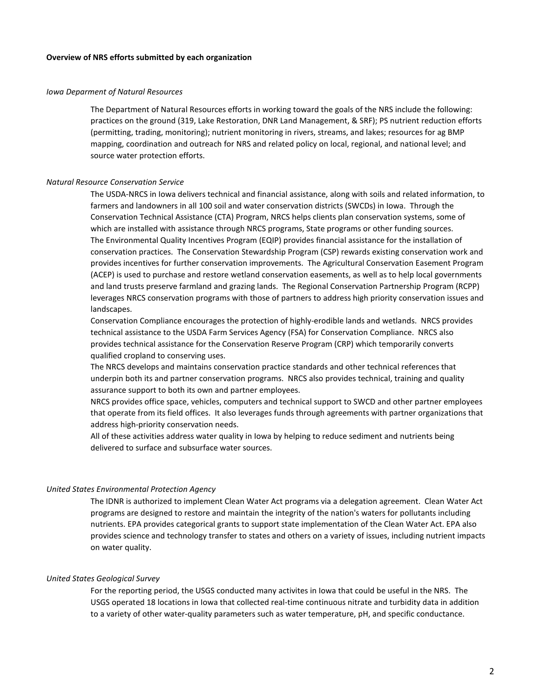#### **Overview of NRS efforts submitted by each organization**

#### *Iowa Deparment of Natural Resources*

The Department of Natural Resources efforts in working toward the goals of the NRS include the following: practices on the ground (319, Lake Restoration, DNR Land Management, & SRF); PS nutrient reduction efforts (permitting, trading, monitoring); nutrient monitoring in rivers, streams, and lakes; resources for ag BMP mapping, coordination and outreach for NRS and related policy on local, regional, and national level; and source water protection efforts.

#### *Natural Resource Conservation Service*

The USDA-NRCS in Iowa delivers technical and financial assistance, along with soils and related information, to farmers and landowners in all 100 soil and water conservation districts (SWCDs) in Iowa. Through the Conservation Technical Assistance (CTA) Program, NRCS helps clients plan conservation systems, some of which are installed with assistance through NRCS programs, State programs or other funding sources. The Environmental Quality Incentives Program (EQIP) provides financial assistance for the installation of conservation practices. The Conservation Stewardship Program (CSP) rewards existing conservation work and provides incentives for further conservation improvements. The Agricultural Conservation Easement Program (ACEP) is used to purchase and restore wetland conservation easements, as well as to help local governments and land trusts preserve farmland and grazing lands. The Regional Conservation Partnership Program (RCPP) leverages NRCS conservation programs with those of partners to address high priority conservation issues and landscapes.

Conservation Compliance encourages the protection of highly-erodible lands and wetlands. NRCS provides technical assistance to the USDA Farm Services Agency (FSA) for Conservation Compliance. NRCS also provides technical assistance for the Conservation Reserve Program (CRP) which temporarily converts qualified cropland to conserving uses.

The NRCS develops and maintains conservation practice standards and other technical references that underpin both its and partner conservation programs. NRCS also provides technical, training and quality assurance support to both its own and partner employees.

NRCS provides office space, vehicles, computers and technical support to SWCD and other partner employees that operate from its field offices. It also leverages funds through agreements with partner organizations that address high-priority conservation needs.

All of these activities address water quality in Iowa by helping to reduce sediment and nutrients being delivered to surface and subsurface water sources.

#### *United States Environmental Protection Agency*

The IDNR is authorized to implement Clean Water Act programs via a delegation agreement. Clean Water Act programs are designed to restore and maintain the integrity of the nation's waters for pollutants including nutrients. EPA provides categorical grants to support state implementation of the Clean Water Act. EPA also provides science and technology transfer to states and others on a variety of issues, including nutrient impacts on water quality.

#### *United States Geological Survey*

For the reporting period, the USGS conducted many activites in Iowa that could be useful in the NRS. The USGS operated 18 locations in Iowa that collected real-time continuous nitrate and turbidity data in addition to a variety of other water-quality parameters such as water temperature, pH, and specific conductance.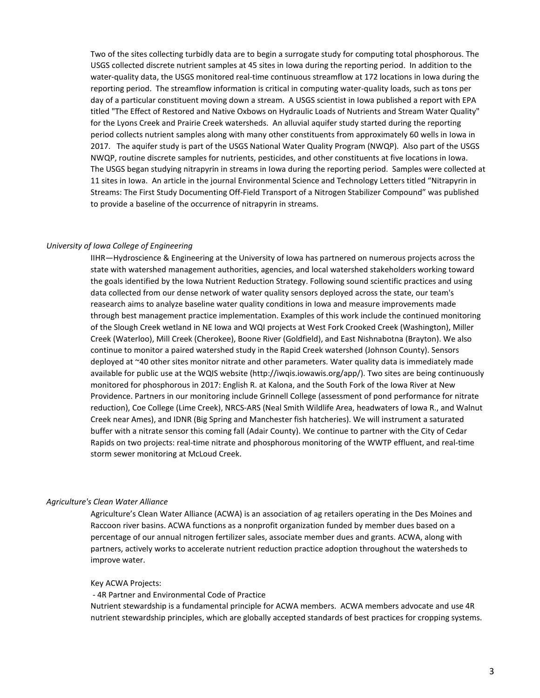Two of the sites collecting turbidly data are to begin a surrogate study for computing total phosphorous. The USGS collected discrete nutrient samples at 45 sites in Iowa during the reporting period. In addition to the water-quality data, the USGS monitored real-time continuous streamflow at 172 locations in Iowa during the reporting period. The streamflow information is critical in computing water-quality loads, such as tons per day of a particular constituent moving down a stream. A USGS scientist in Iowa published a report with EPA titled "The Effect of Restored and Native Oxbows on Hydraulic Loads of Nutrients and Stream Water Quality" for the Lyons Creek and Prairie Creek watersheds. An alluvial aquifer study started during the reporting period collects nutrient samples along with many other constituents from approximately 60 wells in Iowa in 2017. The aquifer study is part of the USGS National Water Quality Program (NWQP). Also part of the USGS NWQP, routine discrete samples for nutrients, pesticides, and other constituents at five locations in Iowa. The USGS began studying nitrapyrin in streams in Iowa during the reporting period. Samples were collected at 11 sites in Iowa. An article in the journal Environmental Science and Technology Letters titled "Nitrapyrin in Streams: The First Study Documenting Off-Field Transport of a Nitrogen Stabilizer Compound" was published to provide a baseline of the occurrence of nitrapyrin in streams.

#### *University of Iowa College of Engineering*

IIHR—Hydroscience & Engineering at the University of Iowa has partnered on numerous projects across the state with watershed management authorities, agencies, and local watershed stakeholders working toward the goals identified by the Iowa Nutrient Reduction Strategy. Following sound scientific practices and using data collected from our dense network of water quality sensors deployed across the state, our team's reasearch aims to analyze baseline water quality conditions in Iowa and measure improvements made through best management practice implementation. Examples of this work include the continued monitoring of the Slough Creek wetland in NE Iowa and WQI projects at West Fork Crooked Creek (Washington), Miller Creek (Waterloo), Mill Creek (Cherokee), Boone River (Goldfield), and East Nishnabotna (Brayton). We also continue to monitor a paired watershed study in the Rapid Creek watershed (Johnson County). Sensors deployed at ~40 other sites monitor nitrate and other parameters. Water quality data is immediately made available for public use at the WQIS website (http://iwqis.iowawis.org/app/). Two sites are being continuously monitored for phosphorous in 2017: English R. at Kalona, and the South Fork of the Iowa River at New Providence. Partners in our monitoring include Grinnell College (assessment of pond performance for nitrate reduction), Coe College (Lime Creek), NRCS-ARS (Neal Smith Wildlife Area, headwaters of Iowa R., and Walnut Creek near Ames), and IDNR (Big Spring and Manchester fish hatcheries). We will instrument a saturated buffer with a nitrate sensor this coming fall (Adair County). We continue to partner with the City of Cedar Rapids on two projects: real-time nitrate and phosphorous monitoring of the WWTP effluent, and real-time storm sewer monitoring at McLoud Creek.

#### *Agriculture's Clean Water Alliance*

Agriculture's Clean Water Alliance (ACWA) is an association of ag retailers operating in the Des Moines and Raccoon river basins. ACWA functions as a nonprofit organization funded by member dues based on a percentage of our annual nitrogen fertilizer sales, associate member dues and grants. ACWA, along with partners, actively works to accelerate nutrient reduction practice adoption throughout the watersheds to improve water.

#### Key ACWA Projects:

- 4R Partner and Environmental Code of Practice

Nutrient stewardship is a fundamental principle for ACWA members. ACWA members advocate and use 4R nutrient stewardship principles, which are globally accepted standards of best practices for cropping systems.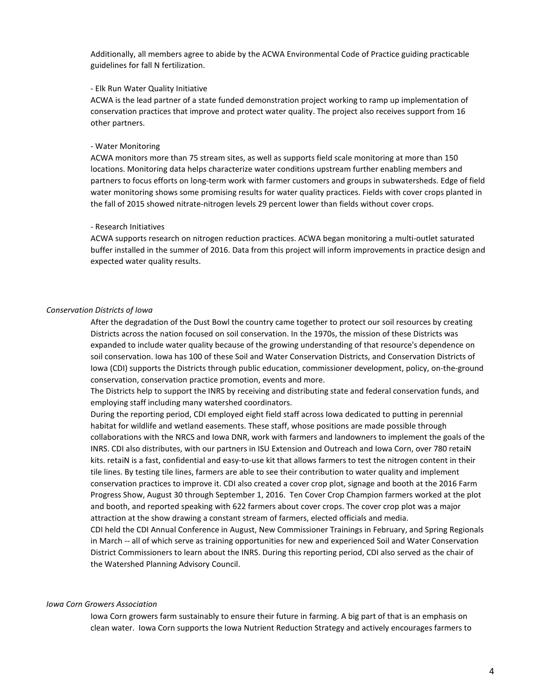Additionally, all members agree to abide by the ACWA Environmental Code of Practice guiding practicable guidelines for fall N fertilization.

#### - Elk Run Water Quality Initiative

ACWA is the lead partner of a state funded demonstration project working to ramp up implementation of conservation practices that improve and protect water quality. The project also receives support from 16 other partners.

#### - Water Monitoring

ACWA monitors more than 75 stream sites, as well as supports field scale monitoring at more than 150 locations. Monitoring data helps characterize water conditions upstream further enabling members and partners to focus efforts on long-term work with farmer customers and groups in subwatersheds. Edge of field water monitoring shows some promising results for water quality practices. Fields with cover crops planted in the fall of 2015 showed nitrate-nitrogen levels 29 percent lower than fields without cover crops.

#### - Research Initiatives

ACWA supports research on nitrogen reduction practices. ACWA began monitoring a multi-outlet saturated buffer installed in the summer of 2016. Data from this project will inform improvements in practice design and expected water quality results.

#### *Conservation Districts of Iowa*

After the degradation of the Dust Bowl the country came together to protect our soil resources by creating Districts across the nation focused on soil conservation. In the 1970s, the mission of these Districts was expanded to include water quality because of the growing understanding of that resource's dependence on soil conservation. Iowa has 100 of these Soil and Water Conservation Districts, and Conservation Districts of Iowa (CDI) supports the Districts through public education, commissioner development, policy, on-the-ground conservation, conservation practice promotion, events and more.

The Districts help to support the INRS by receiving and distributing state and federal conservation funds, and employing staff including many watershed coordinators.

During the reporting period, CDI employed eight field staff across Iowa dedicated to putting in perennial habitat for wildlife and wetland easements. These staff, whose positions are made possible through collaborations with the NRCS and Iowa DNR, work with farmers and landowners to implement the goals of the INRS. CDI also distributes, with our partners in ISU Extension and Outreach and Iowa Corn, over 780 retaiN kits. retaiN is a fast, confidential and easy-to-use kit that allows farmers to test the nitrogen content in their tile lines. By testing tile lines, farmers are able to see their contribution to water quality and implement conservation practices to improve it. CDI also created a cover crop plot, signage and booth at the 2016 Farm Progress Show, August 30 through September 1, 2016. Ten Cover Crop Champion farmers worked at the plot and booth, and reported speaking with 622 farmers about cover crops. The cover crop plot was a major attraction at the show drawing a constant stream of farmers, elected officials and media.

CDI held the CDI Annual Conference in August, New Commissioner Trainings in February, and Spring Regionals in March -- all of which serve as training opportunities for new and experienced Soil and Water Conservation District Commissioners to learn about the INRS. During this reporting period, CDI also served as the chair of the Watershed Planning Advisory Council.

#### *Iowa Corn Growers Association*

Iowa Corn growers farm sustainably to ensure their future in farming. A big part of that is an emphasis on clean water. Iowa Corn supports the Iowa Nutrient Reduction Strategy and actively encourages farmers to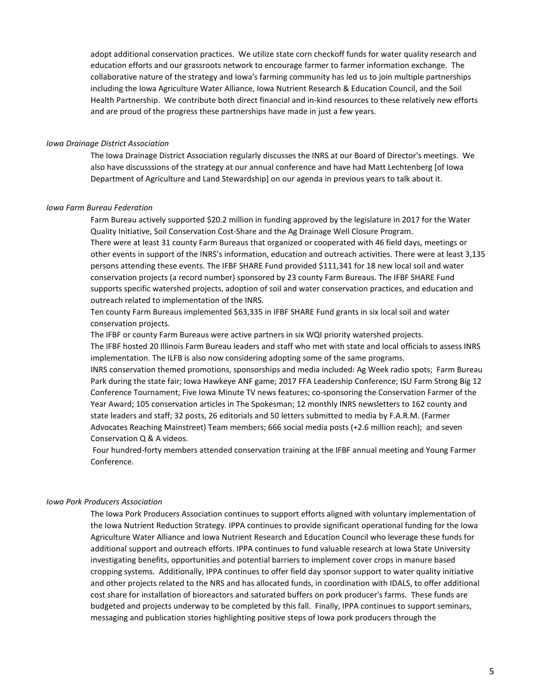adopt additional conservation practices. We utilize state corn checkoff funds for water quality research and education efforts and our grassroots network to encourage farmer to farmer information exchange. The collaborative nature of the strategy and Iowa's farming community has led us to join multiple partnerships including the Iowa Agriculture Water Alliance, Iowa Nutrient Research & Education Council, and the Soil Health Partnership. We contribute both direct financial and in-kind resources to these relatively new efforts and are proud of the progress these partnerships have made in just a few years.

#### *Iowa Drainage District Association*

The Iowa Drainage District Association regularly discusses the INRS at our Board of Director's meetings. We also have discusssions of the strategy at our annual conference and have had Matt Lechtenberg [of Iowa Department of Agriculture and Land Stewardship] on our agenda in previous years to talk about it.

#### *Iowa Farm Bureau Federation*

Farm Bureau actively supported \$20.2 million in funding approved by the legislature in 2017 for the Water Quality Initiative, Soil Conservation Cost-Share and the Ag Drainage Well Closure Program.

There were at least 31 county Farm Bureaus that organized or cooperated with 46 field days, meetings or other events in support of the INRS's information, education and outreach activities. There were at least 3,135 persons attending these events. The IFBF SHARE Fund provided \$111,341 for 18 new local soil and water conservation projects (a record number) sponsored by 23 county Farm Bureaus. The IFBF SHARE Fund supports specific watershed projects, adoption of soil and water conservation practices, and education and outreach related to implementation of the INRS.

Ten county Farm Bureaus implemented \$63,335 in IFBF SHARE Fund grants in six local soil and water conservation projects.

The IFBF or county Farm Bureaus were active partners in six WQI priority watershed projects. The IFBF hosted 20 Illinois Farm Bureau leaders and staff who met with state and local officials to assess INRS implementation. The ILFB is also now considering adopting some of the same programs.

INRS conservation themed promotions, sponsorships and media included: Ag Week radio spots; Farm Bureau Park during the state fair; Iowa Hawkeye ANF game; 2017 FFA Leadership Conference; ISU Farm Strong Big 12 Conference Tournament; Five Iowa Minute TV news features; co-sponsoring the Conservation Farmer of the Year Award; 105 conservation articles in The Spokesman; 12 monthly INRS newsletters to 162 county and state leaders and staff; 32 posts, 26 editorials and 50 letters submitted to media by F.A.R.M. (Farmer Advocates Reaching Mainstreet) Team members; 666 social media posts (+2.6 million reach); and seven Conservation Q & A videos.

 Four hundred-forty members attended conservation training at the IFBF annual meeting and Young Farmer Conference.

#### *Iowa Pork Producers Association*

The Iowa Pork Producers Association continues to support efforts aligned with voluntary implementation of the Iowa Nutrient Reduction Strategy. IPPA continues to provide significant operational funding for the Iowa Agriculture Water Alliance and Iowa Nutrient Research and Education Council who leverage these funds for additional support and outreach efforts. IPPA continues to fund valuable research at Iowa State University investigating benefits, opportunities and potential barriers to implement cover crops in manure based cropping systems. Additionally, IPPA continues to offer field day sponsor support to water quality initiative and other projects related to the NRS and has allocated funds, in coordination with IDALS, to offer additional cost share for installation of bioreactors and saturated buffers on pork producer's farms. These funds are budgeted and projects underway to be completed by this fall. Finally, IPPA continues to support seminars, messaging and publication stories highlighting positive steps of Iowa pork producers through the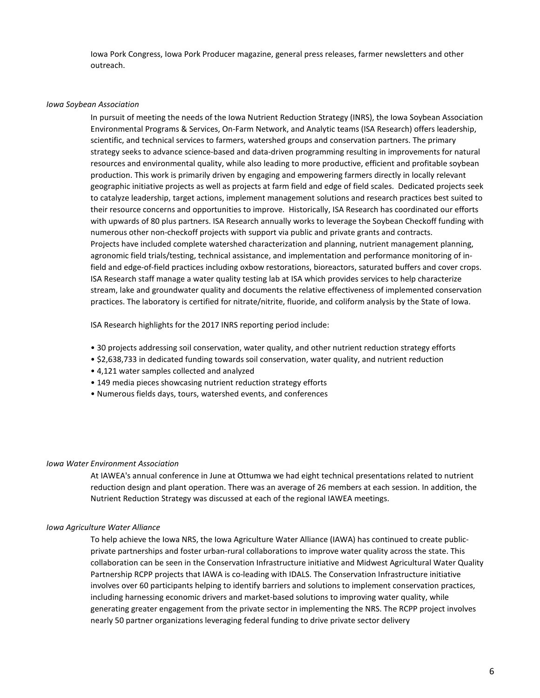Iowa Pork Congress, Iowa Pork Producer magazine, general press releases, farmer newsletters and other outreach.

#### *Iowa Soybean Association*

In pursuit of meeting the needs of the Iowa Nutrient Reduction Strategy (INRS), the Iowa Soybean Association Environmental Programs & Services, On-Farm Network, and Analytic teams (ISA Research) offers leadership, scientific, and technical services to farmers, watershed groups and conservation partners. The primary strategy seeks to advance science-based and data-driven programming resulting in improvements for natural resources and environmental quality, while also leading to more productive, efficient and profitable soybean production. This work is primarily driven by engaging and empowering farmers directly in locally relevant geographic initiative projects as well as projects at farm field and edge of field scales. Dedicated projects seek to catalyze leadership, target actions, implement management solutions and research practices best suited to their resource concerns and opportunities to improve. Historically, ISA Research has coordinated our efforts with upwards of 80 plus partners. ISA Research annually works to leverage the Soybean Checkoff funding with numerous other non-checkoff projects with support via public and private grants and contracts. Projects have included complete watershed characterization and planning, nutrient management planning, agronomic field trials/testing, technical assistance, and implementation and performance monitoring of infield and edge-of-field practices including oxbow restorations, bioreactors, saturated buffers and cover crops. ISA Research staff manage a water quality testing lab at ISA which provides services to help characterize stream, lake and groundwater quality and documents the relative effectiveness of implemented conservation practices. The laboratory is certified for nitrate/nitrite, fluoride, and coliform analysis by the State of Iowa.

ISA Research highlights for the 2017 INRS reporting period include:

- 30 projects addressing soil conservation, water quality, and other nutrient reduction strategy efforts
- \$2,638,733 in dedicated funding towards soil conservation, water quality, and nutrient reduction
- 4,121 water samples collected and analyzed
- 149 media pieces showcasing nutrient reduction strategy efforts
- Numerous fields days, tours, watershed events, and conferences

#### *Iowa Water Environment Association*

At IAWEA's annual conference in June at Ottumwa we had eight technical presentations related to nutrient reduction design and plant operation. There was an average of 26 members at each session. In addition, the Nutrient Reduction Strategy was discussed at each of the regional IAWEA meetings.

#### *Iowa Agriculture Water Alliance*

To help achieve the Iowa NRS, the Iowa Agriculture Water Alliance (IAWA) has continued to create publicprivate partnerships and foster urban-rural collaborations to improve water quality across the state. This collaboration can be seen in the Conservation Infrastructure initiative and Midwest Agricultural Water Quality Partnership RCPP projects that IAWA is co-leading with IDALS. The Conservation Infrastructure initiative involves over 60 participants helping to identify barriers and solutions to implement conservation practices, including harnessing economic drivers and market-based solutions to improving water quality, while generating greater engagement from the private sector in implementing the NRS. The RCPP project involves nearly 50 partner organizations leveraging federal funding to drive private sector delivery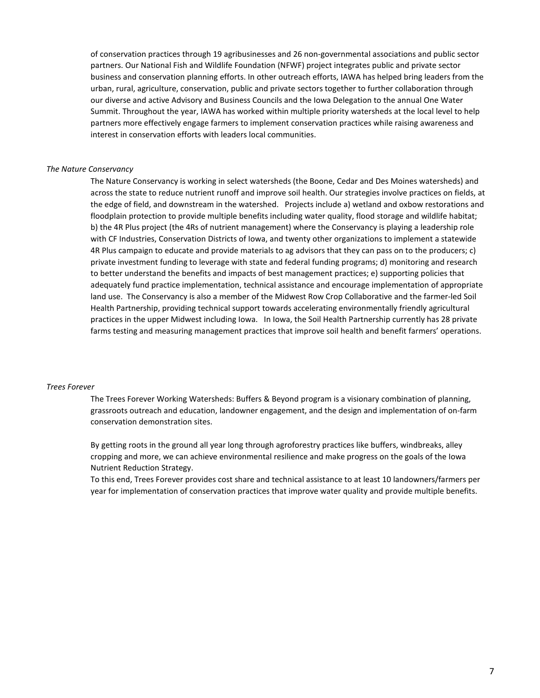of conservation practices through 19 agribusinesses and 26 non-governmental associations and public sector partners. Our National Fish and Wildlife Foundation (NFWF) project integrates public and private sector business and conservation planning efforts. In other outreach efforts, IAWA has helped bring leaders from the urban, rural, agriculture, conservation, public and private sectors together to further collaboration through our diverse and active Advisory and Business Councils and the Iowa Delegation to the annual One Water Summit. Throughout the year, IAWA has worked within multiple priority watersheds at the local level to help partners more effectively engage farmers to implement conservation practices while raising awareness and interest in conservation efforts with leaders local communities.

#### *The Nature Conservancy*

The Nature Conservancy is working in select watersheds (the Boone, Cedar and Des Moines watersheds) and across the state to reduce nutrient runoff and improve soil health. Our strategies involve practices on fields, at the edge of field, and downstream in the watershed. Projects include a) wetland and oxbow restorations and floodplain protection to provide multiple benefits including water quality, flood storage and wildlife habitat; b) the 4R Plus project (the 4Rs of nutrient management) where the Conservancy is playing a leadership role with CF Industries, Conservation Districts of Iowa, and twenty other organizations to implement a statewide 4R Plus campaign to educate and provide materials to ag advisors that they can pass on to the producers; c) private investment funding to leverage with state and federal funding programs; d) monitoring and research to better understand the benefits and impacts of best management practices; e) supporting policies that adequately fund practice implementation, technical assistance and encourage implementation of appropriate land use. The Conservancy is also a member of the Midwest Row Crop Collaborative and the farmer-led Soil Health Partnership, providing technical support towards accelerating environmentally friendly agricultural practices in the upper Midwest including Iowa. In Iowa, the Soil Health Partnership currently has 28 private farms testing and measuring management practices that improve soil health and benefit farmers' operations.

#### *Trees Forever*

The Trees Forever Working Watersheds: Buffers & Beyond program is a visionary combination of planning, grassroots outreach and education, landowner engagement, and the design and implementation of on-farm conservation demonstration sites.

By getting roots in the ground all year long through agroforestry practices like buffers, windbreaks, alley cropping and more, we can achieve environmental resilience and make progress on the goals of the Iowa Nutrient Reduction Strategy.

To this end, Trees Forever provides cost share and technical assistance to at least 10 landowners/farmers per year for implementation of conservation practices that improve water quality and provide multiple benefits.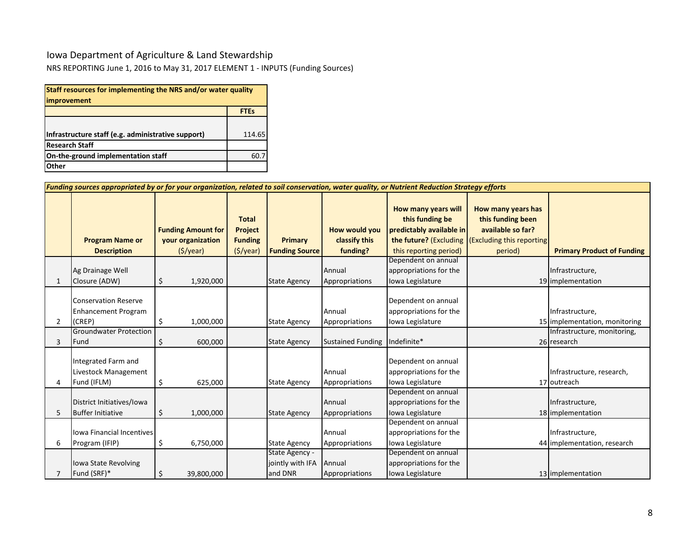## Iowa Department of Agriculture & Land Stewardship

NRS REPORTING June 1, 2016 to May 31, 2017 ELEMENT 1 - INPUTS (Funding Sources)

| Staff resources for implementing the NRS and/or water quality |             |  |  |  |  |  |
|---------------------------------------------------------------|-------------|--|--|--|--|--|
| improvement                                                   |             |  |  |  |  |  |
|                                                               | <b>FTEs</b> |  |  |  |  |  |
|                                                               |             |  |  |  |  |  |
| Infrastructure staff (e.g. administrative support)            | 114.65      |  |  |  |  |  |
| <b>Research Staff</b>                                         |             |  |  |  |  |  |
| On-the-ground implementation staff                            | 60.7        |  |  |  |  |  |
| Other                                                         |             |  |  |  |  |  |

|             | Funding sources appropriated by or for your organization, related to soil conservation, water quality, or Nutrient Reduction Strategy efforts |                                                                           |                                                              |                                               |                                                   |                                                                                                                        |                                                                                                      |                                                                                 |
|-------------|-----------------------------------------------------------------------------------------------------------------------------------------------|---------------------------------------------------------------------------|--------------------------------------------------------------|-----------------------------------------------|---------------------------------------------------|------------------------------------------------------------------------------------------------------------------------|------------------------------------------------------------------------------------------------------|---------------------------------------------------------------------------------|
|             | <b>Program Name or</b><br><b>Description</b>                                                                                                  | <b>Funding Amount for</b><br>your organization<br>$(\frac{1}{2})\sqrt{2}$ | <b>Total</b><br>Project<br><b>Funding</b><br>$($ \$/year $)$ | Primary<br><b>Funding Source</b>              | <b>How would you</b><br>classify this<br>funding? | How many years will<br>this funding be<br>predictably available in<br>the future? (Excluding<br>this reporting period) | How many years has<br>this funding been<br>available so far?<br>(Excluding this reporting<br>period) | <b>Primary Product of Funding</b>                                               |
| $\mathbf 1$ | Ag Drainage Well<br>Closure (ADW)                                                                                                             | \$<br>1,920,000                                                           |                                                              | <b>State Agency</b>                           | Annual<br>Appropriations                          | Dependent on annual<br>appropriations for the<br>Iowa Legislature                                                      |                                                                                                      | Infrastructure,<br>19 implementation                                            |
| 2           | <b>Conservation Reserve</b><br><b>Enhancement Program</b><br>(CREP)<br><b>Groundwater Protection</b>                                          | \$<br>1,000,000                                                           |                                                              | <b>State Agency</b>                           | Annual<br>Appropriations                          | Dependent on annual<br>appropriations for the<br>Iowa Legislature                                                      |                                                                                                      | Infrastructure,<br>15 implementation, monitoring<br>Infrastructure, monitoring, |
| 3           | Fund                                                                                                                                          | 600,000<br>\$                                                             |                                                              | <b>State Agency</b>                           | <b>Sustained Funding</b>                          | Indefinite*                                                                                                            |                                                                                                      | 26 research                                                                     |
| 4           | Integrated Farm and<br>Livestock Management<br>Fund (IFLM)                                                                                    | 625,000<br>\$                                                             |                                                              | <b>State Agency</b>                           | Annual<br>Appropriations                          | Dependent on annual<br>appropriations for the<br>Iowa Legislature                                                      |                                                                                                      | Infrastructure, research,<br>17 outreach                                        |
| 5           | District Initiatives/Iowa<br><b>Buffer Initiative</b>                                                                                         | \$<br>1,000,000                                                           |                                                              | <b>State Agency</b>                           | Annual<br>Appropriations                          | Dependent on annual<br>appropriations for the<br>Iowa Legislature                                                      |                                                                                                      | Infrastructure,<br>18 implementation                                            |
| 6           | Iowa Financial Incentives<br>Program (IFIP)                                                                                                   | \$<br>6,750,000                                                           |                                                              | <b>State Agency</b>                           | Annual<br>Appropriations                          | Dependent on annual<br>appropriations for the<br>Iowa Legislature                                                      |                                                                                                      | Infrastructure,<br>44 implementation, research                                  |
|             | Iowa State Revolving<br>Fund (SRF)*                                                                                                           | \$<br>39,800,000                                                          |                                                              | State Agency -<br>jointly with IFA<br>and DNR | Annual<br>Appropriations                          | Dependent on annual<br>appropriations for the<br>Iowa Legislature                                                      |                                                                                                      | 13 implementation                                                               |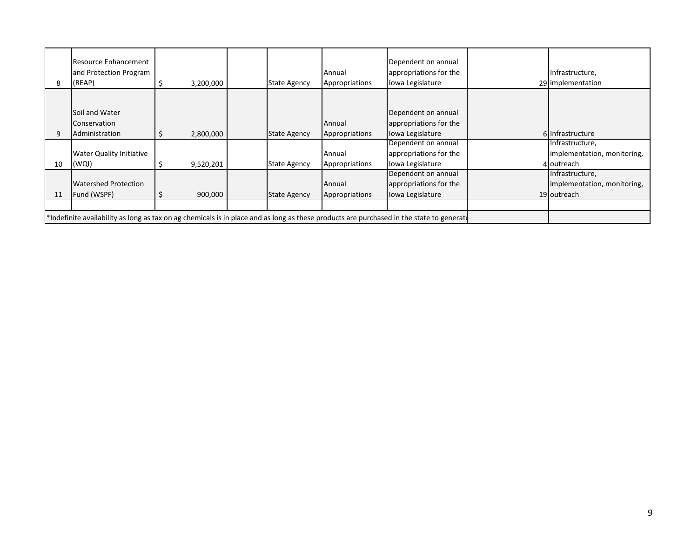| 8  | <b>Resource Enhancement</b><br>and Protection Program<br>(REAP)                                                                          |  | 3,200,000 |  | <b>State Agency</b> | Annual<br>Appropriations | Dependent on annual<br>appropriations for the<br>Iowa Legislature |  | Infrastructure,<br>29 implementation                          |
|----|------------------------------------------------------------------------------------------------------------------------------------------|--|-----------|--|---------------------|--------------------------|-------------------------------------------------------------------|--|---------------------------------------------------------------|
|    | Soil and Water<br>Conservation<br>Administration                                                                                         |  | 2,800,000 |  | <b>State Agency</b> | Annual<br>Appropriations | Dependent on annual<br>appropriations for the<br>Iowa Legislature |  | 6 Infrastructure                                              |
| 10 | <b>Water Quality Initiative</b><br>(WQI)                                                                                                 |  | 9,520,201 |  | <b>State Agency</b> | Annual<br>Appropriations | Dependent on annual<br>appropriations for the<br>Iowa Legislature |  | Infrastructure,<br>implementation, monitoring,<br>4 outreach  |
| 11 | <b>Watershed Protection</b><br>Fund (WSPF)                                                                                               |  | 900,000   |  | <b>State Agency</b> | Annual<br>Appropriations | Dependent on annual<br>appropriations for the<br>Iowa Legislature |  | Infrastructure,<br>implementation, monitoring,<br>19 outreach |
|    | *Indefinite availability as long as tax on ag chemicals is in place and as long as these products are purchased in the state to generate |  |           |  |                     |                          |                                                                   |  |                                                               |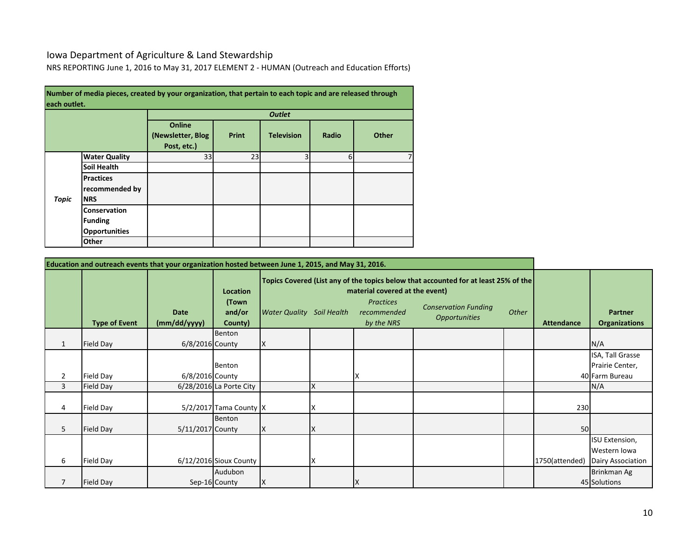## Iowa Department of Agriculture & Land Stewardship

NRS REPORTING June 1, 2016 to May 31, 2017 ELEMENT 2 - HUMAN (Outreach and Education Efforts)

| each outlet. |                                                               | Number of media pieces, created by your organization, that pertain to each topic and are released through |              |                   |       |       |
|--------------|---------------------------------------------------------------|-----------------------------------------------------------------------------------------------------------|--------------|-------------------|-------|-------|
|              |                                                               |                                                                                                           |              | <b>Outlet</b>     |       |       |
|              |                                                               | <b>Online</b><br>(Newsletter, Blog)<br>Post, etc.)                                                        | <b>Print</b> | <b>Television</b> | Radio | Other |
|              | <b>Water Quality</b>                                          | 33                                                                                                        | 23           | 3                 | 6     |       |
|              | <b>Soil Health</b>                                            |                                                                                                           |              |                   |       |       |
| <b>Topic</b> | <b>Practices</b><br>recommended by<br><b>NRS</b>              |                                                                                                           |              |                   |       |       |
|              | <b>Conservation</b><br><b>Funding</b><br><b>Opportunities</b> |                                                                                                           |              |                   |       |       |
|              | Other                                                         |                                                                                                           |              |                   |       |       |

|                | Education and outreach events that your organization hosted between June 1, 2015, and May 31, 2016. |                             |                                               |                                  |    |                                                                                 |                                                                                                                                            |       |                   |                                                            |
|----------------|-----------------------------------------------------------------------------------------------------|-----------------------------|-----------------------------------------------|----------------------------------|----|---------------------------------------------------------------------------------|--------------------------------------------------------------------------------------------------------------------------------------------|-------|-------------------|------------------------------------------------------------|
|                | <b>Type of Event</b>                                                                                | <b>Date</b><br>(mm/dd/yyyy) | <b>Location</b><br>(Town<br>and/or<br>County) | <b>Water Quality</b> Soil Health |    | material covered at the event)<br><b>Practices</b><br>recommended<br>by the NRS | Topics Covered (List any of the topics below that accounted for at least 25% of the<br><b>Conservation Funding</b><br><b>Opportunities</b> | Other | <b>Attendance</b> | <b>Partner</b><br><b>Organizations</b>                     |
| $\mathbf{1}$   | <b>Field Day</b>                                                                                    | 6/8/2016 County             | Benton                                        | IX                               |    |                                                                                 |                                                                                                                                            |       |                   | N/A                                                        |
| $\overline{2}$ | Field Day                                                                                           | 6/8/2016 County             | Benton                                        |                                  |    | x                                                                               |                                                                                                                                            |       |                   | ISA, Tall Grasse<br>Prairie Center,<br>40 Farm Bureau      |
| 3              | Field Day                                                                                           |                             | 6/28/2016 La Porte City                       |                                  | X  |                                                                                 |                                                                                                                                            |       |                   | N/A                                                        |
| 4              | Field Day                                                                                           |                             | 5/2/2017 Tama County X                        |                                  |    |                                                                                 |                                                                                                                                            |       | 230               |                                                            |
| 5              | Field Day                                                                                           | 5/11/2017 County            | Benton                                        | $\mathsf{I} \mathsf{X}$          | ΙX |                                                                                 |                                                                                                                                            |       | 50                |                                                            |
| 6              | Field Day                                                                                           |                             | 6/12/2016 Sioux County                        |                                  |    |                                                                                 |                                                                                                                                            |       | 1750(attended)    | ISU Extension,<br>Western Iowa<br><b>Dairy Association</b> |
| $\overline{7}$ | Field Day                                                                                           |                             | Audubon<br>Sep-16 County                      | X                                |    | X                                                                               |                                                                                                                                            |       |                   | Brinkman Ag<br>45 Solutions                                |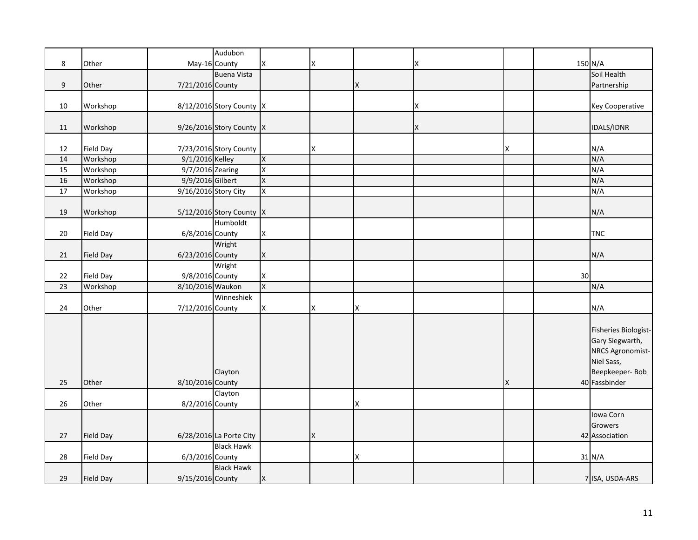|                 |                  |                      | Audubon                  |          |   |   |   |   |    |                        |
|-----------------|------------------|----------------------|--------------------------|----------|---|---|---|---|----|------------------------|
| 8               | Other            |                      | May-16 County            | Χ        | X |   | Χ |   |    | 150 N/A                |
|                 |                  |                      | <b>Buena Vista</b>       |          |   |   |   |   |    | Soil Health            |
| 9               | Other            | 7/21/2016 County     |                          |          |   | X |   |   |    | Partnership            |
|                 |                  |                      |                          |          |   |   |   |   |    |                        |
| 10              | Workshop         |                      | 8/12/2016 Story County X |          |   |   | Χ |   |    | <b>Key Cooperative</b> |
|                 |                  |                      |                          |          |   |   |   |   |    |                        |
| 11              | Workshop         |                      | 9/26/2016 Story County X |          |   |   | X |   |    | <b>IDALS/IDNR</b>      |
|                 |                  |                      |                          |          |   |   |   |   |    |                        |
| 12              | Field Day        |                      | 7/23/2016 Story County   |          | X |   |   | x |    | N/A                    |
| 14              | Workshop         | 9/1/2016 Kelley      |                          | X        |   |   |   |   |    | N/A                    |
| $\overline{15}$ | Workshop         | 9/7/2016 Zearing     |                          | X        |   |   |   |   |    | N/A                    |
| 16              | Workshop         | 9/9/2016 Gilbert     |                          | X        |   |   |   |   |    | N/A                    |
| $\overline{17}$ | Workshop         | 9/16/2016 Story City |                          | Χ        |   |   |   |   |    | N/A                    |
|                 |                  |                      |                          |          |   |   |   |   |    |                        |
| 19              | Workshop         |                      | 5/12/2016 Story County X |          |   |   |   |   |    | N/A                    |
|                 |                  |                      | Humboldt                 |          |   |   |   |   |    |                        |
| 20              | Field Day        | 6/8/2016 County      |                          | X        |   |   |   |   |    | <b>TNC</b>             |
|                 |                  |                      | Wright                   |          |   |   |   |   |    |                        |
| 21              | Field Day        | 6/23/2016 County     |                          | X        |   |   |   |   |    | N/A                    |
|                 |                  |                      | Wright                   |          |   |   |   |   |    |                        |
| 22              | Field Day        | 9/8/2016 County      |                          | X        |   |   |   |   | 30 |                        |
| $\overline{23}$ | Workshop         | 8/10/2016 Waukon     |                          | $\times$ |   |   |   |   |    | N/A                    |
|                 |                  |                      | Winneshiek               |          |   |   |   |   |    |                        |
| 24              | Other            | 7/12/2016 County     |                          | X        | X | X |   |   |    | N/A                    |
|                 |                  |                      |                          |          |   |   |   |   |    |                        |
|                 |                  |                      |                          |          |   |   |   |   |    | Fisheries Biologist-   |
|                 |                  |                      |                          |          |   |   |   |   |    | Gary Siegwarth,        |
|                 |                  |                      |                          |          |   |   |   |   |    | NRCS Agronomist-       |
|                 |                  |                      |                          |          |   |   |   |   |    | Niel Sass,             |
|                 |                  |                      | Clayton                  |          |   |   |   |   |    | Beepkeeper-Bob         |
| 25              | Other            | 8/10/2016 County     |                          |          |   |   |   | X |    | 40 Fassbinder          |
|                 |                  |                      | Clayton                  |          |   |   |   |   |    |                        |
| 26              | Other            | 8/2/2016 County      |                          |          |   | X |   |   |    |                        |
|                 |                  |                      |                          |          |   |   |   |   |    | Iowa Corn              |
|                 |                  |                      |                          |          |   |   |   |   |    | Growers                |
| 27              | Field Day        |                      | 6/28/2016 La Porte City  |          | X |   |   |   |    | 42 Association         |
|                 |                  |                      | <b>Black Hawk</b>        |          |   |   |   |   |    |                        |
| 28              | <b>Field Day</b> | 6/3/2016 County      |                          |          |   | Χ |   |   |    | 31 N/A                 |
|                 |                  |                      | <b>Black Hawk</b>        |          |   |   |   |   |    |                        |
| 29              | Field Day        | 9/15/2016 County     |                          | X        |   |   |   |   |    | 7 ISA, USDA-ARS        |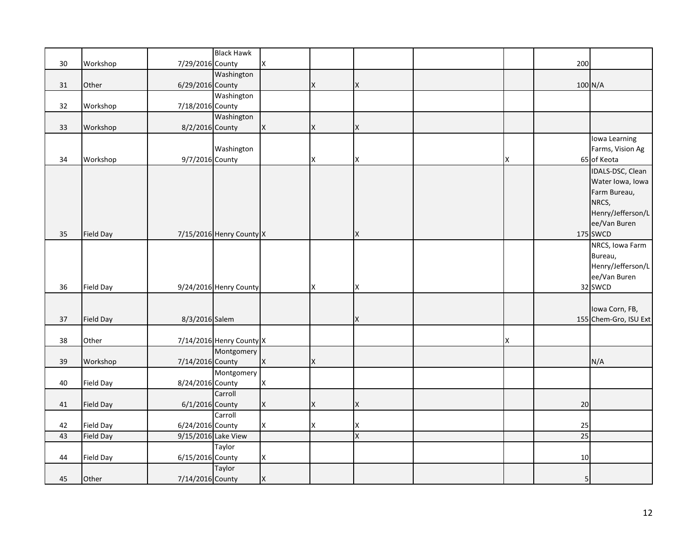|        |                  |                  | <b>Black Hawk</b>        |             |   |                              |   |                 |                       |
|--------|------------------|------------------|--------------------------|-------------|---|------------------------------|---|-----------------|-----------------------|
| $30\,$ | Workshop         | 7/29/2016 County |                          | X           |   |                              |   | 200             |                       |
|        |                  |                  | Washington               |             |   |                              |   |                 |                       |
| 31     | Other            | 6/29/2016 County |                          |             | X | X                            |   |                 | 100 N/A               |
|        |                  |                  | Washington               |             |   |                              |   |                 |                       |
| 32     | Workshop         | 7/18/2016 County |                          |             |   |                              |   |                 |                       |
|        |                  |                  | Washington               |             |   |                              |   |                 |                       |
| 33     | Workshop         | 8/2/2016 County  |                          | X           | X | X                            |   |                 |                       |
|        |                  |                  |                          |             |   |                              |   |                 | Iowa Learning         |
|        |                  |                  | Washington               |             |   |                              |   |                 | Farms, Vision Ag      |
| 34     | Workshop         | 9/7/2016 County  |                          |             | X | X                            | X |                 | 65 of Keota           |
|        |                  |                  |                          |             |   |                              |   |                 | IDALS-DSC, Clean      |
|        |                  |                  |                          |             |   |                              |   |                 | Water Iowa, Iowa      |
|        |                  |                  |                          |             |   |                              |   |                 | Farm Bureau,          |
|        |                  |                  |                          |             |   |                              |   |                 | NRCS,                 |
|        |                  |                  |                          |             |   |                              |   |                 | Henry/Jefferson/L     |
|        |                  |                  |                          |             |   |                              |   |                 | ee/Van Buren          |
| 35     | <b>Field Day</b> |                  | 7/15/2016 Henry County X |             |   | X                            |   |                 | 175 SWCD              |
|        |                  |                  |                          |             |   |                              |   |                 | NRCS, Iowa Farm       |
|        |                  |                  |                          |             |   |                              |   |                 | Bureau,               |
|        |                  |                  |                          |             |   |                              |   |                 | Henry/Jefferson/L     |
|        |                  |                  |                          |             |   |                              |   |                 | ee/Van Buren          |
| 36     | <b>Field Day</b> |                  |                          |             | X | X                            |   |                 | 32 SWCD               |
|        |                  |                  | 9/24/2016 Henry County   |             |   |                              |   |                 |                       |
|        |                  |                  |                          |             |   |                              |   |                 | Iowa Corn, FB,        |
| 37     | Field Day        | 8/3/2016 Salem   |                          |             |   | X                            |   |                 | 155 Chem-Gro, ISU Ext |
|        |                  |                  |                          |             |   |                              |   |                 |                       |
| 38     | Other            |                  | 7/14/2016 Henry County X |             |   |                              | X |                 |                       |
|        |                  |                  | Montgomery               |             |   |                              |   |                 |                       |
| 39     | Workshop         | 7/14/2016 County |                          | X           | X |                              |   |                 | N/A                   |
|        |                  |                  | Montgomery               |             |   |                              |   |                 |                       |
| 40     | <b>Field Day</b> | 8/24/2016 County |                          | X           |   |                              |   |                 |                       |
|        |                  |                  | Carroll                  |             |   |                              |   |                 |                       |
| 41     | Field Day        | 6/1/2016 County  |                          | X           | X | X                            |   | 20              |                       |
|        |                  |                  | Carroll                  |             |   |                              |   |                 |                       |
| 42     | Field Day        | 6/24/2016 County |                          | X           | X |                              |   | 25              |                       |
| 43     | <b>Field Day</b> |                  | 9/15/2016 Lake View      |             |   | X<br>$\overline{\mathsf{x}}$ |   | $\overline{25}$ |                       |
|        |                  |                  | Taylor                   |             |   |                              |   |                 |                       |
| 44     | Field Day        | 6/15/2016 County |                          | X           |   |                              |   | 10              |                       |
|        |                  |                  |                          |             |   |                              |   |                 |                       |
|        |                  |                  | Taylor                   |             |   |                              |   |                 |                       |
| 45     | Other            | 7/14/2016 County |                          | $\mathsf X$ |   |                              |   | 5               |                       |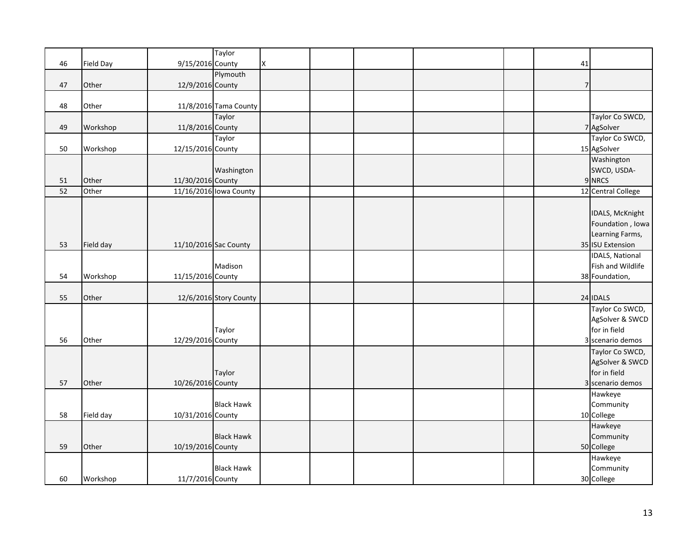|    |                  |                   | Taylor                 |   |  |  |                |                      |
|----|------------------|-------------------|------------------------|---|--|--|----------------|----------------------|
| 46 | <b>Field Day</b> | 9/15/2016 County  |                        | Χ |  |  | 41             |                      |
|    |                  |                   | Plymouth               |   |  |  |                |                      |
| 47 | Other            | 12/9/2016 County  |                        |   |  |  | $\overline{7}$ |                      |
|    |                  |                   |                        |   |  |  |                |                      |
| 48 | Other            |                   | 11/8/2016 Tama County  |   |  |  |                |                      |
|    |                  |                   | Taylor                 |   |  |  |                | Taylor Co SWCD,      |
| 49 | Workshop         | 11/8/2016 County  |                        |   |  |  |                | 7 AgSolver           |
|    |                  |                   | Taylor                 |   |  |  |                | Taylor Co SWCD,      |
| 50 | Workshop         | 12/15/2016 County |                        |   |  |  |                | 15 AgSolver          |
|    |                  |                   |                        |   |  |  |                | Washington           |
|    |                  |                   | Washington             |   |  |  |                | SWCD, USDA-          |
| 51 | Other            | 11/30/2016 County |                        |   |  |  |                | 9 NRCS               |
| 52 | Other            |                   | 11/16/2016 Iowa County |   |  |  |                | 12 Central College   |
|    |                  |                   |                        |   |  |  |                |                      |
|    |                  |                   |                        |   |  |  |                | IDALS, McKnight      |
|    |                  |                   |                        |   |  |  |                | Foundation, Iowa     |
|    |                  |                   |                        |   |  |  |                | Learning Farms,      |
| 53 | Field day        |                   | 11/10/2016 Sac County  |   |  |  |                | 35 ISU Extension     |
|    |                  |                   |                        |   |  |  |                | IDALS, National      |
|    |                  |                   | Madison                |   |  |  |                | Fish and Wildlife    |
| 54 | Workshop         | 11/15/2016 County |                        |   |  |  |                | 38 Foundation,       |
|    |                  |                   |                        |   |  |  |                |                      |
| 55 | Other            |                   | 12/6/2016 Story County |   |  |  |                | 24 IDALS             |
|    |                  |                   |                        |   |  |  |                | Taylor Co SWCD,      |
|    |                  |                   |                        |   |  |  |                | AgSolver & SWCD      |
|    |                  |                   | Taylor                 |   |  |  |                | for in field         |
| 56 | Other            | 12/29/2016 County |                        |   |  |  |                | 3 scenario demos     |
|    |                  |                   |                        |   |  |  |                | Taylor Co SWCD,      |
|    |                  |                   |                        |   |  |  |                | AgSolver & SWCD      |
|    |                  |                   | Taylor                 |   |  |  |                | for in field         |
| 57 | Other            | 10/26/2016 County |                        |   |  |  |                | 3 scenario demos     |
|    |                  |                   |                        |   |  |  |                |                      |
|    |                  |                   | <b>Black Hawk</b>      |   |  |  |                | Hawkeye<br>Community |
| 58 |                  |                   |                        |   |  |  |                |                      |
|    | Field day        | 10/31/2016 County |                        |   |  |  |                | 10 College           |
|    |                  |                   |                        |   |  |  |                | Hawkeye              |
|    |                  |                   | <b>Black Hawk</b>      |   |  |  |                | Community            |
| 59 | Other            | 10/19/2016 County |                        |   |  |  |                | 50 College           |
|    |                  |                   |                        |   |  |  |                | Hawkeye              |
|    |                  |                   | <b>Black Hawk</b>      |   |  |  |                | Community            |
| 60 | Workshop         | 11/7/2016 County  |                        |   |  |  |                | 30 College           |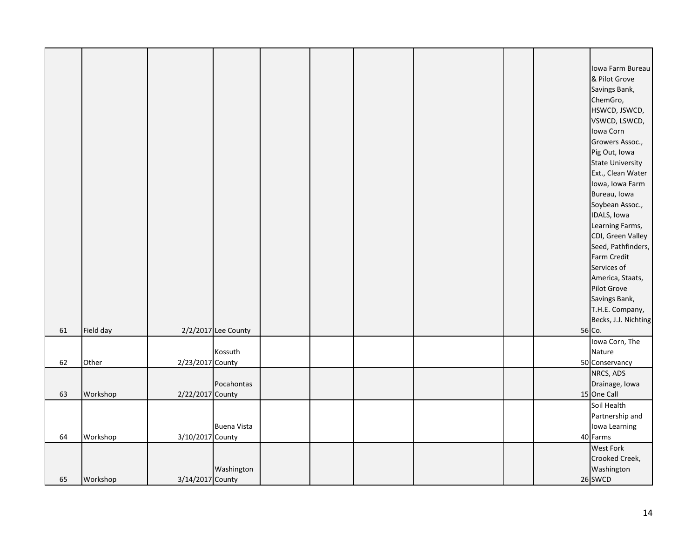|    |           |                  |                     |  |  |  | Iowa Farm Bureau<br>& Pilot Grove<br>Savings Bank,<br>ChemGro,<br>HSWCD, JSWCD,<br>VSWCD, LSWCD,<br>Iowa Corn<br>Growers Assoc.,<br>Pig Out, Iowa<br><b>State University</b><br>Ext., Clean Water<br>Iowa, Iowa Farm<br>Bureau, Iowa<br>Soybean Assoc.,<br>IDALS, Iowa<br>Learning Farms,<br>CDI, Green Valley<br>Seed, Pathfinders,<br>Farm Credit |
|----|-----------|------------------|---------------------|--|--|--|-----------------------------------------------------------------------------------------------------------------------------------------------------------------------------------------------------------------------------------------------------------------------------------------------------------------------------------------------------|
|    |           |                  |                     |  |  |  | America, Staats,<br>Pilot Grove                                                                                                                                                                                                                                                                                                                     |
|    |           |                  |                     |  |  |  | Savings Bank,                                                                                                                                                                                                                                                                                                                                       |
|    |           |                  |                     |  |  |  | T.H.E. Company,                                                                                                                                                                                                                                                                                                                                     |
|    |           |                  |                     |  |  |  | Becks, J.J. Nichting                                                                                                                                                                                                                                                                                                                                |
| 61 | Field day |                  | 2/2/2017 Lee County |  |  |  | 56 Co.                                                                                                                                                                                                                                                                                                                                              |
|    |           |                  |                     |  |  |  | Iowa Corn, The                                                                                                                                                                                                                                                                                                                                      |
| 62 | Other     | 2/23/2017 County | Kossuth             |  |  |  | Nature<br>50 Conservancy                                                                                                                                                                                                                                                                                                                            |
|    |           |                  |                     |  |  |  | NRCS, ADS                                                                                                                                                                                                                                                                                                                                           |
|    |           |                  | Pocahontas          |  |  |  | Drainage, Iowa                                                                                                                                                                                                                                                                                                                                      |
| 63 | Workshop  | 2/22/2017 County |                     |  |  |  | 15 One Call                                                                                                                                                                                                                                                                                                                                         |
|    |           |                  |                     |  |  |  | Soil Health                                                                                                                                                                                                                                                                                                                                         |
|    |           |                  | <b>Buena Vista</b>  |  |  |  | Partnership and<br>Iowa Learning                                                                                                                                                                                                                                                                                                                    |
| 64 | Workshop  | 3/10/2017 County |                     |  |  |  | 40 Farms                                                                                                                                                                                                                                                                                                                                            |
|    |           |                  |                     |  |  |  | <b>West Fork</b>                                                                                                                                                                                                                                                                                                                                    |
|    |           |                  |                     |  |  |  | Crooked Creek,                                                                                                                                                                                                                                                                                                                                      |
|    |           |                  | Washington          |  |  |  | Washington                                                                                                                                                                                                                                                                                                                                          |
| 65 | Workshop  | 3/14/2017 County |                     |  |  |  | 26 SWCD                                                                                                                                                                                                                                                                                                                                             |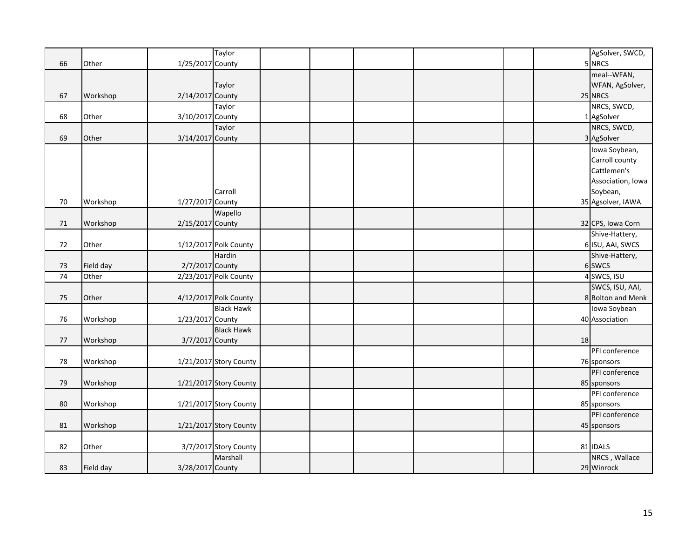| 5 NRCS<br>1/25/2017 County<br>meal--WFAN,<br>WFAN, AgSolver,<br>Taylor<br>2/14/2017 County<br>25 NRCS<br>67<br>Workshop<br>NRCS, SWCD,<br>Taylor<br>1 AgSolver<br>68<br>Other<br>3/10/2017 County<br>NRCS, SWCD,<br>Taylor<br>3 AgSolver<br>69<br>Other<br>3/14/2017 County<br>Iowa Soybean,<br>Carroll county<br>Cattlemen's<br>Soybean,<br>Carroll<br>35 Agsolver, IAWA<br>70<br>Workshop<br>1/27/2017 County<br>Wapello<br>32 CPS, Iowa Corn<br>71<br>Workshop<br>2/15/2017 County |    |       | Taylor |  |  |  | AgSolver, SWCD,   |
|---------------------------------------------------------------------------------------------------------------------------------------------------------------------------------------------------------------------------------------------------------------------------------------------------------------------------------------------------------------------------------------------------------------------------------------------------------------------------------------|----|-------|--------|--|--|--|-------------------|
|                                                                                                                                                                                                                                                                                                                                                                                                                                                                                       | 66 | Other |        |  |  |  |                   |
|                                                                                                                                                                                                                                                                                                                                                                                                                                                                                       |    |       |        |  |  |  |                   |
|                                                                                                                                                                                                                                                                                                                                                                                                                                                                                       |    |       |        |  |  |  |                   |
|                                                                                                                                                                                                                                                                                                                                                                                                                                                                                       |    |       |        |  |  |  |                   |
|                                                                                                                                                                                                                                                                                                                                                                                                                                                                                       |    |       |        |  |  |  |                   |
|                                                                                                                                                                                                                                                                                                                                                                                                                                                                                       |    |       |        |  |  |  |                   |
|                                                                                                                                                                                                                                                                                                                                                                                                                                                                                       |    |       |        |  |  |  |                   |
|                                                                                                                                                                                                                                                                                                                                                                                                                                                                                       |    |       |        |  |  |  |                   |
|                                                                                                                                                                                                                                                                                                                                                                                                                                                                                       |    |       |        |  |  |  |                   |
|                                                                                                                                                                                                                                                                                                                                                                                                                                                                                       |    |       |        |  |  |  |                   |
|                                                                                                                                                                                                                                                                                                                                                                                                                                                                                       |    |       |        |  |  |  |                   |
|                                                                                                                                                                                                                                                                                                                                                                                                                                                                                       |    |       |        |  |  |  | Association, Iowa |
|                                                                                                                                                                                                                                                                                                                                                                                                                                                                                       |    |       |        |  |  |  |                   |
|                                                                                                                                                                                                                                                                                                                                                                                                                                                                                       |    |       |        |  |  |  |                   |
|                                                                                                                                                                                                                                                                                                                                                                                                                                                                                       |    |       |        |  |  |  |                   |
|                                                                                                                                                                                                                                                                                                                                                                                                                                                                                       |    |       |        |  |  |  |                   |
|                                                                                                                                                                                                                                                                                                                                                                                                                                                                                       |    |       |        |  |  |  | Shive-Hattery,    |
| 6 ISU, AAI, SWCS<br>72<br>Other<br>1/12/2017 Polk County                                                                                                                                                                                                                                                                                                                                                                                                                              |    |       |        |  |  |  |                   |
| Hardin<br>Shive-Hattery,                                                                                                                                                                                                                                                                                                                                                                                                                                                              |    |       |        |  |  |  |                   |
| 2/7/2017 County<br>6 SWCS<br>Field day<br>73                                                                                                                                                                                                                                                                                                                                                                                                                                          |    |       |        |  |  |  |                   |
| 4 SWCS, ISU<br>$\overline{74}$<br>Other<br>2/23/2017 Polk County                                                                                                                                                                                                                                                                                                                                                                                                                      |    |       |        |  |  |  |                   |
| SWCS, ISU, AAI,                                                                                                                                                                                                                                                                                                                                                                                                                                                                       |    |       |        |  |  |  |                   |
| 4/12/2017 Polk County<br>8 Bolton and Menk<br>75<br>Other                                                                                                                                                                                                                                                                                                                                                                                                                             |    |       |        |  |  |  |                   |
| <b>Black Hawk</b><br>Iowa Soybean                                                                                                                                                                                                                                                                                                                                                                                                                                                     |    |       |        |  |  |  |                   |
| Workshop<br>1/23/2017 County<br>40 Association<br>76                                                                                                                                                                                                                                                                                                                                                                                                                                  |    |       |        |  |  |  |                   |
| <b>Black Hawk</b>                                                                                                                                                                                                                                                                                                                                                                                                                                                                     |    |       |        |  |  |  |                   |
| Workshop<br>3/7/2017 County<br>18<br>77                                                                                                                                                                                                                                                                                                                                                                                                                                               |    |       |        |  |  |  |                   |
| PFI conference                                                                                                                                                                                                                                                                                                                                                                                                                                                                        |    |       |        |  |  |  |                   |
| 78<br>Workshop<br>1/21/2017 Story County<br>76 sponsors                                                                                                                                                                                                                                                                                                                                                                                                                               |    |       |        |  |  |  |                   |
| PFI conference                                                                                                                                                                                                                                                                                                                                                                                                                                                                        |    |       |        |  |  |  |                   |
| 79<br>1/21/2017 Story County<br>Workshop<br>85 sponsors                                                                                                                                                                                                                                                                                                                                                                                                                               |    |       |        |  |  |  |                   |
| PFI conference                                                                                                                                                                                                                                                                                                                                                                                                                                                                        |    |       |        |  |  |  |                   |
| 80<br>1/21/2017 Story County<br>Workshop<br>85 sponsors                                                                                                                                                                                                                                                                                                                                                                                                                               |    |       |        |  |  |  |                   |
| PFI conference                                                                                                                                                                                                                                                                                                                                                                                                                                                                        |    |       |        |  |  |  |                   |
| 81<br>Workshop<br>1/21/2017 Story County<br>45 sponsors                                                                                                                                                                                                                                                                                                                                                                                                                               |    |       |        |  |  |  |                   |
|                                                                                                                                                                                                                                                                                                                                                                                                                                                                                       |    |       |        |  |  |  |                   |
| 81 IDALS<br>82<br>Other<br>3/7/2017 Story County                                                                                                                                                                                                                                                                                                                                                                                                                                      |    |       |        |  |  |  |                   |
| Marshall<br>NRCS, Wallace                                                                                                                                                                                                                                                                                                                                                                                                                                                             |    |       |        |  |  |  |                   |
| 3/28/2017 County<br>29 Winrock<br>83<br>Field day                                                                                                                                                                                                                                                                                                                                                                                                                                     |    |       |        |  |  |  |                   |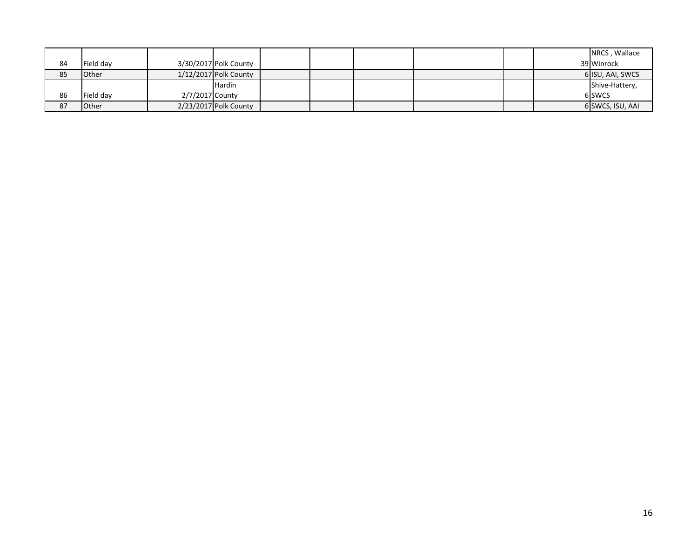|    |              |                 |                       |  |  |  | NRCS, Wallace    |
|----|--------------|-----------------|-----------------------|--|--|--|------------------|
| 84 | Field day    |                 | 3/30/2017 Polk County |  |  |  | 39 Winrock       |
| 85 | <b>Other</b> |                 | 1/12/2017 Polk County |  |  |  | 6 ISU, AAI, SWCS |
|    |              |                 | <b>Hardin</b>         |  |  |  | Shive-Hattery,   |
| 86 | Field day    | 2/7/2017 County |                       |  |  |  | 6 SWCS           |
| 87 | Other        |                 | 2/23/2017 Polk County |  |  |  | 6 SWCS, ISU, AAI |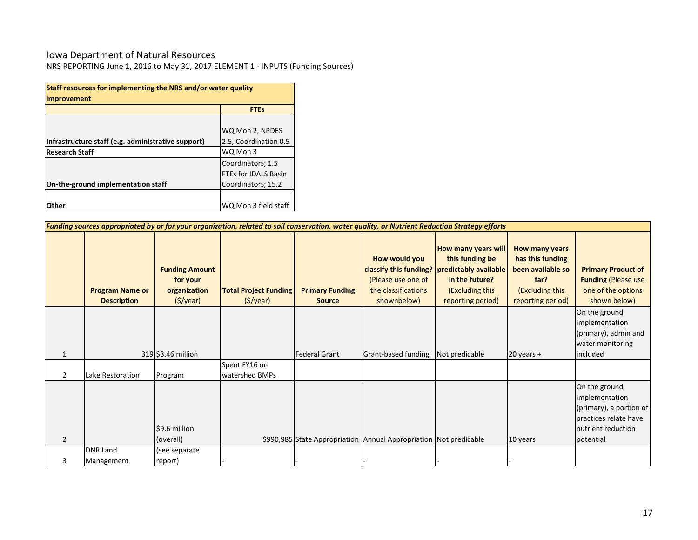### Iowa Department of Natural Resources

NRS REPORTING June 1, 2016 to May 31, 2017 ELEMENT 1 - INPUTS (Funding Sources)

| Staff resources for implementing the NRS and/or water quality<br><i>improvement</i> |                             |  |  |  |  |  |  |  |
|-------------------------------------------------------------------------------------|-----------------------------|--|--|--|--|--|--|--|
|                                                                                     | <b>FTEs</b>                 |  |  |  |  |  |  |  |
|                                                                                     |                             |  |  |  |  |  |  |  |
|                                                                                     | WQ Mon 2, NPDES             |  |  |  |  |  |  |  |
| Infrastructure staff (e.g. administrative support)                                  | 2.5, Coordination 0.5       |  |  |  |  |  |  |  |
| <b>Research Staff</b>                                                               | WQ Mon 3                    |  |  |  |  |  |  |  |
|                                                                                     | Coordinators; 1.5           |  |  |  |  |  |  |  |
|                                                                                     | <b>FTEs for IDALS Basin</b> |  |  |  |  |  |  |  |
| On-the-ground implementation staff                                                  | Coordinators; 15.2          |  |  |  |  |  |  |  |
|                                                                                     |                             |  |  |  |  |  |  |  |
| Other                                                                               | WQ Mon 3 field staff        |  |  |  |  |  |  |  |

|                | Funding sources appropriated by or for your organization, related to soil conservation, water quality, or Nutrient Reduction Strategy efforts |                                                                              |                                          |                                         |                                                                                                     |                                                                                                                           |                                                                                                         |                                                                                                                        |  |  |
|----------------|-----------------------------------------------------------------------------------------------------------------------------------------------|------------------------------------------------------------------------------|------------------------------------------|-----------------------------------------|-----------------------------------------------------------------------------------------------------|---------------------------------------------------------------------------------------------------------------------------|---------------------------------------------------------------------------------------------------------|------------------------------------------------------------------------------------------------------------------------|--|--|
|                | <b>Program Name or</b><br><b>Description</b>                                                                                                  | <b>Funding Amount</b><br>for your<br>organization<br>$(\frac{1}{2})\sqrt{2}$ | <b>Total Project Funding</b><br>(S/year) | <b>Primary Funding</b><br><b>Source</b> | How would you<br>classify this funding?<br>(Please use one of<br>the classifications<br>shownbelow) | How many years will<br>this funding be<br>predictably available<br>in the future?<br>(Excluding this<br>reporting period) | How many years<br>has this funding<br>been available so<br>far?<br>(Excluding this<br>reporting period) | <b>Primary Product of</b><br><b>Funding (Please use</b><br>one of the options<br>shown below)                          |  |  |
| 1              |                                                                                                                                               | 319 \$3.46 million                                                           |                                          | <b>Federal Grant</b>                    | Grant-based funding                                                                                 | Not predicable                                                                                                            | $20$ years +                                                                                            | On the ground<br>implementation<br>(primary), admin and<br>water monitoring<br>included                                |  |  |
| $\overline{2}$ | Lake Restoration                                                                                                                              | Program                                                                      | Spent FY16 on<br>watershed BMPs          |                                         |                                                                                                     |                                                                                                                           |                                                                                                         |                                                                                                                        |  |  |
| $\overline{2}$ |                                                                                                                                               | \$9.6 million<br>(overall)                                                   |                                          |                                         | \$990,985 State Appropriation Annual Appropriation Not predicable                                   |                                                                                                                           | 10 years                                                                                                | On the ground<br>implementation<br>(primary), a portion of<br>practices relate have<br>nutrient reduction<br>potential |  |  |
|                | <b>DNR Land</b><br>Management                                                                                                                 | (see separate<br>report)                                                     |                                          |                                         |                                                                                                     |                                                                                                                           |                                                                                                         |                                                                                                                        |  |  |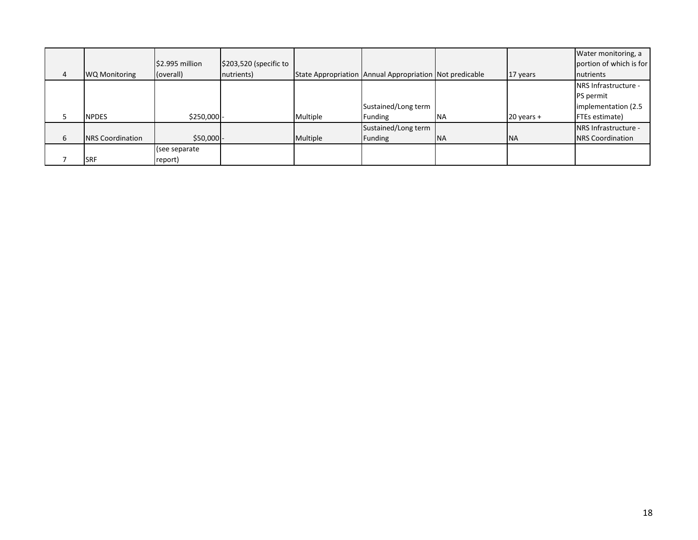|   |                         |                 |                        |          |                                                         |            |              | Water monitoring, a          |
|---|-------------------------|-----------------|------------------------|----------|---------------------------------------------------------|------------|--------------|------------------------------|
|   |                         | \$2.995 million | \$203,520 (specific to |          |                                                         |            |              | portion of which is for      |
| 4 | <b>WQ Monitoring</b>    | (overall)       | nutrients)             |          | State Appropriation Annual Appropriation Not predicable |            | 17 years     | nutrients                    |
|   |                         |                 |                        |          |                                                         |            |              | <b>INRS Infrastructure -</b> |
|   |                         |                 |                        |          |                                                         |            |              | <b>PS</b> permit             |
|   |                         |                 |                        |          | Sustained/Long term                                     |            |              | implementation (2.5)         |
|   | <b>NPDES</b>            | $$250,000$ -    |                        | Multiple | Funding                                                 | <b>NA</b>  | $20$ years + | <b>FTEs estimate)</b>        |
|   |                         |                 |                        |          | Sustained/Long term                                     |            |              | NRS Infrastructure -         |
| 6 | <b>NRS</b> Coordination | $$50,000$ -     |                        | Multiple | Funding                                                 | <b>INA</b> | <b>INA</b>   | <b>NRS</b> Coordination      |
|   |                         | (see separate   |                        |          |                                                         |            |              |                              |
|   | <b>SRF</b>              | report)         |                        |          |                                                         |            |              |                              |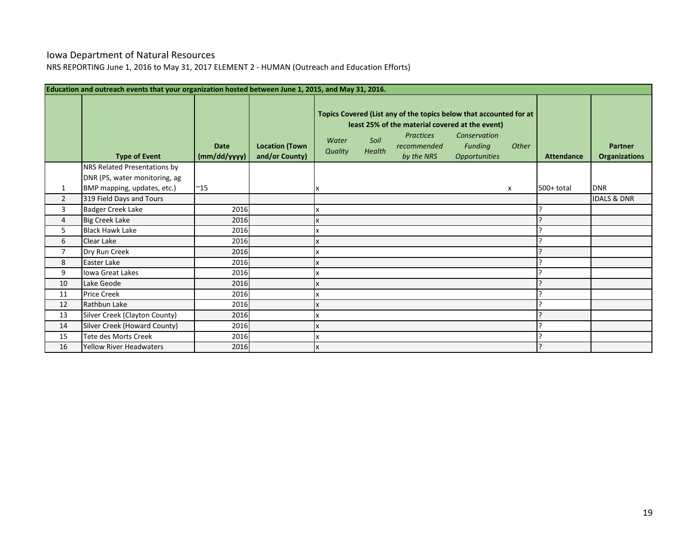## Iowa Department of Natural Resources

NRS REPORTING June 1, 2016 to May 31, 2017 ELEMENT 2 - HUMAN (Outreach and Education Efforts)

|                | Education and outreach events that your organization hosted between June 1, 2015, and May 31, 2016. |                             |                                         |                  |                |                                                                                                                                                                        |                                                        |       |                   |                                        |
|----------------|-----------------------------------------------------------------------------------------------------|-----------------------------|-----------------------------------------|------------------|----------------|------------------------------------------------------------------------------------------------------------------------------------------------------------------------|--------------------------------------------------------|-------|-------------------|----------------------------------------|
|                | <b>Type of Event</b>                                                                                | <b>Date</b><br>(mm/dd/yyyy) | <b>Location (Town</b><br>and/or County) | Water<br>Quality | Soil<br>Health | Topics Covered (List any of the topics below that accounted for at<br>least 25% of the material covered at the event)<br><b>Practices</b><br>recommended<br>by the NRS | Conservation<br><b>Funding</b><br><b>Opportunities</b> | Other | <b>Attendance</b> | <b>Partner</b><br><b>Organizations</b> |
|                | NRS Related Presentations by                                                                        |                             |                                         |                  |                |                                                                                                                                                                        |                                                        |       |                   |                                        |
|                | DNR (PS, water monitoring, ag                                                                       |                             |                                         |                  |                |                                                                                                                                                                        |                                                        |       |                   |                                        |
| 1              | BMP mapping, updates, etc.)                                                                         | $^{\sim}$ 15                |                                         |                  |                |                                                                                                                                                                        |                                                        | x     | $500+$ total      | <b>DNR</b>                             |
| $\overline{2}$ | 319 Field Days and Tours                                                                            |                             |                                         |                  |                |                                                                                                                                                                        |                                                        |       |                   | <b>IDALS &amp; DNR</b>                 |
| 3              | <b>Badger Creek Lake</b>                                                                            | 2016                        |                                         |                  |                |                                                                                                                                                                        |                                                        |       |                   |                                        |
| 4              | <b>Big Creek Lake</b>                                                                               | 2016                        |                                         |                  |                |                                                                                                                                                                        |                                                        |       |                   |                                        |
| 5              | <b>Black Hawk Lake</b>                                                                              | 2016                        |                                         |                  |                |                                                                                                                                                                        |                                                        |       |                   |                                        |
| 6              | Clear Lake                                                                                          | 2016                        |                                         |                  |                |                                                                                                                                                                        |                                                        |       |                   |                                        |
| $\overline{7}$ | Dry Run Creek                                                                                       | 2016                        |                                         |                  |                |                                                                                                                                                                        |                                                        |       |                   |                                        |
| 8              | Easter Lake                                                                                         | 2016                        |                                         |                  |                |                                                                                                                                                                        |                                                        |       |                   |                                        |
| 9              | Iowa Great Lakes                                                                                    | 2016                        |                                         |                  |                |                                                                                                                                                                        |                                                        |       |                   |                                        |
| 10             | Lake Geode                                                                                          | 2016                        |                                         |                  |                |                                                                                                                                                                        |                                                        |       |                   |                                        |
| 11             | <b>Price Creek</b>                                                                                  | 2016                        |                                         |                  |                |                                                                                                                                                                        |                                                        |       |                   |                                        |
| 12             | Rathbun Lake                                                                                        | 2016                        |                                         |                  |                |                                                                                                                                                                        |                                                        |       |                   |                                        |
| 13             | Silver Creek (Clayton County)                                                                       | 2016                        |                                         |                  |                |                                                                                                                                                                        |                                                        |       |                   |                                        |
| 14             | Silver Creek (Howard County)                                                                        | 2016                        |                                         |                  |                |                                                                                                                                                                        |                                                        |       |                   |                                        |
| 15             | <b>Tete des Morts Creek</b>                                                                         | 2016                        |                                         |                  |                |                                                                                                                                                                        |                                                        |       |                   |                                        |
| 16             | <b>Yellow River Headwaters</b>                                                                      | 2016                        |                                         |                  |                |                                                                                                                                                                        |                                                        |       |                   |                                        |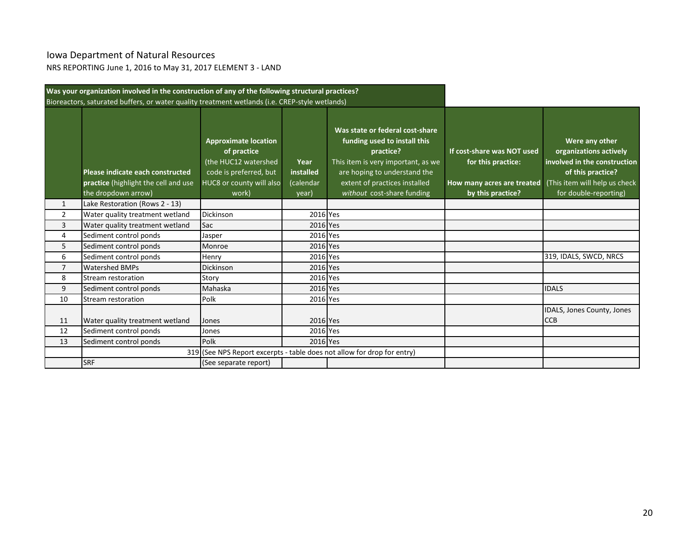## Iowa Department of Natural Resources

NRS REPORTING June 1, 2016 to May 31, 2017 ELEMENT 3 - LAND

|                | Was your organization involved in the construction of any of the following structural practices? |                                                                                                                                   |                                         |                                                                                                                                                                                                                   |                                                                                                     |                                                                                                                                                         |
|----------------|--------------------------------------------------------------------------------------------------|-----------------------------------------------------------------------------------------------------------------------------------|-----------------------------------------|-------------------------------------------------------------------------------------------------------------------------------------------------------------------------------------------------------------------|-----------------------------------------------------------------------------------------------------|---------------------------------------------------------------------------------------------------------------------------------------------------------|
|                | Bioreactors, saturated buffers, or water quality treatment wetlands (i.e. CREP-style wetlands)   |                                                                                                                                   |                                         |                                                                                                                                                                                                                   |                                                                                                     |                                                                                                                                                         |
|                | Please indicate each constructed<br>practice (highlight the cell and use<br>the dropdown arrow)  | <b>Approximate location</b><br>of practice<br>(the HUC12 watershed<br>code is preferred, but<br>HUC8 or county will also<br>work) | Year<br>installed<br>(calendar<br>year) | Was state or federal cost-share<br>funding used to install this<br>practice?<br>This item is very important, as we<br>are hoping to understand the<br>extent of practices installed<br>without cost-share funding | If cost-share was NOT used<br>for this practice:<br>How many acres are treated<br>by this practice? | Were any other<br>organizations actively<br>involved in the construction<br>of this practice?<br>(This item will help us check<br>for double-reporting) |
| $\mathbf{1}$   | Lake Restoration (Rows 2 - 13)                                                                   |                                                                                                                                   |                                         |                                                                                                                                                                                                                   |                                                                                                     |                                                                                                                                                         |
| $\overline{2}$ | Water quality treatment wetland                                                                  | <b>Dickinson</b>                                                                                                                  | 2016 Yes                                |                                                                                                                                                                                                                   |                                                                                                     |                                                                                                                                                         |
| 3              | Water quality treatment wetland                                                                  | Sac                                                                                                                               | 2016 Yes                                |                                                                                                                                                                                                                   |                                                                                                     |                                                                                                                                                         |
| 4              | Sediment control ponds                                                                           | Jasper                                                                                                                            | 2016 Yes                                |                                                                                                                                                                                                                   |                                                                                                     |                                                                                                                                                         |
| 5              | Sediment control ponds                                                                           | Monroe                                                                                                                            | 2016 Yes                                |                                                                                                                                                                                                                   |                                                                                                     |                                                                                                                                                         |
| 6              | Sediment control ponds                                                                           | Henry                                                                                                                             | 2016 Yes                                |                                                                                                                                                                                                                   |                                                                                                     | 319, IDALS, SWCD, NRCS                                                                                                                                  |
| $\overline{7}$ | <b>Watershed BMPs</b>                                                                            | <b>Dickinson</b>                                                                                                                  | 2016 Yes                                |                                                                                                                                                                                                                   |                                                                                                     |                                                                                                                                                         |
| 8              | Stream restoration                                                                               | Story                                                                                                                             | 2016 Yes                                |                                                                                                                                                                                                                   |                                                                                                     |                                                                                                                                                         |
| 9              | Sediment control ponds                                                                           | Mahaska                                                                                                                           | 2016 Yes                                |                                                                                                                                                                                                                   |                                                                                                     | <b>IDALS</b>                                                                                                                                            |
| 10             | Stream restoration                                                                               | Polk                                                                                                                              | 2016 Yes                                |                                                                                                                                                                                                                   |                                                                                                     |                                                                                                                                                         |
| 11             | Water quality treatment wetland                                                                  | Jones                                                                                                                             | 2016 Yes                                |                                                                                                                                                                                                                   |                                                                                                     | IDALS, Jones County, Jones<br><b>CCB</b>                                                                                                                |
| 12             | Sediment control ponds                                                                           | Jones                                                                                                                             | 2016 Yes                                |                                                                                                                                                                                                                   |                                                                                                     |                                                                                                                                                         |
| 13             | Sediment control ponds                                                                           | Polk                                                                                                                              | 2016 Yes                                |                                                                                                                                                                                                                   |                                                                                                     |                                                                                                                                                         |
|                |                                                                                                  |                                                                                                                                   |                                         | 319 (See NPS Report excerpts - table does not allow for drop for entry)                                                                                                                                           |                                                                                                     |                                                                                                                                                         |
|                | <b>SRF</b>                                                                                       | (See separate report)                                                                                                             |                                         |                                                                                                                                                                                                                   |                                                                                                     |                                                                                                                                                         |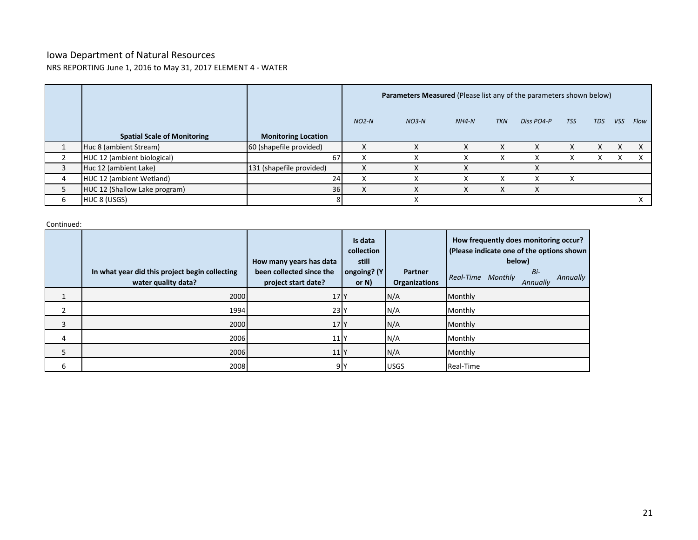### Iowa Department of Natural Resources NRS REPORTING June 1, 2016 to May 31, 2017 ELEMENT 4 - WATER

|    |                                    |                            |         | Parameters Measured (Please list any of the parameters shown below) |         |            |            |            |            |            |      |
|----|------------------------------------|----------------------------|---------|---------------------------------------------------------------------|---------|------------|------------|------------|------------|------------|------|
|    | <b>Spatial Scale of Monitoring</b> | <b>Monitoring Location</b> | $NO2-N$ | $NO3-N$                                                             | $NH4-N$ | <b>TKN</b> | Diss PO4-P | <b>TSS</b> | <b>TDS</b> | <b>VSS</b> | Flow |
|    | Huc 8 (ambient Stream)             | 60 (shapefile provided)    |         |                                                                     |         | ᄉ          |            |            | X          |            |      |
|    | HUC 12 (ambient biological)        | 67                         |         |                                                                     |         | χ          |            |            | X          |            |      |
|    | Huc 12 (ambient Lake)              | 131 (shapefile provided)   | X       |                                                                     |         |            |            |            |            |            |      |
| 4  | HUC 12 (ambient Wetland)           | 24                         |         |                                                                     |         | л          | v          |            |            |            |      |
| 5. | HUC 12 (Shallow Lake program)      | 36                         |         |                                                                     |         |            |            |            |            |            |      |
| 6  | HUC 8 (USGS)                       |                            |         |                                                                     |         |            |            |            |            |            |      |

Continued:

|   | In what year did this project begin collecting<br>water quality data? | How many years has data<br>been collected since the<br>project start date? | Is data<br>collection<br>still<br>ongoing? (Y<br>or $N$ ) | <b>Partner</b><br><b>Organizations</b> | How frequently does monitoring occur?<br>(Please indicate one of the options shown<br>below)<br>Bi-<br>Real-Time Monthly<br>Annually<br>Annually |
|---|-----------------------------------------------------------------------|----------------------------------------------------------------------------|-----------------------------------------------------------|----------------------------------------|--------------------------------------------------------------------------------------------------------------------------------------------------|
|   | 2000                                                                  | 17 <sup>N</sup>                                                            |                                                           | N/A                                    | Monthly                                                                                                                                          |
|   | 1994                                                                  | 23                                                                         |                                                           | N/A                                    | Monthly                                                                                                                                          |
| 3 | 2000                                                                  | 17 <sup>N</sup>                                                            |                                                           | N/A                                    | Monthly                                                                                                                                          |
| 4 | 2006                                                                  | 11 <sup>N</sup>                                                            |                                                           | N/A                                    | Monthly                                                                                                                                          |
| 5 | 2006                                                                  | 11 <sup>N</sup>                                                            |                                                           | N/A                                    | Monthly                                                                                                                                          |
| 6 | 2008                                                                  | 9 <sub>Y</sub>                                                             |                                                           | <b>USGS</b>                            | Real-Time                                                                                                                                        |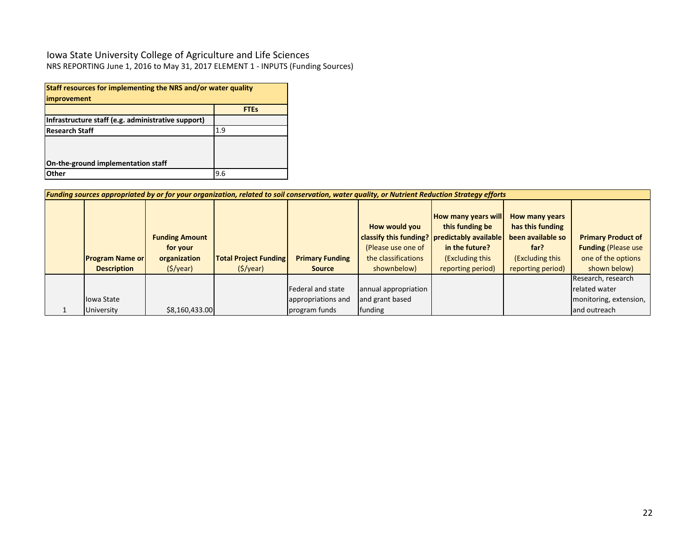### Iowa State University College of Agriculture and Life Sciences NRS REPORTING June 1, 2016 to May 31, 2017 ELEMENT 1 - INPUTS (Funding Sources)

| Staff resources for implementing the NRS and/or water quality<br>improvement |             |  |  |  |  |  |  |
|------------------------------------------------------------------------------|-------------|--|--|--|--|--|--|
|                                                                              | <b>FTEs</b> |  |  |  |  |  |  |
| Infrastructure staff (e.g. administrative support)                           |             |  |  |  |  |  |  |
| <b>Research Staff</b><br>1.9                                                 |             |  |  |  |  |  |  |
|                                                                              |             |  |  |  |  |  |  |
| On-the-ground implementation staff                                           |             |  |  |  |  |  |  |
| Other                                                                        | 9.6         |  |  |  |  |  |  |

| Funding sources appropriated by or for your organization, related to soil conservation, water quality, or Nutrient Reduction Strategy efforts |                                                   |                              |                        |                                                            |                                                                                                                                      |                                                                                    |                                                                                |  |  |  |
|-----------------------------------------------------------------------------------------------------------------------------------------------|---------------------------------------------------|------------------------------|------------------------|------------------------------------------------------------|--------------------------------------------------------------------------------------------------------------------------------------|------------------------------------------------------------------------------------|--------------------------------------------------------------------------------|--|--|--|
| <b>Program Name or</b>                                                                                                                        | <b>Funding Amount</b><br>for your<br>organization | <b>Total Project Funding</b> | <b>Primary Funding</b> | How would you<br>(Please use one of<br>the classifications | <b>How many years will</b><br>this funding be<br>classify this funding?   predictably available<br>in the future?<br>(Excluding this | How many years<br>has this funding<br>been available so<br>far?<br>(Excluding this | <b>Primary Product of</b><br><b>Funding (Please use)</b><br>one of the options |  |  |  |
|                                                                                                                                               |                                                   |                              |                        |                                                            |                                                                                                                                      |                                                                                    |                                                                                |  |  |  |
| <b>Description</b>                                                                                                                            | $(\frac{1}{2})\sqrt{2}$                           | $(\frac{1}{2})$              | <b>Source</b>          | shownbelow)                                                | reporting period)                                                                                                                    | reporting period)                                                                  | shown below)                                                                   |  |  |  |
|                                                                                                                                               |                                                   |                              |                        |                                                            |                                                                                                                                      |                                                                                    | Research, research                                                             |  |  |  |
|                                                                                                                                               |                                                   |                              | Federal and state      | annual appropriation                                       |                                                                                                                                      |                                                                                    | related water                                                                  |  |  |  |
| lowa State                                                                                                                                    |                                                   |                              | appropriations and     | and grant based                                            |                                                                                                                                      |                                                                                    | monitoring, extension,                                                         |  |  |  |
| University                                                                                                                                    | \$8,160,433.00                                    |                              | program funds          | funding                                                    |                                                                                                                                      |                                                                                    | and outreach                                                                   |  |  |  |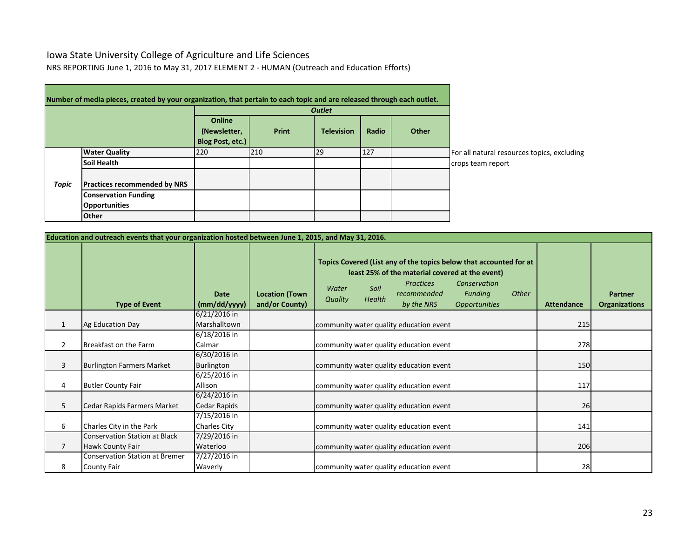## Iowa State University College of Agriculture and Life Sciences

NRS REPORTING June 1, 2016 to May 31, 2017 ELEMENT 2 - HUMAN (Outreach and Education Efforts)

|              | Number of media pieces, created by your organization, that pertain to each topic and are released through each outlet. |                  |       |                   |       |              |                                             |
|--------------|------------------------------------------------------------------------------------------------------------------------|------------------|-------|-------------------|-------|--------------|---------------------------------------------|
|              |                                                                                                                        |                  |       |                   |       |              |                                             |
|              |                                                                                                                        | Online           |       |                   |       |              |                                             |
|              |                                                                                                                        | (Newsletter,     | Print | <b>Television</b> | Radio | <b>Other</b> |                                             |
|              |                                                                                                                        | Blog Post, etc.) |       |                   |       |              |                                             |
|              | <b>Water Quality</b>                                                                                                   | 220              | 210   | 29                | 127   |              | For all natural resources topics, excluding |
|              | <b>Soil Health</b>                                                                                                     |                  |       |                   |       |              | crops team report                           |
|              |                                                                                                                        |                  |       |                   |       |              |                                             |
| <b>Topic</b> | <b>Practices recommended by NRS</b>                                                                                    |                  |       |                   |       |              |                                             |
|              | <b>Conservation Funding</b>                                                                                            |                  |       |                   |       |              |                                             |
|              | <b>Opportunities</b>                                                                                                   |                  |       |                   |       |              |                                             |
|              | <b>Other</b>                                                                                                           |                  |       |                   |       |              |                                             |

÷

|                | Education and outreach events that your organization hosted between June 1, 2015, and May 31, 2016. |                                     |                                         |                  |                       |                                                                                                                                                                        |                                                        |       |                   |                                        |
|----------------|-----------------------------------------------------------------------------------------------------|-------------------------------------|-----------------------------------------|------------------|-----------------------|------------------------------------------------------------------------------------------------------------------------------------------------------------------------|--------------------------------------------------------|-------|-------------------|----------------------------------------|
|                | <b>Type of Event</b>                                                                                | <b>Date</b><br>(mm/dd/yyyy)         | <b>Location (Town</b><br>and/or County) | Water<br>Quality | Soil<br><b>Health</b> | Topics Covered (List any of the topics below that accounted for at<br>least 25% of the material covered at the event)<br><b>Practices</b><br>recommended<br>by the NRS | Conservation<br>Funding<br><i><b>Opportunities</b></i> | Other | <b>Attendance</b> | <b>Partner</b><br><b>Organizations</b> |
| $\mathbf{1}$   | Ag Education Day                                                                                    | $6/21/2016$ in<br>Marshalltown      |                                         |                  |                       | community water quality education event                                                                                                                                |                                                        |       | 215               |                                        |
| $\overline{2}$ | Breakfast on the Farm                                                                               | 6/18/2016 in<br>Calmar              |                                         |                  |                       | community water quality education event                                                                                                                                |                                                        |       | 278               |                                        |
| 3              | <b>Burlington Farmers Market</b>                                                                    | 6/30/2016 in<br>Burlington          |                                         |                  |                       | community water quality education event                                                                                                                                |                                                        |       | 150               |                                        |
| 4              | <b>Butler County Fair</b>                                                                           | 6/25/2016 in<br>Allison             |                                         |                  |                       | community water quality education event                                                                                                                                |                                                        |       | 117               |                                        |
| 5              | Cedar Rapids Farmers Market                                                                         | 6/24/2016 in<br>Cedar Rapids        |                                         |                  |                       | community water quality education event                                                                                                                                |                                                        |       | 26                |                                        |
| 6              | Charles City in the Park                                                                            | 7/15/2016 in<br><b>Charles City</b> |                                         |                  |                       | community water quality education event                                                                                                                                |                                                        |       | 141               |                                        |
| $\overline{7}$ | <b>Conservation Station at Black</b><br>Hawk County Fair                                            | 7/29/2016 in<br>Waterloo            |                                         |                  |                       | community water quality education event                                                                                                                                |                                                        |       | 206               |                                        |
| 8              | <b>Conservation Station at Bremer</b><br><b>County Fair</b>                                         | 7/27/2016 in<br>Waverly             |                                         |                  |                       | community water quality education event                                                                                                                                |                                                        |       | 28                |                                        |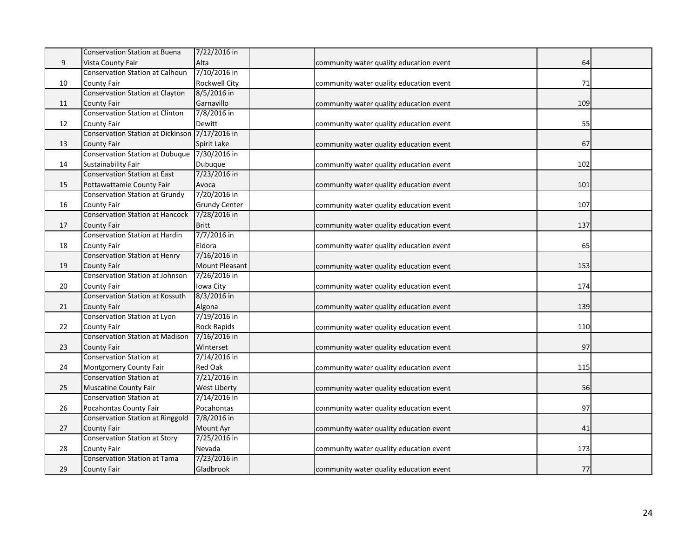|    | <b>Conservation Station at Buena</b>     | 7/22/2016 in          |                                         |     |  |
|----|------------------------------------------|-----------------------|-----------------------------------------|-----|--|
| 9  | Vista County Fair                        | Alta                  | community water quality education event | 64  |  |
|    | Conservation Station at Calhoun          | 7/10/2016 in          |                                         |     |  |
| 10 | County Fair                              | <b>Rockwell City</b>  | community water quality education event | 71  |  |
|    | <b>Conservation Station at Clayton</b>   | 8/5/2016 in           |                                         |     |  |
| 11 | County Fair                              | Garnavillo            | community water quality education event | 109 |  |
|    | <b>Conservation Station at Clinton</b>   | 7/8/2016 in           |                                         |     |  |
| 12 | County Fair                              | Dewitt                | community water quality education event | 55  |  |
|    | <b>Conservation Station at Dickinson</b> | 7/17/2016 in          |                                         |     |  |
| 13 | County Fair                              | Spirit Lake           | community water quality education event | 67  |  |
|    | <b>Conservation Station at Dubuque</b>   | 7/30/2016 in          |                                         |     |  |
| 14 | Sustainability Fair                      | Dubuque               | community water quality education event | 102 |  |
|    | <b>Conservation Station at East</b>      | 7/23/2016 in          |                                         |     |  |
| 15 | Pottawattamie County Fair                | Avoca                 | community water quality education event | 101 |  |
|    | <b>Conservation Station at Grundy</b>    | 7/20/2016 in          |                                         |     |  |
| 16 | County Fair                              | <b>Grundy Center</b>  | community water quality education event | 107 |  |
|    | <b>Conservation Station at Hancock</b>   | 7/28/2016 in          |                                         |     |  |
| 17 | County Fair                              | <b>Britt</b>          | community water quality education event | 137 |  |
|    | <b>Conservation Station at Hardin</b>    | 7/7/2016 in           |                                         |     |  |
| 18 | County Fair                              | Eldora                | community water quality education event | 65  |  |
|    | <b>Conservation Station at Henry</b>     | 7/16/2016 in          |                                         |     |  |
| 19 | County Fair                              | <b>Mount Pleasant</b> | community water quality education event | 153 |  |
|    | Conservation Station at Johnson          | 7/26/2016 in          |                                         |     |  |
| 20 | County Fair                              | Iowa City             | community water quality education event | 174 |  |
|    | <b>Conservation Station at Kossuth</b>   | 8/3/2016 in           |                                         |     |  |
| 21 | County Fair                              | Algona                | community water quality education event | 139 |  |
|    | <b>Conservation Station at Lyon</b>      | 7/19/2016 in          |                                         |     |  |
| 22 | County Fair                              | <b>Rock Rapids</b>    | community water quality education event | 110 |  |
|    | <b>Conservation Station at Madison</b>   | 7/16/2016 in          |                                         |     |  |
| 23 | County Fair                              | Winterset             | community water quality education event | 97  |  |
|    | Conservation Station at                  | 7/14/2016 in          |                                         |     |  |
| 24 | Montgomery County Fair                   | Red Oak               | community water quality education event | 115 |  |
|    | <b>Conservation Station at</b>           | 7/21/2016 in          |                                         |     |  |
| 25 | <b>Muscatine County Fair</b>             | <b>West Liberty</b>   | community water quality education event | 56  |  |
|    | Conservation Station at                  | 7/14/2016 in          |                                         |     |  |
| 26 | Pocahontas County Fair                   | Pocahontas            | community water quality education event | 97  |  |
|    | <b>Conservation Station at Ringgold</b>  | 7/8/2016 in           |                                         |     |  |
| 27 | <b>County Fair</b>                       | Mount Ayr             | community water quality education event | 41  |  |
|    | <b>Conservation Station at Story</b>     | 7/25/2016 in          |                                         |     |  |
| 28 | County Fair                              | Nevada                | community water quality education event | 173 |  |
|    | <b>Conservation Station at Tama</b>      | 7/23/2016 in          |                                         |     |  |
| 29 | County Fair                              | Gladbrook             | community water quality education event | 77  |  |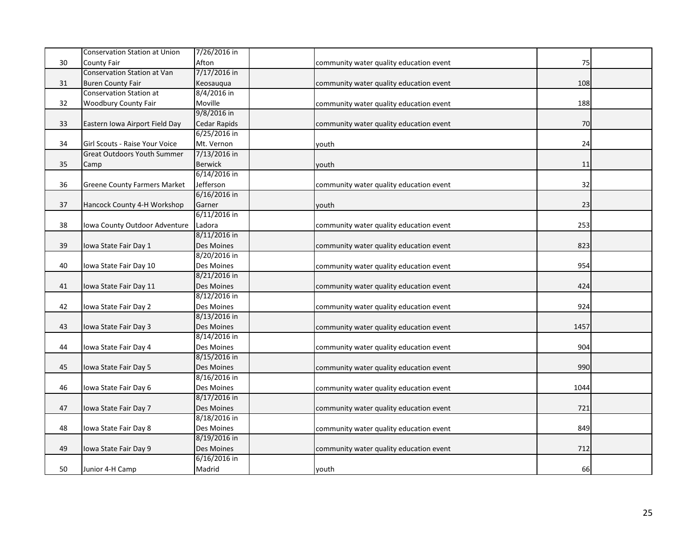|    | <b>Conservation Station at Union</b> | 7/26/2016 in        |                                         |      |  |
|----|--------------------------------------|---------------------|-----------------------------------------|------|--|
| 30 | <b>County Fair</b>                   | Afton               | community water quality education event | 75   |  |
|    | <b>Conservation Station at Van</b>   | 7/17/2016 in        |                                         |      |  |
| 31 | <b>Buren County Fair</b>             | Keosauqua           | community water quality education event | 108  |  |
|    | <b>Conservation Station at</b>       | 8/4/2016 in         |                                         |      |  |
| 32 | <b>Woodbury County Fair</b>          | Moville             | community water quality education event | 188  |  |
|    |                                      | 9/8/2016 in         |                                         |      |  |
| 33 | Eastern Iowa Airport Field Day       | <b>Cedar Rapids</b> | community water quality education event | 70   |  |
|    |                                      | 6/25/2016 in        |                                         |      |  |
| 34 | Girl Scouts - Raise Your Voice       | Mt. Vernon          | youth                                   | 24   |  |
|    | <b>Great Outdoors Youth Summer</b>   | 7/13/2016 in        |                                         |      |  |
| 35 | Camp                                 | <b>Berwick</b>      | youth                                   | 11   |  |
|    |                                      | 6/14/2016 in        |                                         |      |  |
| 36 | <b>Greene County Farmers Market</b>  | Jefferson           | community water quality education event | 32   |  |
|    |                                      | 6/16/2016 in        |                                         |      |  |
| 37 | Hancock County 4-H Workshop          | Garner              | youth                                   | 23   |  |
|    |                                      | 6/11/2016 in        |                                         |      |  |
| 38 | Iowa County Outdoor Adventure        | Ladora              | community water quality education event | 253  |  |
|    |                                      | 8/11/2016 in        |                                         |      |  |
| 39 | Iowa State Fair Day 1                | Des Moines          | community water quality education event | 823  |  |
|    |                                      | 8/20/2016 in        |                                         |      |  |
| 40 | lowa State Fair Day 10               | Des Moines          | community water quality education event | 954  |  |
|    |                                      | 8/21/2016 in        |                                         |      |  |
| 41 | Iowa State Fair Day 11               | Des Moines          | community water quality education event | 424  |  |
|    |                                      | 8/12/2016 in        |                                         |      |  |
| 42 | Iowa State Fair Day 2                | Des Moines          | community water quality education event | 924  |  |
|    |                                      | 8/13/2016 in        |                                         |      |  |
| 43 | Iowa State Fair Day 3                | Des Moines          | community water quality education event | 1457 |  |
|    |                                      | 8/14/2016 in        |                                         |      |  |
| 44 | Iowa State Fair Day 4                | Des Moines          | community water quality education event | 904  |  |
|    |                                      | 8/15/2016 in        |                                         |      |  |
| 45 | Iowa State Fair Day 5                | Des Moines          | community water quality education event | 990  |  |
|    |                                      | 8/16/2016 in        |                                         |      |  |
| 46 | lowa State Fair Day 6                | Des Moines          | community water quality education event | 1044 |  |
|    |                                      | 8/17/2016 in        |                                         |      |  |
| 47 | Iowa State Fair Day 7                | Des Moines          | community water quality education event | 721  |  |
|    |                                      | 8/18/2016 in        |                                         |      |  |
| 48 | Iowa State Fair Day 8                | Des Moines          | community water quality education event | 849  |  |
|    |                                      | 8/19/2016 in        |                                         |      |  |
| 49 | Iowa State Fair Day 9                | Des Moines          | community water quality education event | 712  |  |
|    |                                      | 6/16/2016 in        |                                         |      |  |
| 50 | Junior 4-H Camp                      | Madrid              | youth                                   | 66   |  |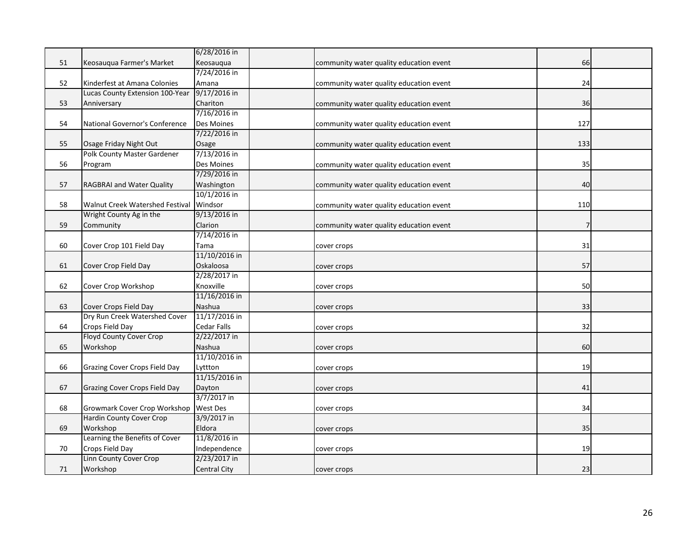|    |                                      | 6/28/2016 in        |                                         |     |  |
|----|--------------------------------------|---------------------|-----------------------------------------|-----|--|
| 51 | Keosauqua Farmer's Market            | Keosauqua           | community water quality education event | 66  |  |
|    |                                      | 7/24/2016 in        |                                         |     |  |
| 52 | Kinderfest at Amana Colonies         | Amana               | community water quality education event | 24  |  |
|    | Lucas County Extension 100-Year      | 9/17/2016 in        |                                         |     |  |
| 53 | Anniversary                          | Chariton            | community water quality education event | 36  |  |
|    |                                      | 7/16/2016 in        |                                         |     |  |
| 54 | National Governor's Conference       | Des Moines          | community water quality education event | 127 |  |
|    |                                      | 7/22/2016 in        |                                         |     |  |
| 55 | Osage Friday Night Out               | Osage               | community water quality education event | 133 |  |
|    | <b>Polk County Master Gardener</b>   | 7/13/2016 in        |                                         |     |  |
| 56 | Program                              | Des Moines          | community water quality education event | 35  |  |
|    |                                      | 7/29/2016 in        |                                         |     |  |
| 57 | RAGBRAI and Water Quality            | Washington          | community water quality education event | 40  |  |
|    |                                      | 10/1/2016 in        |                                         |     |  |
| 58 | Walnut Creek Watershed Festival      | Windsor             | community water quality education event | 110 |  |
|    | Wright County Ag in the              | 9/13/2016 in        |                                         |     |  |
| 59 | Community                            | Clarion             | community water quality education event |     |  |
|    |                                      | 7/14/2016 in        |                                         |     |  |
| 60 | Cover Crop 101 Field Day             | Tama                | cover crops                             | 31  |  |
|    |                                      | 11/10/2016 in       |                                         |     |  |
| 61 | Cover Crop Field Day                 | Oskaloosa           | cover crops                             | 57  |  |
|    |                                      | 2/28/2017 in        |                                         |     |  |
| 62 | Cover Crop Workshop                  | Knoxville           | cover crops                             | 50  |  |
|    |                                      | 11/16/2016 in       |                                         |     |  |
| 63 | Cover Crops Field Day                | Nashua              | cover crops                             | 33  |  |
|    | Dry Run Creek Watershed Cover        | 11/17/2016 in       |                                         |     |  |
| 64 | Crops Field Day                      | Cedar Falls         | cover crops                             | 32  |  |
|    | Floyd County Cover Crop              | 2/22/2017 in        |                                         |     |  |
| 65 | Workshop                             | <b>Nashua</b>       | cover crops                             | 60  |  |
|    |                                      | 11/10/2016 in       |                                         |     |  |
| 66 | <b>Grazing Cover Crops Field Day</b> | Lyttton             | cover crops                             | 19  |  |
|    |                                      | 11/15/2016 in       |                                         |     |  |
| 67 | <b>Grazing Cover Crops Field Day</b> | Dayton              | cover crops                             | 41  |  |
|    |                                      | 3/7/2017 in         |                                         |     |  |
| 68 | Growmark Cover Crop Workshop         | West Des            | cover crops                             | 34  |  |
|    | Hardin County Cover Crop             | 3/9/2017 in         |                                         |     |  |
| 69 | Workshop                             | Eldora              | cover crops                             | 35  |  |
|    | Learning the Benefits of Cover       | 11/8/2016 in        |                                         |     |  |
| 70 | Crops Field Day                      | Independence        | cover crops                             | 19  |  |
|    | <b>Linn County Cover Crop</b>        | 2/23/2017 in        |                                         |     |  |
| 71 | Workshop                             | <b>Central City</b> | cover crops                             | 23  |  |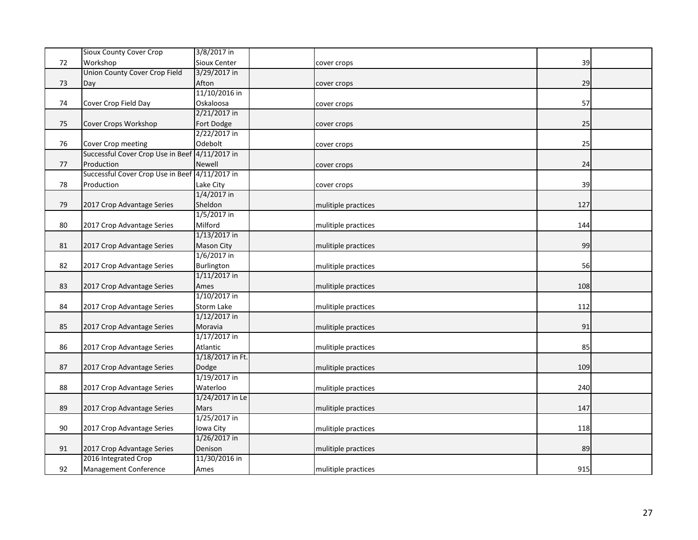|    | Sioux County Cover Crop              | 3/8/2017 in       |                     |     |  |
|----|--------------------------------------|-------------------|---------------------|-----|--|
| 72 | Workshop                             | Sioux Center      | cover crops         | 39  |  |
|    | <b>Union County Cover Crop Field</b> | 3/29/2017 in      |                     |     |  |
| 73 | Day                                  | Afton             | cover crops         | 29  |  |
|    |                                      | 11/10/2016 in     |                     |     |  |
| 74 | Cover Crop Field Day                 | Oskaloosa         | cover crops         | 57  |  |
|    |                                      | 2/21/2017 in      |                     |     |  |
| 75 | Cover Crops Workshop                 | Fort Dodge        | cover crops         | 25  |  |
|    |                                      | 2/22/2017 in      |                     |     |  |
| 76 | Cover Crop meeting                   | Odebolt           | cover crops         | 25  |  |
|    | Successful Cover Crop Use in Beef    | 4/11/2017 in      |                     |     |  |
| 77 | Production                           | Newell            | cover crops         | 24  |  |
|    | Successful Cover Crop Use in Beef    | 4/11/2017 in      |                     |     |  |
| 78 | Production                           | Lake City         | cover crops         | 39  |  |
|    |                                      | 1/4/2017 in       |                     |     |  |
| 79 | 2017 Crop Advantage Series           | Sheldon           | mulitiple practices | 127 |  |
|    |                                      | 1/5/2017 in       |                     |     |  |
| 80 | 2017 Crop Advantage Series           | Milford           | mulitiple practices | 144 |  |
|    |                                      | 1/13/2017 in      |                     |     |  |
| 81 | 2017 Crop Advantage Series           | <b>Mason City</b> | mulitiple practices | 99  |  |
|    |                                      | 1/6/2017 in       |                     |     |  |
| 82 | 2017 Crop Advantage Series           | Burlington        | mulitiple practices | 56  |  |
|    |                                      | $1/11/2017$ in    |                     |     |  |
| 83 | 2017 Crop Advantage Series           | Ames              | mulitiple practices | 108 |  |
|    |                                      | 1/10/2017 in      |                     |     |  |
| 84 | 2017 Crop Advantage Series           | <b>Storm Lake</b> | mulitiple practices | 112 |  |
|    |                                      | $1/12/2017$ in    |                     |     |  |
| 85 | 2017 Crop Advantage Series           | Moravia           | mulitiple practices | 91  |  |
|    |                                      | $1/17/2017$ in    |                     |     |  |
| 86 | 2017 Crop Advantage Series           | Atlantic          | mulitiple practices | 85  |  |
|    |                                      | 1/18/2017 in Ft.  |                     |     |  |
| 87 | 2017 Crop Advantage Series           | Dodge             | mulitiple practices | 109 |  |
|    |                                      | 1/19/2017 in      |                     |     |  |
| 88 | 2017 Crop Advantage Series           | Waterloo          | mulitiple practices | 240 |  |
|    |                                      | 1/24/2017 in Le   |                     |     |  |
| 89 | 2017 Crop Advantage Series           | Mars              | mulitiple practices | 147 |  |
|    |                                      | 1/25/2017 in      |                     |     |  |
| 90 | 2017 Crop Advantage Series           | Iowa City         | mulitiple practices | 118 |  |
|    |                                      | 1/26/2017 in      |                     |     |  |
| 91 | 2017 Crop Advantage Series           | Denison           | mulitiple practices | 89  |  |
|    | 2016 Integrated Crop                 | 11/30/2016 in     |                     |     |  |
| 92 | Management Conference                | Ames              | mulitiple practices | 915 |  |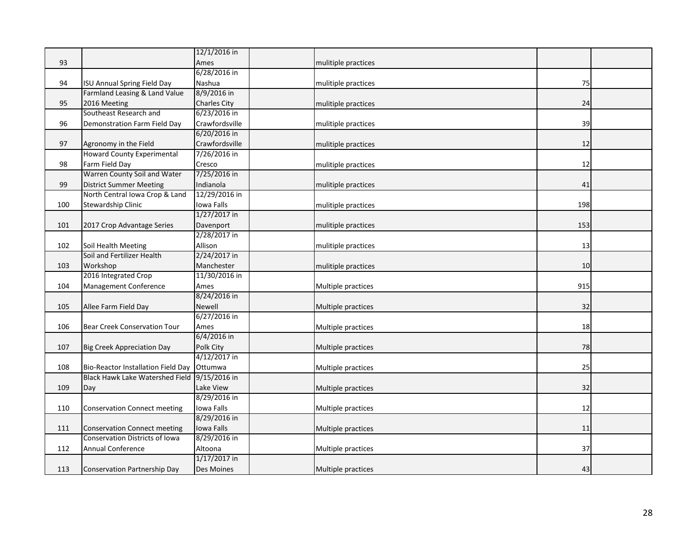|     |                                           | 12/1/2016 in        |                     |     |  |
|-----|-------------------------------------------|---------------------|---------------------|-----|--|
| 93  |                                           | Ames                | mulitiple practices |     |  |
|     |                                           | 6/28/2016 in        |                     |     |  |
| 94  | <b>ISU Annual Spring Field Day</b>        | Nashua              | mulitiple practices | 75  |  |
|     | Farmland Leasing & Land Value             | 8/9/2016 in         |                     |     |  |
| 95  | 2016 Meeting                              | <b>Charles City</b> | mulitiple practices | 24  |  |
|     | Southeast Research and                    | 6/23/2016 in        |                     |     |  |
| 96  | Demonstration Farm Field Day              | Crawfordsville      | mulitiple practices | 39  |  |
|     |                                           | 6/20/2016 in        |                     |     |  |
| 97  | Agronomy in the Field                     | Crawfordsville      | mulitiple practices | 12  |  |
|     | <b>Howard County Experimental</b>         | 7/26/2016 in        |                     |     |  |
| 98  | Farm Field Day                            | Cresco              | mulitiple practices | 12  |  |
|     | Warren County Soil and Water              | 7/25/2016 in        |                     |     |  |
| 99  | <b>District Summer Meeting</b>            | Indianola           | mulitiple practices | 41  |  |
|     | North Central Iowa Crop & Land            | 12/29/2016 in       |                     |     |  |
| 100 | Stewardship Clinic                        | Iowa Falls          | mulitiple practices | 198 |  |
|     |                                           | 1/27/2017 in        |                     |     |  |
| 101 | 2017 Crop Advantage Series                | Davenport           | mulitiple practices | 153 |  |
|     |                                           | 2/28/2017 in        |                     |     |  |
| 102 | Soil Health Meeting                       | Allison             | mulitiple practices | 13  |  |
|     | Soil and Fertilizer Health                | 2/24/2017 in        |                     |     |  |
| 103 | Workshop                                  | Manchester          | mulitiple practices | 10  |  |
|     | 2016 Integrated Crop                      | 11/30/2016 in       |                     |     |  |
| 104 | Management Conference                     | Ames                | Multiple practices  | 915 |  |
|     |                                           | 8/24/2016 in        |                     |     |  |
| 105 | Allee Farm Field Day                      | Newell              | Multiple practices  | 32  |  |
|     |                                           | 6/27/2016 in        |                     |     |  |
| 106 | <b>Bear Creek Conservation Tour</b>       | Ames                | Multiple practices  | 18  |  |
|     |                                           | 6/4/2016 in         |                     |     |  |
| 107 | <b>Big Creek Appreciation Day</b>         | Polk City           | Multiple practices  | 78  |  |
|     |                                           | 4/12/2017 in        |                     |     |  |
| 108 | <b>Bio-Reactor Installation Field Day</b> | Ottumwa             | Multiple practices  | 25  |  |
|     | <b>Black Hawk Lake Watershed Field</b>    | 9/15/2016 in        |                     |     |  |
| 109 | Day                                       | Lake View           | Multiple practices  | 32  |  |
|     |                                           | 8/29/2016 in        |                     |     |  |
| 110 | <b>Conservation Connect meeting</b>       | Iowa Falls          | Multiple practices  | 12  |  |
|     |                                           | 8/29/2016 in        |                     |     |  |
| 111 | <b>Conservation Connect meeting</b>       | Iowa Falls          | Multiple practices  | 11  |  |
|     | <b>Conservation Districts of Iowa</b>     | 8/29/2016 in        |                     |     |  |
| 112 | <b>Annual Conference</b>                  | Altoona             | Multiple practices  | 37  |  |
|     |                                           | $1/17/2017$ in      |                     |     |  |
| 113 | Conservation Partnership Day              | Des Moines          | Multiple practices  | 43  |  |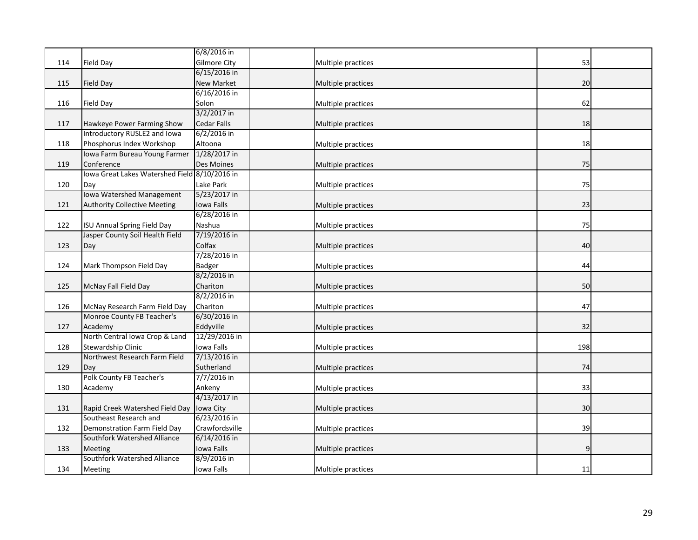|     |                                               | 6/8/2016 in         |                    |     |  |
|-----|-----------------------------------------------|---------------------|--------------------|-----|--|
| 114 | Field Day                                     | <b>Gilmore City</b> | Multiple practices | 53  |  |
|     |                                               | 6/15/2016 in        |                    |     |  |
| 115 | Field Day                                     | New Market          | Multiple practices | 20  |  |
|     |                                               | 6/16/2016 in        |                    |     |  |
| 116 | Field Day                                     | Solon               | Multiple practices | 62  |  |
|     |                                               | 3/2/2017 in         |                    |     |  |
| 117 | Hawkeye Power Farming Show                    | <b>Cedar Falls</b>  | Multiple practices | 18  |  |
|     | Introductory RUSLE2 and Iowa                  | 6/2/2016 in         |                    |     |  |
| 118 | Phosphorus Index Workshop                     | Altoona             | Multiple practices | 18  |  |
|     | Iowa Farm Bureau Young Farmer                 | 1/28/2017 in        |                    |     |  |
| 119 | Conference                                    | Des Moines          | Multiple practices | 75  |  |
|     | lowa Great Lakes Watershed Field 8/10/2016 in |                     |                    |     |  |
| 120 | Day                                           | Lake Park           | Multiple practices | 75  |  |
|     | <b>Iowa Watershed Management</b>              | 5/23/2017 in        |                    |     |  |
| 121 | <b>Authority Collective Meeting</b>           | Iowa Falls          | Multiple practices | 23  |  |
|     |                                               | 6/28/2016 in        |                    |     |  |
| 122 | <b>ISU Annual Spring Field Day</b>            | Nashua              | Multiple practices | 75  |  |
|     | Jasper County Soil Health Field               | 7/19/2016 in        |                    |     |  |
| 123 | Day                                           | Colfax              | Multiple practices | 40  |  |
|     |                                               | 7/28/2016 in        |                    |     |  |
| 124 | Mark Thompson Field Day                       | <b>Badger</b>       | Multiple practices | 44  |  |
|     |                                               | 8/2/2016 in         |                    |     |  |
| 125 | McNay Fall Field Day                          | Chariton            | Multiple practices | 50  |  |
|     |                                               | 8/2/2016 in         |                    |     |  |
| 126 | McNay Research Farm Field Day                 | Chariton            | Multiple practices | 47  |  |
|     | Monroe County FB Teacher's                    | 6/30/2016 in        |                    |     |  |
| 127 | Academy                                       | Eddyville           | Multiple practices | 32  |  |
|     | North Central Iowa Crop & Land                | 12/29/2016 in       |                    |     |  |
| 128 | Stewardship Clinic                            | Iowa Falls          | Multiple practices | 198 |  |
|     | Northwest Research Farm Field                 | 7/13/2016 in        |                    |     |  |
| 129 | Day                                           | Sutherland          | Multiple practices | 74  |  |
|     | Polk County FB Teacher's                      | 7/7/2016 in         |                    |     |  |
| 130 | Academy                                       | Ankeny              | Multiple practices | 33  |  |
|     |                                               | 4/13/2017 in        |                    |     |  |
| 131 | Rapid Creek Watershed Field Day               | Iowa City           | Multiple practices | 30  |  |
|     | Southeast Research and                        | 6/23/2016 in        |                    |     |  |
| 132 | Demonstration Farm Field Day                  | Crawfordsville      | Multiple practices | 39  |  |
|     | Southfork Watershed Alliance                  | 6/14/2016 in        |                    |     |  |
| 133 | Meeting                                       | Iowa Falls          | Multiple practices | q   |  |
|     | Southfork Watershed Alliance                  | 8/9/2016 in         |                    |     |  |
| 134 | Meeting                                       | Iowa Falls          | Multiple practices | 11  |  |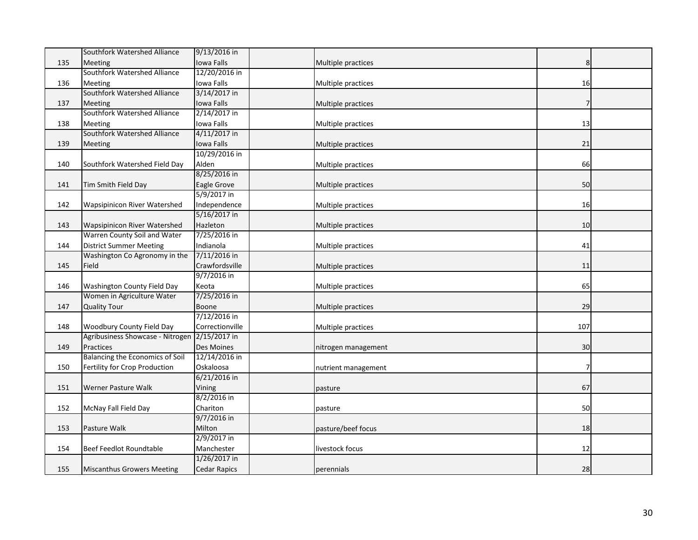|     | Southfork Watershed Alliance        | 9/13/2016 in        |                     |     |  |
|-----|-------------------------------------|---------------------|---------------------|-----|--|
| 135 | <b>Meeting</b>                      | Iowa Falls          | Multiple practices  | 8   |  |
|     | Southfork Watershed Alliance        | 12/20/2016 in       |                     |     |  |
| 136 | <b>Meeting</b>                      | Iowa Falls          | Multiple practices  | 16  |  |
|     | Southfork Watershed Alliance        | 3/14/2017 in        |                     |     |  |
| 137 | Meeting                             | Iowa Falls          | Multiple practices  |     |  |
|     | Southfork Watershed Alliance        | 2/14/2017 in        |                     |     |  |
| 138 | <b>Meeting</b>                      | Iowa Falls          | Multiple practices  | 13  |  |
|     | <b>Southfork Watershed Alliance</b> | 4/11/2017 in        |                     |     |  |
| 139 | Meeting                             | Iowa Falls          | Multiple practices  | 21  |  |
|     |                                     | 10/29/2016 in       |                     |     |  |
| 140 | Southfork Watershed Field Day       | Alden               | Multiple practices  | 66  |  |
|     |                                     | 8/25/2016 in        |                     |     |  |
| 141 | Tim Smith Field Day                 | Eagle Grove         | Multiple practices  | 50  |  |
|     |                                     | 5/9/2017 in         |                     |     |  |
| 142 | Wapsipinicon River Watershed        | Independence        | Multiple practices  | 16  |  |
|     |                                     | 5/16/2017 in        |                     |     |  |
| 143 | <b>Wapsipinicon River Watershed</b> | Hazleton            | Multiple practices  | 10  |  |
|     | Warren County Soil and Water        | 7/25/2016 in        |                     |     |  |
| 144 | <b>District Summer Meeting</b>      | Indianola           | Multiple practices  | 41  |  |
|     | Washington Co Agronomy in the       | 7/11/2016 in        |                     |     |  |
| 145 | Field                               | Crawfordsville      | Multiple practices  | 11  |  |
|     |                                     | 9/7/2016 in         |                     |     |  |
| 146 | Washington County Field Day         | Keota               | Multiple practices  | 65  |  |
|     | Women in Agriculture Water          | 7/25/2016 in        |                     |     |  |
| 147 | <b>Quality Tour</b>                 | Boone               | Multiple practices  | 29  |  |
|     |                                     | 7/12/2016 in        |                     |     |  |
| 148 | Woodbury County Field Day           | Correctionville     | Multiple practices  | 107 |  |
|     | Agribusiness Showcase - Nitrogen    | 2/15/2017 in        |                     |     |  |
| 149 | Practices                           | <b>Des Moines</b>   | nitrogen management | 30  |  |
|     | Balancing the Economics of Soil     | 12/14/2016 in       |                     |     |  |
| 150 | Fertility for Crop Production       | Oskaloosa           | nutrient management |     |  |
|     |                                     | 6/21/2016 in        |                     |     |  |
| 151 | Werner Pasture Walk                 | Vining              | pasture             | 67  |  |
|     |                                     | 8/2/2016 in         |                     |     |  |
| 152 | McNay Fall Field Day                | Chariton            | pasture             | 50  |  |
|     |                                     | 9/7/2016 in         |                     |     |  |
| 153 | Pasture Walk                        | Milton              | pasture/beef focus  | 18  |  |
|     |                                     | 2/9/2017 in         |                     |     |  |
| 154 | Beef Feedlot Roundtable             | Manchester          | livestock focus     | 12  |  |
|     |                                     | 1/26/2017 in        |                     |     |  |
| 155 | <b>Miscanthus Growers Meeting</b>   | <b>Cedar Rapics</b> | perennials          | 28  |  |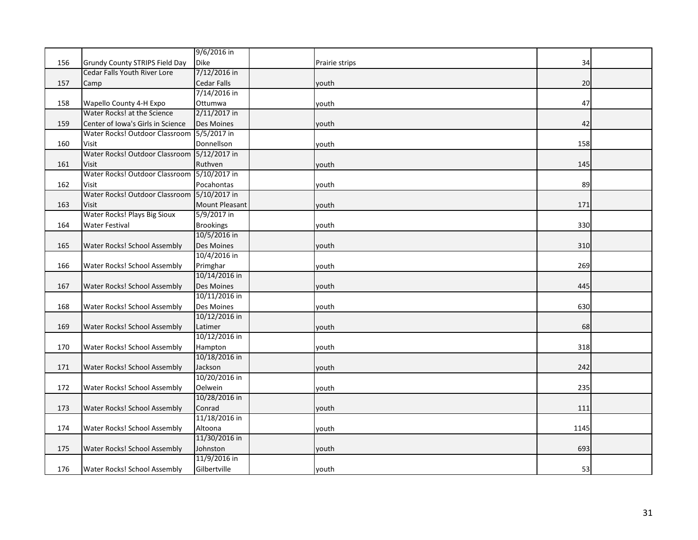|     |                                             | 9/6/2016 in        |                |      |  |
|-----|---------------------------------------------|--------------------|----------------|------|--|
| 156 | Grundy County STRIPS Field Day              | <b>Dike</b>        | Prairie strips | 34   |  |
|     | Cedar Falls Youth River Lore                | 7/12/2016 in       |                |      |  |
| 157 | Camp                                        | <b>Cedar Falls</b> | youth          | 20   |  |
|     |                                             | 7/14/2016 in       |                |      |  |
| 158 | Wapello County 4-H Expo                     | Ottumwa            | youth          | 47   |  |
|     | Water Rocks! at the Science                 | 2/11/2017 in       |                |      |  |
| 159 | Center of Iowa's Girls in Science           | Des Moines         | youth          | 42   |  |
|     | Water Rocks! Outdoor Classroom 5/5/2017 in  |                    |                |      |  |
| 160 | Visit                                       | Donnellson         | youth          | 158  |  |
|     | Water Rocks! Outdoor Classroom 5/12/2017 in |                    |                |      |  |
| 161 | <b>Visit</b>                                | Ruthven            | youth          | 145  |  |
|     | Water Rocks! Outdoor Classroom              | 5/10/2017 in       |                |      |  |
| 162 | <b>Visit</b>                                | Pocahontas         | youth          | 89   |  |
|     | Water Rocks! Outdoor Classroom 5/10/2017 in |                    |                |      |  |
| 163 | <b>Visit</b>                                | Mount Pleasant     | youth          | 171  |  |
|     | Water Rocks! Plays Big Sioux                | 5/9/2017 in        |                |      |  |
| 164 | <b>Water Festival</b>                       | <b>Brookings</b>   | youth          | 330  |  |
|     |                                             | 10/5/2016 in       |                |      |  |
| 165 | Water Rocks! School Assembly                | Des Moines         | youth          | 310  |  |
|     |                                             | 10/4/2016 in       |                |      |  |
| 166 | Water Rocks! School Assembly                | Primghar           | youth          | 269  |  |
|     |                                             | 10/14/2016 in      |                |      |  |
| 167 | Water Rocks! School Assembly                | <b>Des Moines</b>  | youth          | 445  |  |
|     |                                             | 10/11/2016 in      |                |      |  |
| 168 | Water Rocks! School Assembly                | Des Moines         | youth          | 630  |  |
|     |                                             | 10/12/2016 in      |                |      |  |
| 169 | Water Rocks! School Assembly                | Latimer            | youth          | 68   |  |
|     |                                             | 10/12/2016 in      |                |      |  |
| 170 | Water Rocks! School Assembly                | Hampton            | youth          | 318  |  |
|     |                                             | 10/18/2016 in      |                |      |  |
| 171 | Water Rocks! School Assembly                | Jackson            | youth          | 242  |  |
|     |                                             | 10/20/2016 in      |                |      |  |
| 172 | Water Rocks! School Assembly                | Oelwein            | youth          | 235  |  |
|     |                                             | 10/28/2016 in      |                |      |  |
| 173 | Water Rocks! School Assembly                | Conrad             | youth          | 111  |  |
|     |                                             | 11/18/2016 in      |                |      |  |
| 174 | Water Rocks! School Assembly                | Altoona            | youth          | 1145 |  |
|     |                                             | 11/30/2016 in      |                |      |  |
| 175 | <b>Water Rocks! School Assembly</b>         | Johnston           | youth          | 693  |  |
|     |                                             | 11/9/2016 in       |                |      |  |
| 176 | Water Rocks! School Assembly                | Gilbertville       | youth          | 53   |  |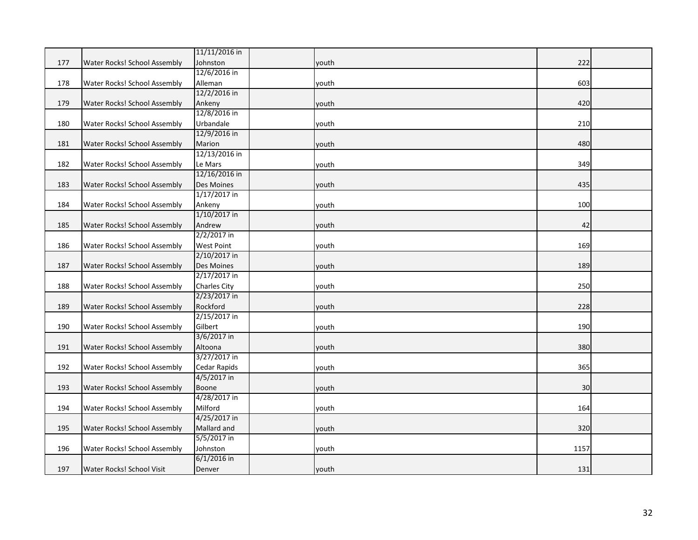|     |                              | 11/11/2016 in       |       |      |  |
|-----|------------------------------|---------------------|-------|------|--|
| 177 | Water Rocks! School Assembly | Johnston            | youth | 222  |  |
|     |                              | 12/6/2016 in        |       |      |  |
| 178 | Water Rocks! School Assembly | Alleman             | youth | 603  |  |
|     |                              | 12/2/2016 in        |       |      |  |
| 179 | Water Rocks! School Assembly | Ankeny              | youth | 420  |  |
|     |                              | 12/8/2016 in        |       |      |  |
| 180 | Water Rocks! School Assembly | Urbandale           | youth | 210  |  |
|     |                              | 12/9/2016 in        |       |      |  |
| 181 | Water Rocks! School Assembly | Marion              | youth | 480  |  |
|     |                              | 12/13/2016 in       |       |      |  |
| 182 | Water Rocks! School Assembly | Le Mars             | youth | 349  |  |
|     |                              | 12/16/2016 in       |       |      |  |
| 183 | Water Rocks! School Assembly | Des Moines          | youth | 435  |  |
|     |                              | $1/17/2017$ in      |       |      |  |
| 184 | Water Rocks! School Assembly | Ankeny              | youth | 100  |  |
|     |                              | 1/10/2017 in        |       |      |  |
| 185 | Water Rocks! School Assembly | Andrew              | youth | 42   |  |
|     |                              | 2/2/2017 in         |       |      |  |
| 186 | Water Rocks! School Assembly | <b>West Point</b>   | youth | 169  |  |
|     |                              | 2/10/2017 in        |       |      |  |
| 187 | Water Rocks! School Assembly | Des Moines          | youth | 189  |  |
|     |                              | 2/17/2017 in        |       |      |  |
| 188 | Water Rocks! School Assembly | <b>Charles City</b> | youth | 250  |  |
|     |                              | 2/23/2017 in        |       |      |  |
| 189 | Water Rocks! School Assembly | Rockford            | youth | 228  |  |
|     |                              | 2/15/2017 in        |       |      |  |
| 190 | Water Rocks! School Assembly | Gilbert             | youth | 190  |  |
|     |                              | 3/6/2017 in         |       |      |  |
| 191 | Water Rocks! School Assembly | Altoona             | youth | 380  |  |
|     |                              | 3/27/2017 in        |       |      |  |
| 192 | Water Rocks! School Assembly | Cedar Rapids        | youth | 365  |  |
|     |                              | 4/5/2017 in         |       |      |  |
| 193 | Water Rocks! School Assembly | <b>Boone</b>        | youth | 30   |  |
|     |                              | 4/28/2017 in        |       |      |  |
| 194 | Water Rocks! School Assembly | Milford             | youth | 164  |  |
|     |                              | 4/25/2017 in        |       |      |  |
| 195 | Water Rocks! School Assembly | Mallard and         | youth | 320  |  |
|     |                              | 5/5/2017 in         |       |      |  |
| 196 | Water Rocks! School Assembly | Johnston            | youth | 1157 |  |
|     |                              | $6/1/2016$ in       |       |      |  |
| 197 | Water Rocks! School Visit    | Denver              | youth | 131  |  |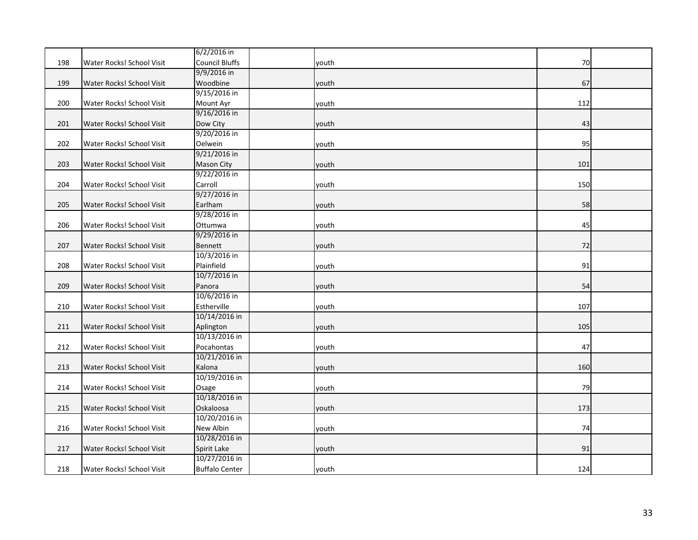|     |                           | 6/2/2016 in           |       |     |  |
|-----|---------------------------|-----------------------|-------|-----|--|
| 198 | Water Rocks! School Visit | <b>Council Bluffs</b> | vouth | 70  |  |
|     |                           | 9/9/2016 in           |       |     |  |
| 199 | Water Rocks! School Visit | Woodbine              | youth | 67  |  |
|     |                           | 9/15/2016 in          |       |     |  |
| 200 | Water Rocks! School Visit | Mount Ayr             | youth | 112 |  |
|     |                           | 9/16/2016 in          |       |     |  |
| 201 | Water Rocks! School Visit | Dow City              | youth | 43  |  |
|     |                           | 9/20/2016 in          |       |     |  |
| 202 | Water Rocks! School Visit | Oelwein               | youth | 95  |  |
|     |                           | 9/21/2016 in          |       |     |  |
| 203 | Water Rocks! School Visit | <b>Mason City</b>     | youth | 101 |  |
|     |                           | 9/22/2016 in          |       |     |  |
| 204 | Water Rocks! School Visit | Carroll               | youth | 150 |  |
|     |                           | 9/27/2016 in          |       |     |  |
| 205 | Water Rocks! School Visit | Earlham               | youth | 58  |  |
|     |                           | 9/28/2016 in          |       |     |  |
| 206 | Water Rocks! School Visit | Ottumwa               | youth | 45  |  |
|     |                           | 9/29/2016 in          |       |     |  |
| 207 | Water Rocks! School Visit | <b>Bennett</b>        | youth | 72  |  |
|     |                           | 10/3/2016 in          |       |     |  |
| 208 | Water Rocks! School Visit | Plainfield            | youth | 91  |  |
|     |                           | 10/7/2016 in          |       |     |  |
| 209 | Water Rocks! School Visit | Panora                | youth | 54  |  |
|     |                           | 10/6/2016 in          |       |     |  |
| 210 | Water Rocks! School Visit | Estherville           | youth | 107 |  |
|     |                           | 10/14/2016 in         |       |     |  |
| 211 | Water Rocks! School Visit | Aplington             | youth | 105 |  |
|     |                           | 10/13/2016 in         |       |     |  |
| 212 | Water Rocks! School Visit | Pocahontas            | youth | 47  |  |
|     |                           | 10/21/2016 in         |       |     |  |
| 213 | Water Rocks! School Visit | Kalona                | youth | 160 |  |
|     |                           | 10/19/2016 in         |       |     |  |
| 214 | Water Rocks! School Visit | Osage                 | youth | 79  |  |
|     |                           | 10/18/2016 in         |       |     |  |
| 215 | Water Rocks! School Visit | Oskaloosa             | youth | 173 |  |
|     |                           | 10/20/2016 in         |       |     |  |
| 216 | Water Rocks! School Visit | New Albin             | youth | 74  |  |
|     |                           | 10/28/2016 in         |       |     |  |
| 217 | Water Rocks! School Visit | Spirit Lake           | youth | 91  |  |
|     |                           | 10/27/2016 in         |       |     |  |
| 218 | Water Rocks! School Visit | <b>Buffalo Center</b> | youth | 124 |  |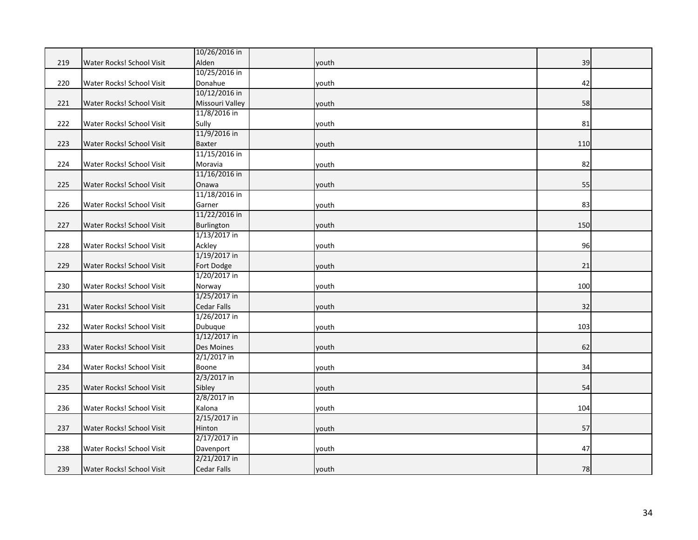|     |                           | 10/26/2016 in      |       |     |  |
|-----|---------------------------|--------------------|-------|-----|--|
| 219 | Water Rocks! School Visit | Alden              | youth | 39  |  |
|     |                           | 10/25/2016 in      |       |     |  |
| 220 | Water Rocks! School Visit | Donahue            | youth | 42  |  |
|     |                           | 10/12/2016 in      |       |     |  |
| 221 | Water Rocks! School Visit | Missouri Valley    | youth | 58  |  |
|     |                           | 11/8/2016 in       |       |     |  |
| 222 | Water Rocks! School Visit | Sully              | youth | 81  |  |
|     |                           | 11/9/2016 in       |       |     |  |
| 223 | Water Rocks! School Visit | <b>Baxter</b>      | youth | 110 |  |
|     |                           | 11/15/2016 in      |       |     |  |
| 224 | Water Rocks! School Visit | Moravia            | youth | 82  |  |
|     |                           | 11/16/2016 in      |       |     |  |
| 225 | Water Rocks! School Visit | Onawa              | youth | 55  |  |
|     |                           | 11/18/2016 in      |       |     |  |
| 226 | Water Rocks! School Visit | Garner             | youth | 83  |  |
|     |                           | 11/22/2016 in      |       |     |  |
| 227 | Water Rocks! School Visit | Burlington         | youth | 150 |  |
|     |                           | $1/13/2017$ in     |       |     |  |
| 228 | Water Rocks! School Visit | Ackley             | youth | 96  |  |
|     |                           | 1/19/2017 in       |       |     |  |
| 229 | Water Rocks! School Visit | Fort Dodge         | youth | 21  |  |
|     |                           | 1/20/2017 in       |       |     |  |
| 230 | Water Rocks! School Visit | Norway             | youth | 100 |  |
|     |                           | 1/25/2017 in       |       |     |  |
| 231 | Water Rocks! School Visit | <b>Cedar Falls</b> | youth | 32  |  |
|     |                           | 1/26/2017 in       |       |     |  |
| 232 | Water Rocks! School Visit | Dubuque            | youth | 103 |  |
|     |                           | 1/12/2017 in       |       |     |  |
| 233 | Water Rocks! School Visit | Des Moines         | youth | 62  |  |
|     |                           | $2/1/2017$ in      |       |     |  |
| 234 | Water Rocks! School Visit | Boone              | youth | 34  |  |
|     |                           | 2/3/2017 in        |       |     |  |
| 235 | Water Rocks! School Visit | Sibley             | youth | 54  |  |
|     |                           | 2/8/2017 in        |       |     |  |
| 236 | Water Rocks! School Visit | Kalona             | youth | 104 |  |
|     |                           | 2/15/2017 in       |       |     |  |
| 237 | Water Rocks! School Visit | Hinton             | youth | 57  |  |
|     |                           | 2/17/2017 in       |       |     |  |
| 238 | Water Rocks! School Visit | Davenport          | youth | 47  |  |
|     |                           | 2/21/2017 in       |       |     |  |
| 239 | Water Rocks! School Visit | <b>Cedar Falls</b> | youth | 78  |  |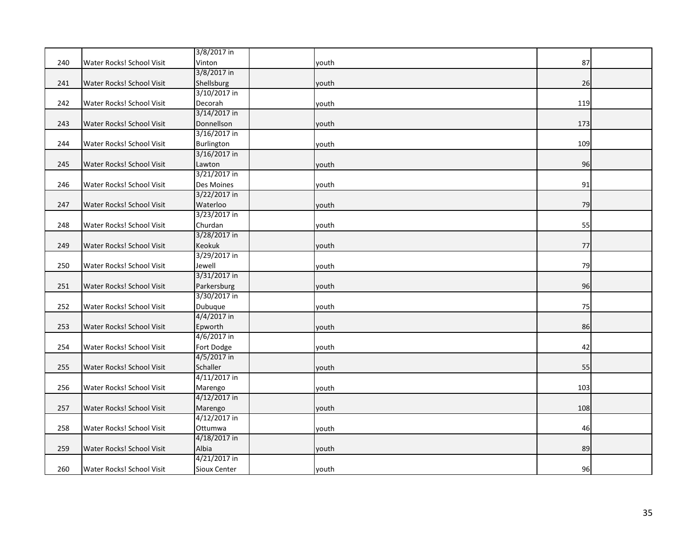|     |                           | 3/8/2017 in  |       |     |  |
|-----|---------------------------|--------------|-------|-----|--|
| 240 | Water Rocks! School Visit | Vinton       | youth | 87  |  |
|     |                           | 3/8/2017 in  |       |     |  |
| 241 | Water Rocks! School Visit | Shellsburg   | youth | 26  |  |
|     |                           | 3/10/2017 in |       |     |  |
| 242 | Water Rocks! School Visit | Decorah      | youth | 119 |  |
|     |                           | 3/14/2017 in |       |     |  |
| 243 | Water Rocks! School Visit | Donnellson   | youth | 173 |  |
|     |                           | 3/16/2017 in |       |     |  |
| 244 | Water Rocks! School Visit | Burlington   | youth | 109 |  |
|     |                           | 3/16/2017 in |       |     |  |
| 245 | Water Rocks! School Visit | Lawton       | youth | 96  |  |
|     |                           | 3/21/2017 in |       |     |  |
| 246 | Water Rocks! School Visit | Des Moines   | youth | 91  |  |
|     |                           | 3/22/2017 in |       |     |  |
| 247 | Water Rocks! School Visit | Waterloo     | youth | 79  |  |
|     |                           | 3/23/2017 in |       |     |  |
| 248 | Water Rocks! School Visit | Churdan      | youth | 55  |  |
|     |                           | 3/28/2017 in |       |     |  |
| 249 | Water Rocks! School Visit | Keokuk       | youth | 77  |  |
|     |                           | 3/29/2017 in |       |     |  |
| 250 | Water Rocks! School Visit | Jewell       | youth | 79  |  |
|     |                           | 3/31/2017 in |       |     |  |
| 251 | Water Rocks! School Visit | Parkersburg  | youth | 96  |  |
|     |                           | 3/30/2017 in |       |     |  |
| 252 | Water Rocks! School Visit | Dubuque      | youth | 75  |  |
|     |                           | 4/4/2017 in  |       |     |  |
| 253 | Water Rocks! School Visit | Epworth      | youth | 86  |  |
|     |                           | 4/6/2017 in  |       |     |  |
| 254 | Water Rocks! School Visit | Fort Dodge   | youth | 42  |  |
|     |                           | 4/5/2017 in  |       |     |  |
| 255 | Water Rocks! School Visit | Schaller     | youth | 55  |  |
|     |                           | 4/11/2017 in |       |     |  |
| 256 | Water Rocks! School Visit | Marengo      | youth | 103 |  |
|     |                           | 4/12/2017 in |       |     |  |
| 257 | Water Rocks! School Visit | Marengo      | youth | 108 |  |
|     |                           | 4/12/2017 in |       |     |  |
| 258 | Water Rocks! School Visit | Ottumwa      | youth | 46  |  |
|     |                           | 4/18/2017 in |       |     |  |
| 259 | Water Rocks! School Visit | Albia        | youth | 89  |  |
|     |                           | 4/21/2017 in |       |     |  |
| 260 | Water Rocks! School Visit | Sioux Center | youth | 96  |  |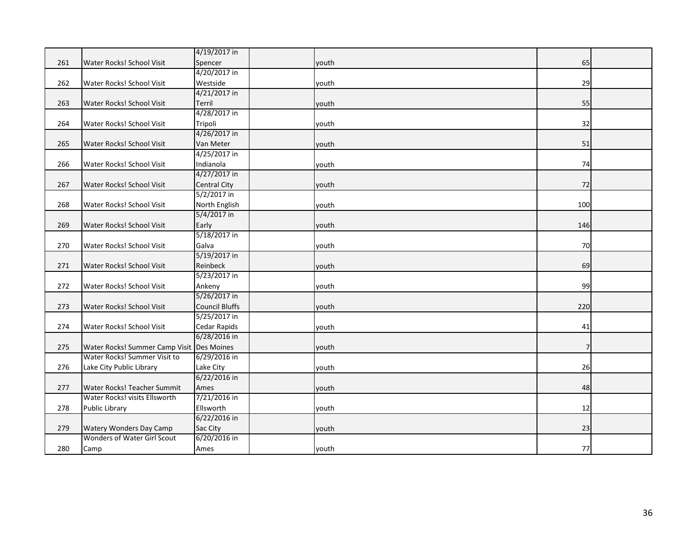|     |                                           | 4/19/2017 in          |       |     |  |
|-----|-------------------------------------------|-----------------------|-------|-----|--|
| 261 | Water Rocks! School Visit                 | Spencer               | youth | 65  |  |
|     |                                           | 4/20/2017 in          |       |     |  |
| 262 | Water Rocks! School Visit                 | Westside              | youth | 29  |  |
|     |                                           | 4/21/2017 in          |       |     |  |
| 263 | Water Rocks! School Visit                 | Terril                | youth | 55  |  |
|     |                                           | 4/28/2017 in          |       |     |  |
| 264 | Water Rocks! School Visit                 | Tripoli               | youth | 32  |  |
|     |                                           | 4/26/2017 in          |       |     |  |
| 265 | Water Rocks! School Visit                 | Van Meter             | youth | 51  |  |
|     |                                           | 4/25/2017 in          |       |     |  |
| 266 | Water Rocks! School Visit                 | Indianola             | youth | 74  |  |
|     |                                           | 4/27/2017 in          |       |     |  |
| 267 | Water Rocks! School Visit                 | <b>Central City</b>   | youth | 72  |  |
|     |                                           | 5/2/2017 in           |       |     |  |
| 268 | Water Rocks! School Visit                 | North English         | youth | 100 |  |
|     |                                           | 5/4/2017 in           |       |     |  |
| 269 | Water Rocks! School Visit                 | Early                 | youth | 146 |  |
|     |                                           | 5/18/2017 in          |       |     |  |
| 270 | Water Rocks! School Visit                 | Galva                 | youth | 70  |  |
|     |                                           | 5/19/2017 in          |       |     |  |
| 271 | Water Rocks! School Visit                 | Reinbeck              | youth | 69  |  |
|     |                                           | 5/23/2017 in          |       |     |  |
| 272 | Water Rocks! School Visit                 | Ankeny                | youth | 99  |  |
|     |                                           | 5/26/2017 in          |       |     |  |
| 273 | Water Rocks! School Visit                 | <b>Council Bluffs</b> | youth | 220 |  |
|     |                                           | 5/25/2017 in          |       |     |  |
| 274 | Water Rocks! School Visit                 | Cedar Rapids          | youth | 41  |  |
|     |                                           | 6/28/2016 in          |       |     |  |
| 275 | Water Rocks! Summer Camp Visit Des Moines |                       | youth |     |  |
|     | Water Rocks! Summer Visit to              | 6/29/2016 in          |       |     |  |
| 276 | Lake City Public Library                  | Lake City             | youth | 26  |  |
|     |                                           | 6/22/2016 in          |       |     |  |
| 277 | Water Rocks! Teacher Summit               | Ames                  | youth | 48  |  |
|     | Water Rocks! visits Ellsworth             | 7/21/2016 in          |       |     |  |
| 278 | <b>Public Library</b>                     | Ellsworth             | youth | 12  |  |
|     |                                           | 6/22/2016 in          |       |     |  |
| 279 | <b>Watery Wonders Day Camp</b>            | Sac City              | youth | 23  |  |
|     | Wonders of Water Girl Scout               | 6/20/2016 in          |       |     |  |
| 280 | Camp                                      | Ames                  | youth | 77  |  |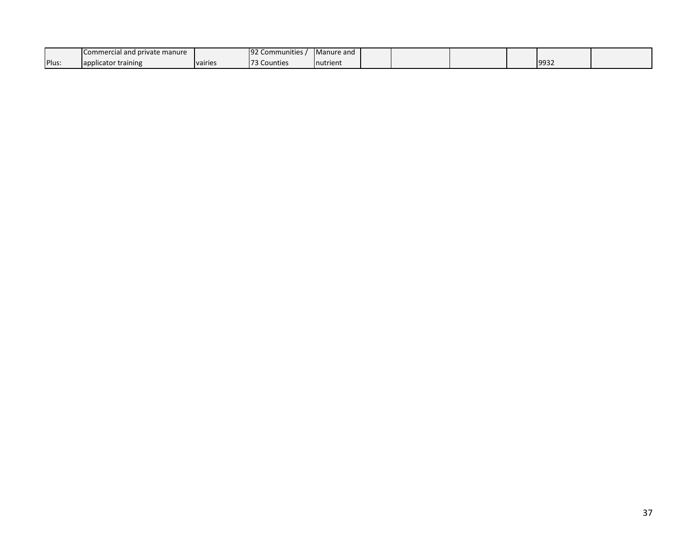|       | I Commercial and private manure |         | <b>192 Communities</b> | Manure and |  |  |      |  |
|-------|---------------------------------|---------|------------------------|------------|--|--|------|--|
| Plus: | Tapplicator training            | vairies | <sup>73</sup> Counties | nutrient   |  |  | 9932 |  |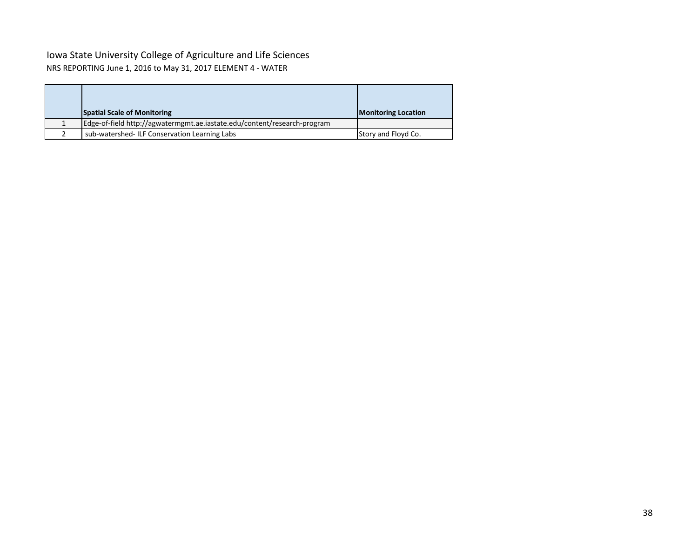### Iowa State University College of Agriculture and Life Sciences NRS REPORTING June 1, 2016 to May 31, 2017 ELEMENT 4 - WATER

| <b>Spatial Scale of Monitoring</b>                                       | <b>Monitoring Location</b> |
|--------------------------------------------------------------------------|----------------------------|
| Edge-of-field http://agwatermgmt.ae.iastate.edu/content/research-program |                            |
| sub-watershed-ILF Conservation Learning Labs                             | Story and Floyd Co.        |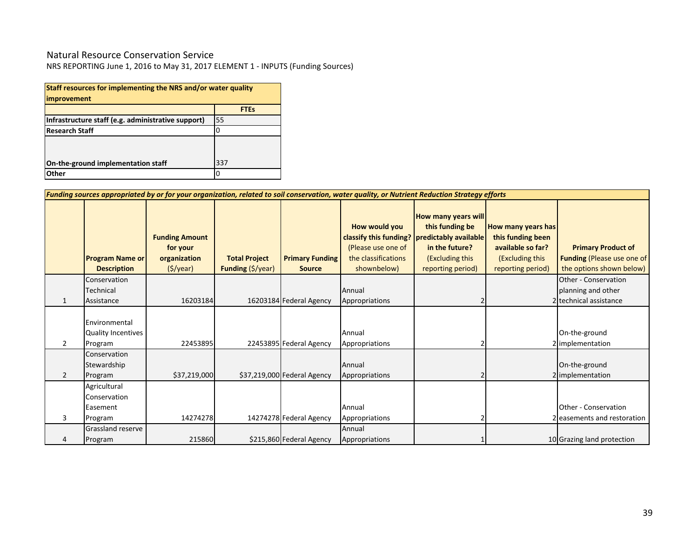### Natural Resource Conservation Service

| Staff resources for implementing the NRS and/or water quality<br>improvement |             |  |  |  |  |  |  |  |  |
|------------------------------------------------------------------------------|-------------|--|--|--|--|--|--|--|--|
|                                                                              | <b>FTEs</b> |  |  |  |  |  |  |  |  |
| Infrastructure staff (e.g. administrative support)                           | 55          |  |  |  |  |  |  |  |  |
| <b>Research Staff</b>                                                        |             |  |  |  |  |  |  |  |  |
| On-the-ground implementation staff                                           | 337         |  |  |  |  |  |  |  |  |
| Other                                                                        | n           |  |  |  |  |  |  |  |  |

|                | Funding sources appropriated by or for your organization, related to soil conservation, water quality, or Nutrient Reduction Strategy efforts |                                                               |                                           |                                         |                                                                           |                                                                                                                                                           |                                                                                                      |                                                                                            |  |  |  |  |  |  |
|----------------|-----------------------------------------------------------------------------------------------------------------------------------------------|---------------------------------------------------------------|-------------------------------------------|-----------------------------------------|---------------------------------------------------------------------------|-----------------------------------------------------------------------------------------------------------------------------------------------------------|------------------------------------------------------------------------------------------------------|--------------------------------------------------------------------------------------------|--|--|--|--|--|--|
|                | <b>Program Name or</b><br><b>Description</b>                                                                                                  | <b>Funding Amount</b><br>for your<br>organization<br>(S/year) | <b>Total Project</b><br>Funding (\$/year) | <b>Primary Funding</b><br><b>Source</b> | How would you<br>(Please use one of<br>the classifications<br>shownbelow) | <b>How many years will</b><br>this funding be<br>classify this funding?   predictably available<br>in the future?<br>(Excluding this<br>reporting period) | How many years has<br>this funding been<br>available so far?<br>(Excluding this<br>reporting period) | <b>Primary Product of</b><br><b>Funding (Please use one of</b><br>the options shown below) |  |  |  |  |  |  |
|                | Conservation<br>Technical                                                                                                                     |                                                               |                                           |                                         | Annual                                                                    |                                                                                                                                                           |                                                                                                      | Other - Conservation<br>planning and other                                                 |  |  |  |  |  |  |
| 1              | Assistance                                                                                                                                    | 16203184                                                      |                                           | 16203184 Federal Agency                 | Appropriations                                                            |                                                                                                                                                           |                                                                                                      | 2 technical assistance                                                                     |  |  |  |  |  |  |
| $\overline{2}$ | Environmental<br>Quality Incentives<br>Program                                                                                                | 22453895                                                      |                                           | 22453895 Federal Agency                 | Annual<br>Appropriations                                                  |                                                                                                                                                           |                                                                                                      | On-the-ground<br>2 implementation                                                          |  |  |  |  |  |  |
| $\overline{2}$ | Conservation<br>Stewardship<br>Program                                                                                                        | \$37,219,000                                                  |                                           | \$37,219,000 Federal Agency             | Annual<br>Appropriations                                                  |                                                                                                                                                           |                                                                                                      | On-the-ground<br>2 implementation                                                          |  |  |  |  |  |  |
| 3              | Agricultural<br>Conservation<br>Easement<br>Program                                                                                           | 14274278                                                      |                                           | 14274278 Federal Agency                 | Annual<br>Appropriations                                                  |                                                                                                                                                           |                                                                                                      | Other - Conservation<br>2 easements and restoration                                        |  |  |  |  |  |  |
|                | Grassland reserve<br>Program                                                                                                                  | 215860                                                        |                                           | \$215,860 Federal Agency                | Annual<br>Appropriations                                                  |                                                                                                                                                           |                                                                                                      | 10 Grazing land protection                                                                 |  |  |  |  |  |  |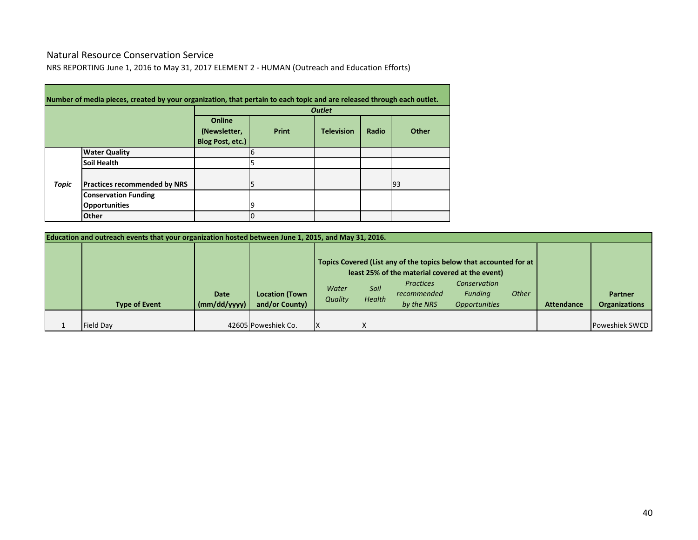### Natural Resource Conservation Service

**College** 

NRS REPORTING June 1, 2016 to May 31, 2017 ELEMENT 2 - HUMAN (Outreach and Education Efforts)

|       | Number of media pieces, created by your organization, that pertain to each topic and are released through each outlet. |                                            |       |                   |       |       |  |  |  |  |
|-------|------------------------------------------------------------------------------------------------------------------------|--------------------------------------------|-------|-------------------|-------|-------|--|--|--|--|
|       |                                                                                                                        | <b>Outlet</b>                              |       |                   |       |       |  |  |  |  |
|       |                                                                                                                        | Online<br>(Newsletter,<br>Blog Post, etc.) | Print | <b>Television</b> | Radio | Other |  |  |  |  |
|       | <b>Water Quality</b>                                                                                                   |                                            | 6     |                   |       |       |  |  |  |  |
|       | <b>Soil Health</b>                                                                                                     |                                            |       |                   |       |       |  |  |  |  |
| Topic | <b>Practices recommended by NRS</b>                                                                                    |                                            | 5     |                   |       | 93    |  |  |  |  |
|       | <b>Conservation Funding</b>                                                                                            |                                            |       |                   |       |       |  |  |  |  |
|       | <b>Opportunities</b>                                                                                                   |                                            | 19    |                   |       |       |  |  |  |  |
|       | <b>Other</b>                                                                                                           |                                            | 10    |                   |       |       |  |  |  |  |

| Education and outreach events that your organization hosted between June 1, 2015, and May 31, 2016. |                             |                                         |                  |                |                                                                                                                                                                          |                                                               |       |                   |                                        |  |  |
|-----------------------------------------------------------------------------------------------------|-----------------------------|-----------------------------------------|------------------|----------------|--------------------------------------------------------------------------------------------------------------------------------------------------------------------------|---------------------------------------------------------------|-------|-------------------|----------------------------------------|--|--|
| <b>Type of Event</b>                                                                                | <b>Date</b><br>(mm/dd/yyyy) | <b>Location (Town</b><br>and/or County) | Water<br>Quality | Soil<br>Health | Topics Covered (List any of the topics below that accounted for at  <br>least 25% of the material covered at the event)<br><b>Practices</b><br>recommended<br>by the NRS | Conservation<br><b>Fundina</b><br><i><b>Opportunities</b></i> | Other | <b>Attendance</b> | <b>Partner</b><br><b>Organizations</b> |  |  |
| <b>Field Day</b>                                                                                    |                             | 42605 Poweshiek Co.                     |                  |                |                                                                                                                                                                          |                                                               |       |                   | <b>Poweshiek SWCD</b>                  |  |  |

 $\overline{\phantom{0}}$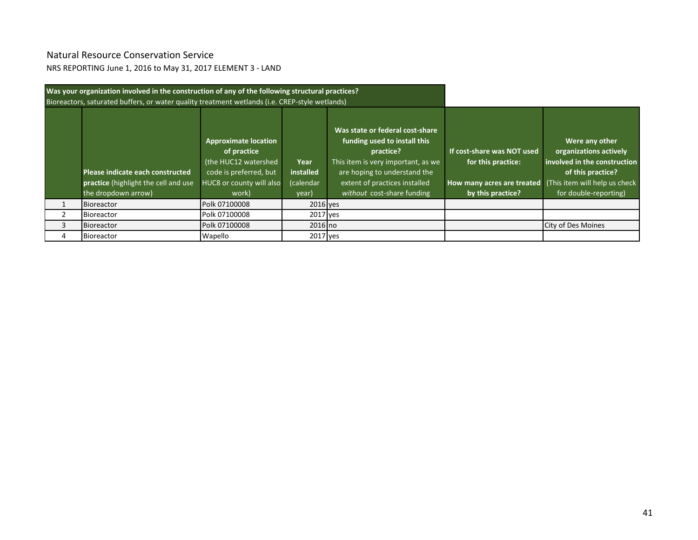# Natural Resource Conservation Service

NRS REPORTING June 1, 2016 to May 31, 2017 ELEMENT 3 - LAND

|   | Was your organization involved in the construction of any of the following structural practices?<br>Bioreactors, saturated buffers, or water quality treatment wetlands (i.e. CREP-style wetlands) |                                                                                                                                   |                                         |                                                                                                                                                                                                                   |                                                                                                     |                                                                                                                                                         |
|---|----------------------------------------------------------------------------------------------------------------------------------------------------------------------------------------------------|-----------------------------------------------------------------------------------------------------------------------------------|-----------------------------------------|-------------------------------------------------------------------------------------------------------------------------------------------------------------------------------------------------------------------|-----------------------------------------------------------------------------------------------------|---------------------------------------------------------------------------------------------------------------------------------------------------------|
|   | Please indicate each constructed<br>practice (highlight the cell and use<br>the dropdown arrow)                                                                                                    | <b>Approximate location</b><br>of practice<br>(the HUC12 watershed<br>code is preferred, but<br>HUC8 or county will also<br>work) | Year<br>installed<br>(calendar<br>year) | Was state or federal cost-share<br>funding used to install this<br>practice?<br>This item is very important, as we<br>are hoping to understand the<br>extent of practices installed<br>without cost-share funding | If cost-share was NOT used<br>for this practice:<br>How many acres are treated<br>by this practice? | Were any other<br>organizations actively<br>involved in the construction<br>of this practice?<br>(This item will help us check<br>for double-reporting) |
|   | Bioreactor                                                                                                                                                                                         | Polk 07100008                                                                                                                     | 2016 ves                                |                                                                                                                                                                                                                   |                                                                                                     |                                                                                                                                                         |
|   | <b>Bioreactor</b>                                                                                                                                                                                  | Polk 07100008                                                                                                                     | 2017 yes                                |                                                                                                                                                                                                                   |                                                                                                     |                                                                                                                                                         |
|   | Bioreactor                                                                                                                                                                                         | Polk 07100008                                                                                                                     | $2016$ no                               |                                                                                                                                                                                                                   |                                                                                                     | City of Des Moines                                                                                                                                      |
| 4 | Bioreactor                                                                                                                                                                                         | Wapello                                                                                                                           | 2017 yes                                |                                                                                                                                                                                                                   |                                                                                                     |                                                                                                                                                         |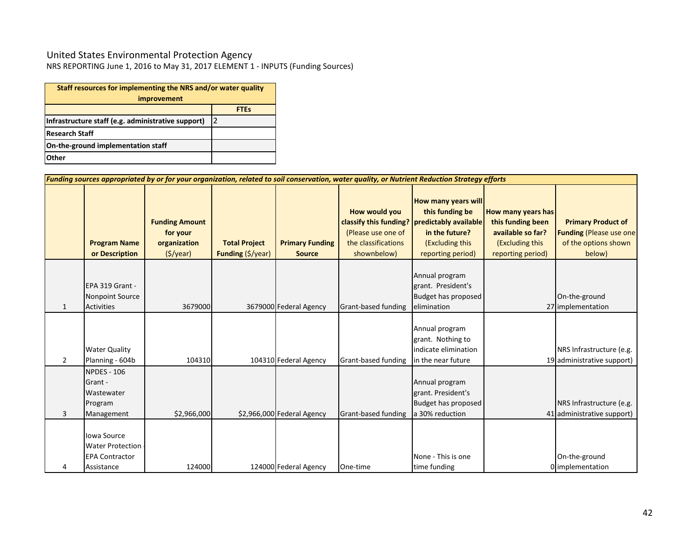### United States Environmental Protection Agency

|                                                    | Staff resources for implementing the NRS and/or water quality |  |  |  |  |  |  |  |
|----------------------------------------------------|---------------------------------------------------------------|--|--|--|--|--|--|--|
| <i>improvement</i>                                 |                                                               |  |  |  |  |  |  |  |
|                                                    | <b>FTEs</b>                                                   |  |  |  |  |  |  |  |
| Infrastructure staff (e.g. administrative support) | 12                                                            |  |  |  |  |  |  |  |
| <b>Research Staff</b>                              |                                                               |  |  |  |  |  |  |  |
| On-the-ground implementation staff                 |                                                               |  |  |  |  |  |  |  |
| Other                                              |                                                               |  |  |  |  |  |  |  |

|                | Funding sources appropriated by or for your organization, related to soil conservation, water quality, or Nutrient Reduction Strategy efforts |                                                                              |                                                            |                                         |                                                                                                     |                                                                                                                                  |                                                                                                      |                                                                                                |  |  |  |  |  |  |
|----------------|-----------------------------------------------------------------------------------------------------------------------------------------------|------------------------------------------------------------------------------|------------------------------------------------------------|-----------------------------------------|-----------------------------------------------------------------------------------------------------|----------------------------------------------------------------------------------------------------------------------------------|------------------------------------------------------------------------------------------------------|------------------------------------------------------------------------------------------------|--|--|--|--|--|--|
|                | <b>Program Name</b><br>or Description                                                                                                         | <b>Funding Amount</b><br>for your<br>organization<br>$(\frac{1}{2})\sqrt{2}$ | <b>Total Project</b><br><b>Funding</b> $(\frac{5}{y}$ ear) | <b>Primary Funding</b><br><b>Source</b> | How would you<br>classify this funding?<br>(Please use one of<br>the classifications<br>shownbelow) | <b>How many years will</b><br>this funding be<br>predictably available<br>in the future?<br>(Excluding this<br>reporting period) | How many years has<br>this funding been<br>available so far?<br>(Excluding this<br>reporting period) | <b>Primary Product of</b><br><b>Funding (Please use one)</b><br>of the options shown<br>below) |  |  |  |  |  |  |
| 1              | EPA 319 Grant -<br><b>Nonpoint Source</b><br><b>Activities</b>                                                                                | 3679000                                                                      |                                                            | 3679000 Federal Agency                  | Grant-based funding                                                                                 | Annual program<br>grant. President's<br>Budget has proposed<br>elimination                                                       |                                                                                                      | On-the-ground<br>27 implementation                                                             |  |  |  |  |  |  |
| $\overline{2}$ | <b>Water Quality</b><br>Planning - 604b                                                                                                       | 104310                                                                       |                                                            | 104310 Federal Agency                   | Grant-based funding                                                                                 | Annual program<br>grant. Nothing to<br>indicate elimination<br>in the near future                                                |                                                                                                      | NRS Infrastructure (e.g.<br>19 administrative support)                                         |  |  |  |  |  |  |
| 3              | <b>NPDES - 106</b><br>Grant -<br>Wastewater<br>Program<br>Management                                                                          | \$2,966,000                                                                  |                                                            | \$2,966,000 Federal Agency              | Grant-based funding                                                                                 | Annual program<br>grant. President's<br>Budget has proposed<br>a 30% reduction                                                   |                                                                                                      | NRS Infrastructure (e.g.<br>41 administrative support)                                         |  |  |  |  |  |  |
| 4              | Iowa Source<br><b>Water Protection</b><br><b>EPA Contractor</b><br>Assistance                                                                 | 124000                                                                       |                                                            | 124000 Federal Agency                   | One-time                                                                                            | None - This is one<br>time funding                                                                                               |                                                                                                      | On-the-ground<br>0 implementation                                                              |  |  |  |  |  |  |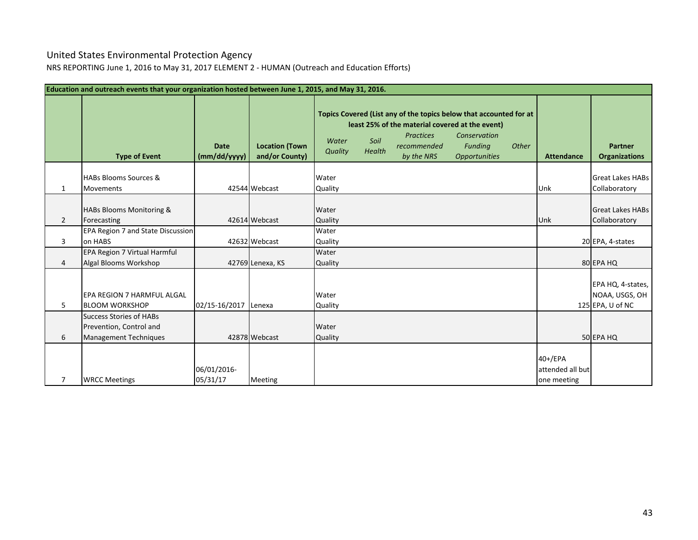# United States Environmental Protection Agency

NRS REPORTING June 1, 2016 to May 31, 2017 ELEMENT 2 - HUMAN (Outreach and Education Efforts)

|                | Education and outreach events that your organization hosted between June 1, 2015, and May 31, 2016. |                             |                                         |                  |                |                                                                                                  |                                                                                                                       |       |                                            |                                                         |  |  |  |  |
|----------------|-----------------------------------------------------------------------------------------------------|-----------------------------|-----------------------------------------|------------------|----------------|--------------------------------------------------------------------------------------------------|-----------------------------------------------------------------------------------------------------------------------|-------|--------------------------------------------|---------------------------------------------------------|--|--|--|--|
|                | <b>Type of Event</b>                                                                                | <b>Date</b><br>(mm/dd/yyyy) | <b>Location (Town</b><br>and/or County) | Water<br>Quality | Soil<br>Health | least 25% of the material covered at the event)<br><b>Practices</b><br>recommended<br>by the NRS | Topics Covered (List any of the topics below that accounted for at<br>Conservation<br>Funding<br><b>Opportunities</b> | Other | <b>Attendance</b>                          | <b>Partner</b><br><b>Organizations</b>                  |  |  |  |  |
| 1              | <b>HABs Blooms Sources &amp;</b><br><b>Movements</b>                                                |                             | 42544 Webcast                           | Water<br>Quality |                |                                                                                                  |                                                                                                                       |       | Unk                                        | <b>Great Lakes HABs</b><br>Collaboratory                |  |  |  |  |
| $\overline{2}$ | <b>HABs Blooms Monitoring &amp;</b><br>Forecasting                                                  |                             | 42614 Webcast                           | Water<br>Quality |                |                                                                                                  |                                                                                                                       |       | Unk                                        | <b>Great Lakes HABs</b><br>Collaboratory                |  |  |  |  |
| 3              | <b>EPA Region 7 and State Discussion</b><br>on HABS                                                 |                             | 42632 Webcast                           | Water<br>Quality |                |                                                                                                  |                                                                                                                       |       |                                            | 20 EPA, 4-states                                        |  |  |  |  |
| 4              | EPA Region 7 Virtual Harmful<br>Algal Blooms Workshop                                               |                             | 42769 Lenexa, KS                        | Water<br>Quality |                |                                                                                                  |                                                                                                                       |       |                                            | 80 EPA HQ                                               |  |  |  |  |
| 5              | EPA REGION 7 HARMFUL ALGAL<br><b>BLOOM WORKSHOP</b>                                                 | 02/15-16/2017               | Lenexa                                  | Water<br>Quality |                |                                                                                                  |                                                                                                                       |       |                                            | EPA HQ, 4-states,<br>NOAA, USGS, OH<br>125 EPA, U of NC |  |  |  |  |
| 6              | <b>Success Stories of HABs</b><br>Prevention, Control and<br><b>Management Techniques</b>           |                             | 42878 Webcast                           | Water<br>Quality |                |                                                                                                  |                                                                                                                       |       |                                            | 50 EPA HQ                                               |  |  |  |  |
| 7              | <b>WRCC Meetings</b>                                                                                | 06/01/2016-<br>05/31/17     | <b>Meeting</b>                          |                  |                |                                                                                                  |                                                                                                                       |       | 40+/EPA<br>attended all but<br>one meeting |                                                         |  |  |  |  |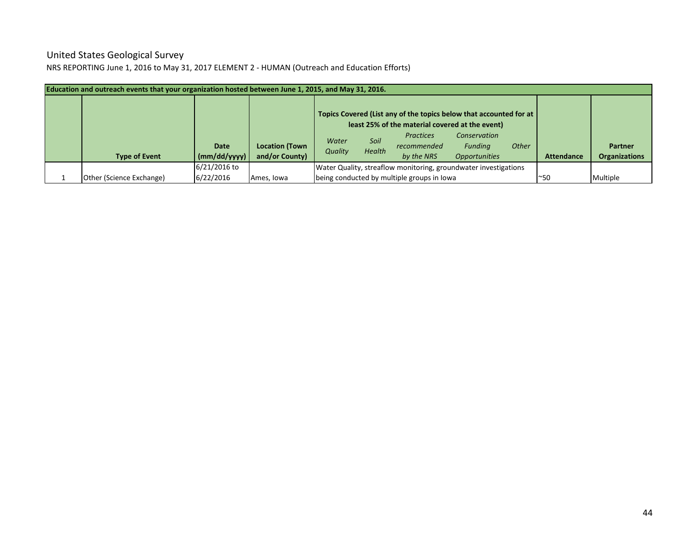### United States Geological Survey NRS REPORTING June 1, 2016 to May 31, 2017 ELEMENT 2 - HUMAN (Outreach and Education Efforts)

| Education and outreach events that your organization hosted between June 1, 2015, and May 31, 2016. |                             |                                         |                  |                |                                                                                                                                                                        |                                                        |              |                   |                                        |
|-----------------------------------------------------------------------------------------------------|-----------------------------|-----------------------------------------|------------------|----------------|------------------------------------------------------------------------------------------------------------------------------------------------------------------------|--------------------------------------------------------|--------------|-------------------|----------------------------------------|
| <b>Type of Event</b>                                                                                | <b>Date</b><br>(mm/dd/yyyy) | <b>Location (Town</b><br>and/or County) | Water<br>Quality | Soil<br>Health | Topics Covered (List any of the topics below that accounted for at<br>least 25% of the material covered at the event)<br><b>Practices</b><br>recommended<br>by the NRS | Conservation<br><b>Funding</b><br><b>Opportunities</b> | <b>Other</b> | <b>Attendance</b> | <b>Partner</b><br><b>Organizations</b> |
|                                                                                                     | 6/21/2016 to                |                                         |                  |                | Water Quality, streaflow monitoring, groundwater investigations                                                                                                        |                                                        |              |                   |                                        |
| <b>Other (Science Exchange)</b>                                                                     | 6/22/2016                   | Ames, Iowa                              |                  |                | being conducted by multiple groups in lowa                                                                                                                             |                                                        |              | $^{\sim}50$       | Multiple                               |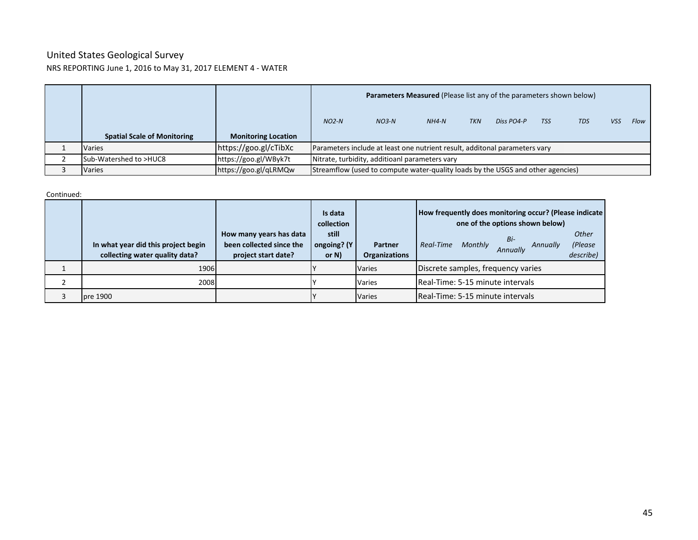### United States Geological Survey NRS REPORTING June 1, 2016 to May 31, 2017 ELEMENT 4 - WATER

|                                    |                            |                                                | <b>Parameters Measured (Please list any of the parameters shown below)</b>      |         |            |            |            |            |            |      |
|------------------------------------|----------------------------|------------------------------------------------|---------------------------------------------------------------------------------|---------|------------|------------|------------|------------|------------|------|
|                                    |                            | $NO2-N$                                        | $NO3-N$                                                                         | $NH4-N$ | <b>TKN</b> | Diss PO4-P | <b>TSS</b> | <b>TDS</b> | <b>VSS</b> | Flow |
| <b>Spatial Scale of Monitoring</b> | <b>Monitoring Location</b> |                                                |                                                                                 |         |            |            |            |            |            |      |
| <b>Varies</b>                      | https://goo.gl/cTibXc      |                                                | Parameters include at least one nutrient result, additonal parameters vary      |         |            |            |            |            |            |      |
| Sub-Watershed to >HUC8             | https://goo.gl/WByk7t      | Nitrate, turbidity, additioanl parameters vary |                                                                                 |         |            |            |            |            |            |      |
| Varies                             | https://goo.gl/qLRMQw      |                                                | Streamflow (used to compute water-quality loads by the USGS and other agencies) |         |            |            |            |            |            |      |

Continued:

|                                                                       |                                                                            | Is data<br>collection            |                                 | How frequently does monitoring occur? (Please indicate<br>one of the options shown below) |
|-----------------------------------------------------------------------|----------------------------------------------------------------------------|----------------------------------|---------------------------------|-------------------------------------------------------------------------------------------|
| In what year did this project begin<br>collecting water quality data? | How many years has data<br>been collected since the<br>project start date? | still<br>ongoing? (Y<br>or $N$ ) | Partner<br><b>Organizations</b> | Other<br>Bi-<br>(Please<br>Monthly<br>Real-Time<br>Annually<br>Annually<br>describe)      |
| 1906                                                                  |                                                                            |                                  | <b>Varies</b>                   | Discrete samples, frequency varies                                                        |
| 2008                                                                  |                                                                            |                                  | Varies                          | Real-Time: 5-15 minute intervals                                                          |
| pre 1900                                                              |                                                                            |                                  | <b>Varies</b>                   | Real-Time: 5-15 minute intervals                                                          |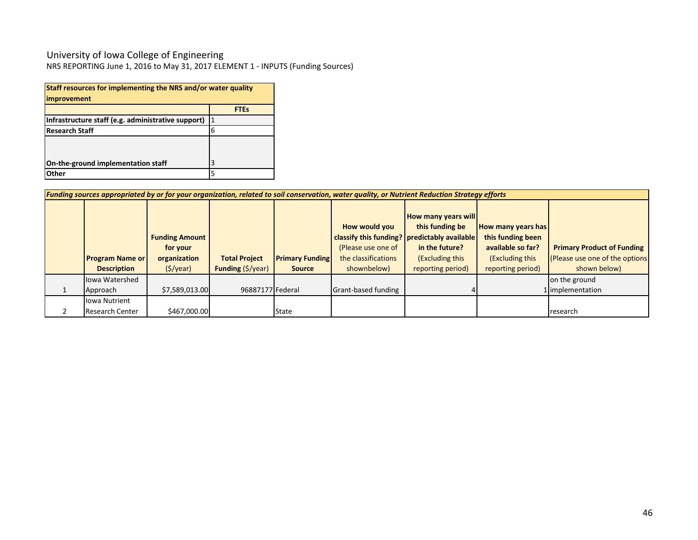### University of Iowa College of Engineering

| Staff resources for implementing the NRS and/or water quality |              |
|---------------------------------------------------------------|--------------|
| improvement                                                   |              |
|                                                               | <b>FTEs</b>  |
| Infrastructure staff (e.g. administrative support)            | $\mathbf{1}$ |
| <b>Research Staff</b>                                         | 6            |
|                                                               |              |
|                                                               |              |
| On-the-ground implementation staff                            | 3            |
| Other                                                         | 5            |

|                                                                             |                    |                                    |                        | Funding sources appropriated by or for your organization, related to soil conservation, water quality, or Nutrient Reduction Strategy efforts |                                                                                                                   |                                                                     |                                   |  |
|-----------------------------------------------------------------------------|--------------------|------------------------------------|------------------------|-----------------------------------------------------------------------------------------------------------------------------------------------|-------------------------------------------------------------------------------------------------------------------|---------------------------------------------------------------------|-----------------------------------|--|
| <b>Funding Amount</b><br>for your<br>organization<br><b>Program Name or</b> |                    |                                    |                        | How would you<br>(Please use one of                                                                                                           | <b>How many years will</b><br>this funding be<br>classify this funding?   predictably available<br>in the future? | <b>How many years has</b><br>this funding been<br>available so far? | <b>Primary Product of Funding</b> |  |
|                                                                             |                    | <b>Total Project</b>               | <b>Primary Funding</b> | the classifications                                                                                                                           | (Excluding this                                                                                                   | (Excluding this                                                     | (Please use one of the options    |  |
| <b>Description</b>                                                          | $(\frac{5}{year})$ | <b>Funding</b> $(\frac{5}{y}$ ear) | <b>Source</b>          | shownbelow)                                                                                                                                   | reporting period)                                                                                                 | reporting period)                                                   | shown below)                      |  |
| lowa Watershed                                                              |                    |                                    |                        |                                                                                                                                               |                                                                                                                   |                                                                     | on the ground                     |  |
| Approach                                                                    | \$7,589,013.00     | 96887177 Federal                   |                        | Grant-based funding                                                                                                                           |                                                                                                                   |                                                                     | 1 implementation                  |  |
| <b>Iowa Nutrient</b>                                                        |                    |                                    |                        |                                                                                                                                               |                                                                                                                   |                                                                     |                                   |  |
| <b>Research Center</b>                                                      | \$467,000.00       |                                    | State                  |                                                                                                                                               |                                                                                                                   |                                                                     | research                          |  |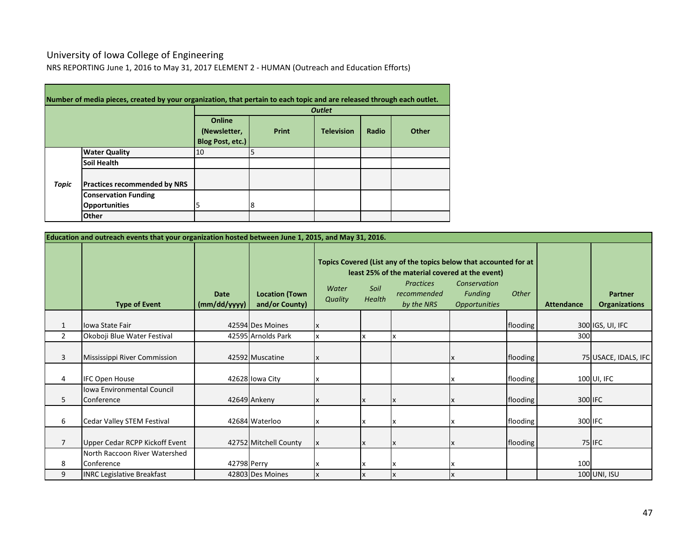# University of Iowa College of Engineering

NRS REPORTING June 1, 2016 to May 31, 2017 ELEMENT 2 - HUMAN (Outreach and Education Efforts)

|       | Number of media pieces, created by your organization, that pertain to each topic and are released through each outlet. |                                            |       |                   |       |       |  |  |  |  |
|-------|------------------------------------------------------------------------------------------------------------------------|--------------------------------------------|-------|-------------------|-------|-------|--|--|--|--|
|       |                                                                                                                        | <b>Outlet</b>                              |       |                   |       |       |  |  |  |  |
|       |                                                                                                                        | Online<br>(Newsletter,<br>Blog Post, etc.) | Print | <b>Television</b> | Radio | Other |  |  |  |  |
|       | <b>Water Quality</b>                                                                                                   | 10                                         | 5     |                   |       |       |  |  |  |  |
|       | Soil Health                                                                                                            |                                            |       |                   |       |       |  |  |  |  |
| Topic | <b>Practices recommended by NRS</b>                                                                                    |                                            |       |                   |       |       |  |  |  |  |
|       | <b>Conservation Funding</b>                                                                                            |                                            |       |                   |       |       |  |  |  |  |
|       | <b>Opportunities</b>                                                                                                   | 5                                          | 18    |                   |       |       |  |  |  |  |
|       | Other                                                                                                                  |                                            |       |                   |       |       |  |  |  |  |

|                | Education and outreach events that your organization hosted between June 1, 2015, and May 31, 2016. |                      |                                         |                  |                |                                                                                                                                                                        |                   |                                        |     |                      |  |  |
|----------------|-----------------------------------------------------------------------------------------------------|----------------------|-----------------------------------------|------------------|----------------|------------------------------------------------------------------------------------------------------------------------------------------------------------------------|-------------------|----------------------------------------|-----|----------------------|--|--|
|                | <b>Type of Event</b>                                                                                | Date<br>(mm/dd/yyyy) | <b>Location (Town</b><br>and/or County) | Water<br>Quality | Soil<br>Health | Topics Covered (List any of the topics below that accounted for at<br>least 25% of the material covered at the event)<br><b>Practices</b><br>recommended<br>by the NRS | <b>Attendance</b> | <b>Partner</b><br><b>Organizations</b> |     |                      |  |  |
| 1              | <b>Iowa State Fair</b>                                                                              |                      | 42594 Des Moines                        |                  |                |                                                                                                                                                                        |                   | flooding                               |     | 300 IGS, UI, IFC     |  |  |
| $\overline{2}$ | Okoboji Blue Water Festival                                                                         |                      | 42595 Arnolds Park                      |                  |                |                                                                                                                                                                        |                   |                                        | 300 |                      |  |  |
| 3              | Mississippi River Commission                                                                        |                      | 42592 Muscatine                         | X                |                |                                                                                                                                                                        |                   | flooding                               |     | 75 USACE, IDALS, IFC |  |  |
| 4              | <b>IFC Open House</b>                                                                               |                      | 42628 Iowa City                         |                  |                |                                                                                                                                                                        |                   | flooding                               |     | 100 UI, IFC          |  |  |
| 5              | <b>Iowa Environmental Council</b><br>Conference                                                     |                      | 42649 Ankeny                            |                  |                |                                                                                                                                                                        |                   | flooding                               |     | 300 IFC              |  |  |
| 6              | Cedar Valley STEM Festival                                                                          |                      | 42684 Waterloo                          |                  |                |                                                                                                                                                                        |                   | flooding                               |     | 300 IFC              |  |  |
| $\overline{7}$ | Upper Cedar RCPP Kickoff Event                                                                      |                      | 42752 Mitchell County                   | X                | IX             | X                                                                                                                                                                      |                   | flooding                               |     | 75 IFC               |  |  |
| 8              | North Raccoon River Watershed<br>Conference                                                         | 42798 Perry          |                                         |                  |                |                                                                                                                                                                        | X                 |                                        | 100 |                      |  |  |
| 9              | <b>INRC Legislative Breakfast</b>                                                                   |                      | 42803 Des Moines                        | X                |                |                                                                                                                                                                        |                   |                                        |     | 100 UNI, ISU         |  |  |

 $\overline{\phantom{0}}$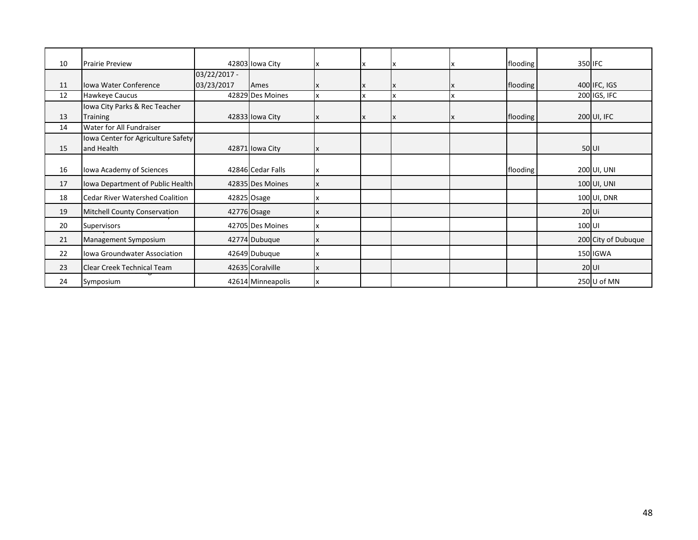| 10 | <b>Prairie Preview</b>                 |                | 42803 Iowa City   |  |    |    | flooding |        | 350 IFC             |
|----|----------------------------------------|----------------|-------------------|--|----|----|----------|--------|---------------------|
|    |                                        | $03/22/2017 -$ |                   |  |    |    |          |        |                     |
| 11 | <b>Iowa Water Conference</b>           | 03/23/2017     | Ames              |  | X  |    | flooding |        | 400 IFC, IGS        |
| 12 | Hawkeye Caucus                         |                | 42829 Des Moines  |  |    |    |          |        | 200 IGS, IFC        |
|    | Iowa City Parks & Rec Teacher          |                |                   |  |    |    |          |        |                     |
| 13 | <b>Training</b>                        |                | 42833 Iowa City   |  | ΙX | ΙX | flooding |        | 200 UI, IFC         |
| 14 | Water for All Fundraiser               |                |                   |  |    |    |          |        |                     |
|    | Iowa Center for Agriculture Safety     |                |                   |  |    |    |          |        |                     |
| 15 | and Health                             |                | 42871 Iowa City   |  |    |    |          |        | 50 UI               |
|    |                                        |                |                   |  |    |    |          |        |                     |
| 16 | Iowa Academy of Sciences               |                | 42846 Cedar Falls |  |    |    | flooding |        | 200 UI, UNI         |
| 17 | Iowa Department of Public Health       |                | 42835 Des Moines  |  |    |    |          |        | 100 UI, UNI         |
| 18 | <b>Cedar River Watershed Coalition</b> |                | 42825 Osage       |  |    |    |          |        | 100 UI, DNR         |
| 19 | <b>Mitchell County Conservation</b>    |                | 42776 Osage       |  |    |    |          |        | $20$ Ui             |
| 20 | Supervisors                            |                | 42705 Des Moines  |  |    |    |          | 100 UI |                     |
| 21 | Management Symposium                   |                | 42774 Dubuque     |  |    |    |          |        | 200 City of Dubuque |
| 22 | Iowa Groundwater Association           |                | 42649 Dubuque     |  |    |    |          |        | 150 IGWA            |
| 23 | Clear Creek Technical Team             |                | 42635 Coralville  |  |    |    |          |        | $20$ UI             |
| 24 | Symposium                              |                | 42614 Minneapolis |  |    |    |          |        | 250 U of MN         |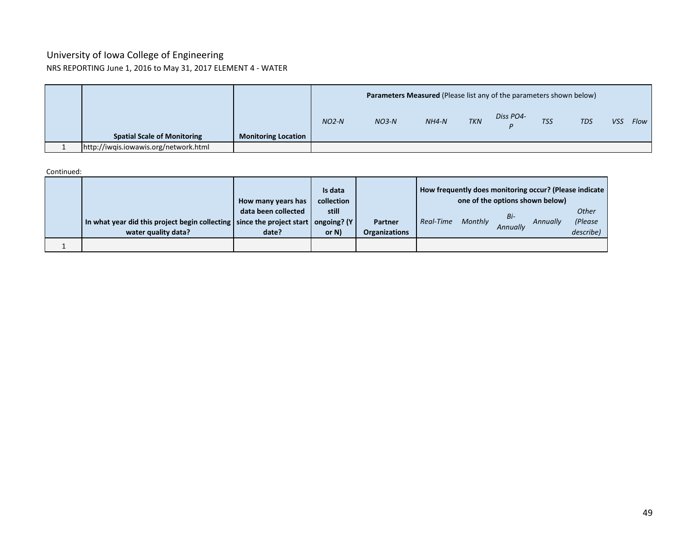### University of Iowa College of Engineering NRS REPORTING June 1, 2016 to May 31, 2017 ELEMENT 4 - WATER

|                                       |                            |         | Parameters Measured (Please list any of the parameters shown below) |         |            |           |            |            |            |      |
|---------------------------------------|----------------------------|---------|---------------------------------------------------------------------|---------|------------|-----------|------------|------------|------------|------|
|                                       |                            | $NO2-N$ | $NO3-N$                                                             | $NH4-N$ | <b>TKN</b> | Diss PO4- | <b>TSS</b> | <b>TDS</b> | <b>VSS</b> | Flow |
| <b>Spatial Scale of Monitoring</b>    | <b>Monitoring Location</b> |         |                                                                     |         |            |           |            |            |            |      |
| http://iwqis.iowawis.org/network.html |                            |         |                                                                     |         |            |           |            |            |            |      |

Continued:

|                                                                                                                 | How many years has           | Is data<br>collection |                                 | How frequently does monitoring occur? (Please indicate<br>one of the options shown below) |         |                 |          |                                      |
|-----------------------------------------------------------------------------------------------------------------|------------------------------|-----------------------|---------------------------------|-------------------------------------------------------------------------------------------|---------|-----------------|----------|--------------------------------------|
| In what year did this project begin collecting   since the project start   ongoing? (Y  <br>water quality data? | data been collected<br>date? | still<br>or $N$ )     | Partner<br><b>Organizations</b> | Real-Time                                                                                 | Monthly | Bi-<br>Annually | Annually | <b>Other</b><br>(Please<br>describe) |
|                                                                                                                 |                              |                       |                                 |                                                                                           |         |                 |          |                                      |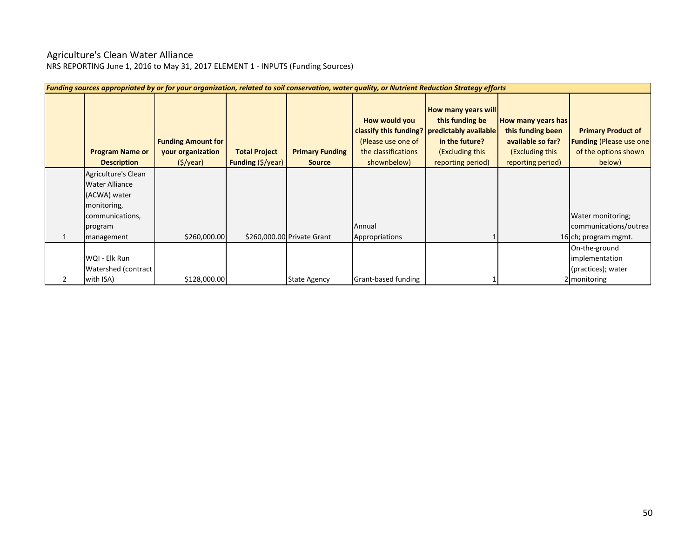### Agriculture's Clean Water Alliance

| Funding sources appropriated by or for your organization, related to soil conservation, water quality, or Nutrient Reduction Strategy efforts |                                                                           |                                           |                                         |                                                                           |                                                                                                                                                         |                                                                                                      |                                                                                                |  |  |  |  |  |
|-----------------------------------------------------------------------------------------------------------------------------------------------|---------------------------------------------------------------------------|-------------------------------------------|-----------------------------------------|---------------------------------------------------------------------------|---------------------------------------------------------------------------------------------------------------------------------------------------------|------------------------------------------------------------------------------------------------------|------------------------------------------------------------------------------------------------|--|--|--|--|--|
| <b>Program Name or</b><br><b>Description</b>                                                                                                  | <b>Funding Amount for</b><br>your organization<br>$(\frac{1}{2})\sqrt{2}$ | <b>Total Project</b><br>Funding (\$/year) | <b>Primary Funding</b><br><b>Source</b> | How would you<br>(Please use one of<br>the classifications<br>shownbelow) | <b>How many years will</b><br>this funding be<br>classify this funding? predictably available<br>in the future?<br>(Excluding this<br>reporting period) | How many years has<br>this funding been<br>available so far?<br>(Excluding this<br>reporting period) | <b>Primary Product of</b><br><b>Funding (Please use one)</b><br>of the options shown<br>below) |  |  |  |  |  |
| Agriculture's Clean                                                                                                                           |                                                                           |                                           |                                         |                                                                           |                                                                                                                                                         |                                                                                                      |                                                                                                |  |  |  |  |  |
| <b>Water Alliance</b>                                                                                                                         |                                                                           |                                           |                                         |                                                                           |                                                                                                                                                         |                                                                                                      |                                                                                                |  |  |  |  |  |
| (ACWA) water                                                                                                                                  |                                                                           |                                           |                                         |                                                                           |                                                                                                                                                         |                                                                                                      |                                                                                                |  |  |  |  |  |
| monitoring,                                                                                                                                   |                                                                           |                                           |                                         |                                                                           |                                                                                                                                                         |                                                                                                      |                                                                                                |  |  |  |  |  |
| communications,                                                                                                                               |                                                                           |                                           |                                         |                                                                           |                                                                                                                                                         |                                                                                                      | Water monitoring;                                                                              |  |  |  |  |  |
| program                                                                                                                                       |                                                                           |                                           |                                         | Annual                                                                    |                                                                                                                                                         |                                                                                                      | communications/outrea                                                                          |  |  |  |  |  |
| management                                                                                                                                    | \$260,000.00                                                              |                                           | \$260,000.00 Private Grant              | Appropriations                                                            |                                                                                                                                                         |                                                                                                      | 16 ch; program mgmt.                                                                           |  |  |  |  |  |
|                                                                                                                                               |                                                                           |                                           |                                         |                                                                           |                                                                                                                                                         |                                                                                                      | On-the-ground                                                                                  |  |  |  |  |  |
| WQI - Elk Run                                                                                                                                 |                                                                           |                                           |                                         |                                                                           |                                                                                                                                                         |                                                                                                      | implementation                                                                                 |  |  |  |  |  |
| Watershed (contract                                                                                                                           |                                                                           |                                           |                                         |                                                                           |                                                                                                                                                         |                                                                                                      | (practices); water                                                                             |  |  |  |  |  |
| with ISA)                                                                                                                                     | \$128,000.00                                                              |                                           | <b>State Agency</b>                     | Grant-based funding                                                       |                                                                                                                                                         |                                                                                                      | 2 monitoring                                                                                   |  |  |  |  |  |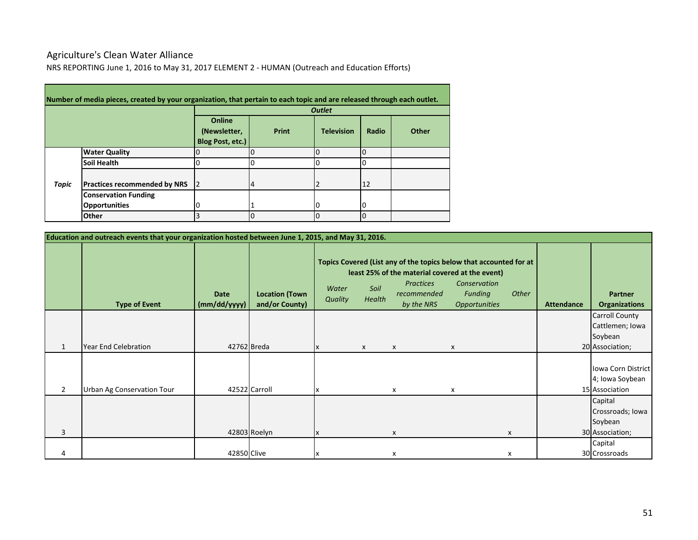# Agriculture's Clean Water Alliance

NRS REPORTING June 1, 2016 to May 31, 2017 ELEMENT 2 - HUMAN (Outreach and Education Efforts)

|       | Number of media pieces, created by your organization, that pertain to each topic and are released through each outlet. |                                            |       |                   |       |       |  |  |  |  |  |  |
|-------|------------------------------------------------------------------------------------------------------------------------|--------------------------------------------|-------|-------------------|-------|-------|--|--|--|--|--|--|
|       |                                                                                                                        |                                            |       | <b>Outlet</b>     |       |       |  |  |  |  |  |  |
|       |                                                                                                                        | Online<br>(Newsletter,<br>Blog Post, etc.) | Print | <b>Television</b> | Radio | Other |  |  |  |  |  |  |
|       | <b>Water Quality</b>                                                                                                   |                                            |       |                   |       |       |  |  |  |  |  |  |
|       | <b>Soil Health</b>                                                                                                     |                                            |       |                   |       |       |  |  |  |  |  |  |
| Topic | <b>Practices recommended by NRS</b>                                                                                    | I2                                         | 14    |                   | 12    |       |  |  |  |  |  |  |
|       | <b>Conservation Funding</b>                                                                                            |                                            |       |                   |       |       |  |  |  |  |  |  |
|       | <b>Opportunities</b>                                                                                                   |                                            |       | U                 |       |       |  |  |  |  |  |  |
|       | Other                                                                                                                  |                                            | 0     | O                 |       |       |  |  |  |  |  |  |

|                | Education and outreach events that your organization hosted between June 1, 2015, and May 31, 2016. |                             |                                         |                                                                                        |                                                                   |                   |                                        |   |  |                                                         |
|----------------|-----------------------------------------------------------------------------------------------------|-----------------------------|-----------------------------------------|----------------------------------------------------------------------------------------|-------------------------------------------------------------------|-------------------|----------------------------------------|---|--|---------------------------------------------------------|
|                | <b>Type of Event</b>                                                                                | <b>Date</b><br>(mm/dd/yyyy) | <b>Location (Town</b><br>and/or County) | Topics Covered (List any of the topics below that accounted for at<br>Water<br>Quality | least 25% of the material covered at the event)<br>Soil<br>Health | <b>Attendance</b> | <b>Partner</b><br><b>Organizations</b> |   |  |                                                         |
|                |                                                                                                     |                             |                                         |                                                                                        |                                                                   |                   |                                        |   |  | <b>Carroll County</b>                                   |
|                |                                                                                                     |                             |                                         |                                                                                        |                                                                   |                   |                                        |   |  | Cattlemen; Iowa                                         |
|                |                                                                                                     |                             |                                         |                                                                                        |                                                                   |                   |                                        |   |  | Soybean                                                 |
| 1              | <b>Year End Celebration</b>                                                                         | 42762 Breda                 |                                         |                                                                                        | X                                                                 | X                 | X                                      |   |  | 20 Association;                                         |
| $\overline{2}$ | Urban Ag Conservation Tour                                                                          |                             | 42522 Carroll                           |                                                                                        |                                                                   | x                 | x                                      |   |  | Iowa Corn District<br>4; Iowa Soybean<br>15 Association |
|                |                                                                                                     |                             |                                         |                                                                                        |                                                                   |                   |                                        |   |  | Capital                                                 |
|                |                                                                                                     |                             |                                         |                                                                                        |                                                                   |                   |                                        |   |  | Crossroads; Iowa                                        |
|                |                                                                                                     |                             |                                         |                                                                                        |                                                                   |                   |                                        |   |  | Soybean                                                 |
| 3              |                                                                                                     |                             | 42803 Roelyn                            |                                                                                        |                                                                   | X                 |                                        | X |  | 30 Association;                                         |
|                |                                                                                                     |                             |                                         |                                                                                        |                                                                   |                   |                                        |   |  | Capital                                                 |
|                |                                                                                                     | 42850 Clive                 |                                         | х                                                                                      |                                                                   | x                 |                                        | х |  | 30 Crossroads                                           |

 $\overline{\phantom{0}}$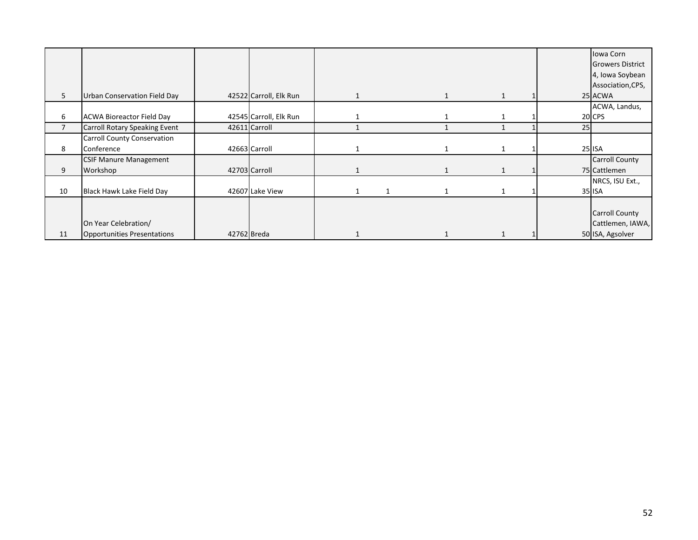|                |                                    |             |                        |  |  |    | Iowa Corn               |
|----------------|------------------------------------|-------------|------------------------|--|--|----|-------------------------|
|                |                                    |             |                        |  |  |    | <b>Growers District</b> |
|                |                                    |             |                        |  |  |    | 4, Iowa Soybean         |
|                |                                    |             |                        |  |  |    | Association, CPS,       |
| 5              | Urban Conservation Field Day       |             | 42522 Carroll, Elk Run |  |  |    | 25 ACWA                 |
|                |                                    |             |                        |  |  |    | ACWA, Landus,           |
| 6              | <b>ACWA Bioreactor Field Day</b>   |             | 42545 Carroll, Elk Run |  |  |    | 20 CPS                  |
| $\overline{7}$ | Carroll Rotary Speaking Event      |             | 42611 Carroll          |  |  | 25 |                         |
|                | Carroll County Conservation        |             |                        |  |  |    |                         |
| 8              | Conference                         |             | 42663 Carroll          |  |  |    | <b>25 ISA</b>           |
|                | <b>CSIF Manure Management</b>      |             |                        |  |  |    | <b>Carroll County</b>   |
| 9              | Workshop                           |             | 42703 Carroll          |  |  |    | 75 Cattlemen            |
|                |                                    |             |                        |  |  |    | NRCS, ISU Ext.,         |
| 10             | Black Hawk Lake Field Day          |             | 42607 Lake View        |  |  |    | 35 ISA                  |
|                |                                    |             |                        |  |  |    |                         |
|                |                                    |             |                        |  |  |    | <b>Carroll County</b>   |
|                | On Year Celebration/               |             |                        |  |  |    | Cattlemen, IAWA,        |
| 11             | <b>Opportunities Presentations</b> | 42762 Breda |                        |  |  |    | 50 ISA, Agsolver        |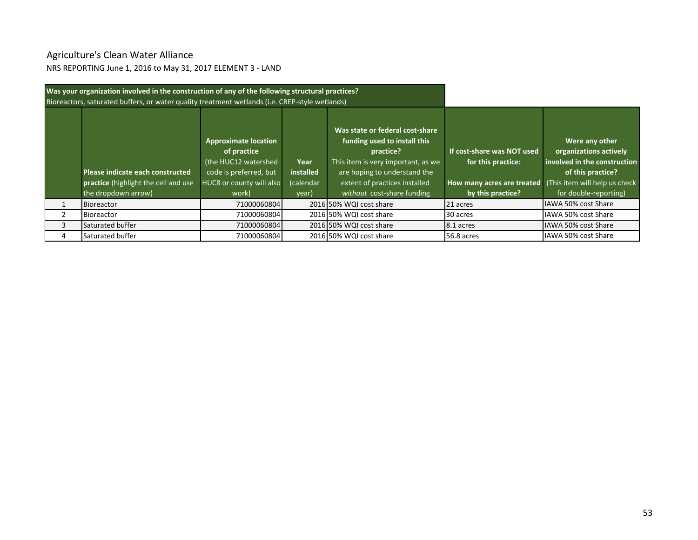# Agriculture's Clean Water Alliance

NRS REPORTING June 1, 2016 to May 31, 2017 ELEMENT 3 - LAND

|   | Was your organization involved in the construction of any of the following structural practices?<br>Bioreactors, saturated buffers, or water quality treatment wetlands (i.e. CREP-style wetlands) |                                                                                                                                   |                                         |                                                                                                                                                                                                                   |                                                                                                                                   |                                                                                                                        |
|---|----------------------------------------------------------------------------------------------------------------------------------------------------------------------------------------------------|-----------------------------------------------------------------------------------------------------------------------------------|-----------------------------------------|-------------------------------------------------------------------------------------------------------------------------------------------------------------------------------------------------------------------|-----------------------------------------------------------------------------------------------------------------------------------|------------------------------------------------------------------------------------------------------------------------|
|   | Please indicate each constructed<br>practice (highlight the cell and use<br>the dropdown arrow)                                                                                                    | <b>Approximate location</b><br>of practice<br>(the HUC12 watershed<br>code is preferred, but<br>HUC8 or county will also<br>work) | Year<br>installed<br>(calendar<br>year) | Was state or federal cost-share<br>funding used to install this<br>practice?<br>This item is very important, as we<br>are hoping to understand the<br>extent of practices installed<br>without cost-share funding | If cost-share was NOT used<br>for this practice:<br>How many acres are treated (This item will help us check<br>by this practice? | Were any other<br>organizations actively<br>involved in the construction<br>of this practice?<br>for double-reporting) |
|   | <b>Bioreactor</b>                                                                                                                                                                                  | 71000060804                                                                                                                       |                                         | 2016 50% WQI cost share                                                                                                                                                                                           | 21 acres                                                                                                                          | IAWA 50% cost Share                                                                                                    |
|   | <b>Bioreactor</b>                                                                                                                                                                                  | 71000060804                                                                                                                       |                                         | 2016 50% WQI cost share                                                                                                                                                                                           | 30 acres                                                                                                                          | IAWA 50% cost Share                                                                                                    |
| 3 | Saturated buffer                                                                                                                                                                                   | 71000060804                                                                                                                       |                                         | 2016 50% WQI cost share                                                                                                                                                                                           | 8.1 acres                                                                                                                         | IAWA 50% cost Share                                                                                                    |
| 4 | Saturated buffer                                                                                                                                                                                   | 71000060804                                                                                                                       |                                         | 2016 50% WQI cost share                                                                                                                                                                                           | 56.8 acres                                                                                                                        | IAWA 50% cost Share                                                                                                    |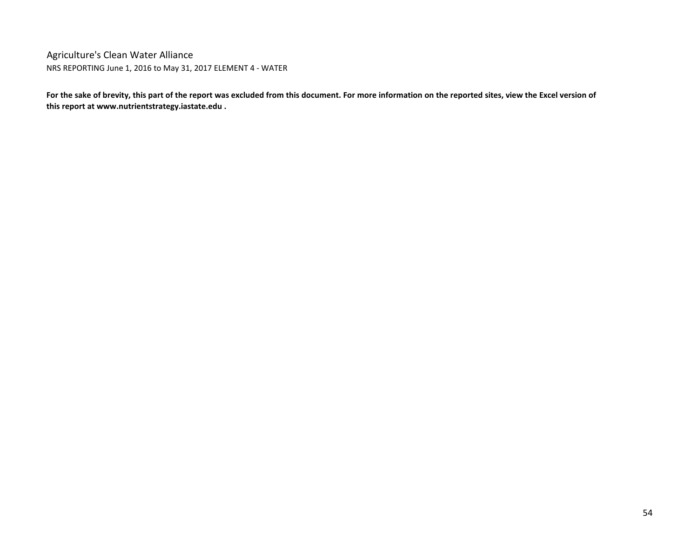Agriculture's Clean Water Alliance NRS REPORTING June 1, 2016 to May 31, 2017 ELEMENT 4 - WATER

**For the sake of brevity, this part of the report was excluded from this document. For more information on the reported sites, view the Excel version of this report at www.nutrientstrategy.iastate.edu .**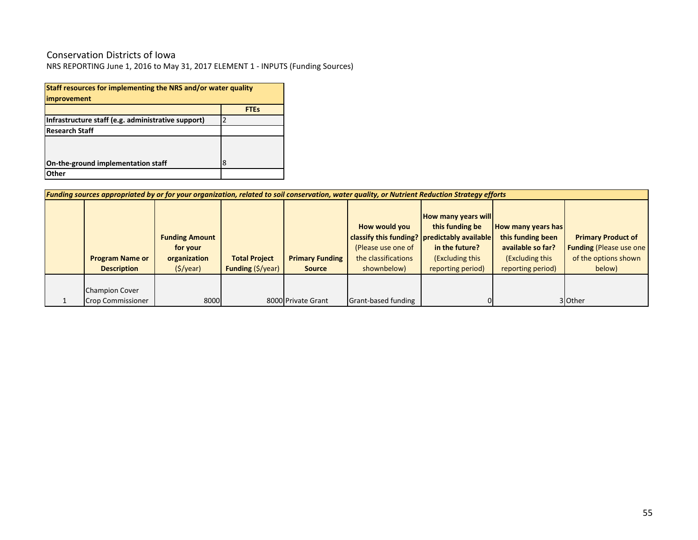# Conservation Districts of Iowa

| Staff resources for implementing the NRS and/or water quality |             |  |  |  |  |  |  |  |  |
|---------------------------------------------------------------|-------------|--|--|--|--|--|--|--|--|
| improvement                                                   |             |  |  |  |  |  |  |  |  |
|                                                               | <b>FTEs</b> |  |  |  |  |  |  |  |  |
| Infrastructure staff (e.g. administrative support)<br>2       |             |  |  |  |  |  |  |  |  |
| <b>Research Staff</b>                                         |             |  |  |  |  |  |  |  |  |
|                                                               |             |  |  |  |  |  |  |  |  |
|                                                               |             |  |  |  |  |  |  |  |  |
| 8<br>On-the-ground implementation staff                       |             |  |  |  |  |  |  |  |  |
| Other                                                         |             |  |  |  |  |  |  |  |  |

| Funding sources appropriated by or for your organization, related to soil conservation, water quality, or Nutrient Reduction Strategy efforts |                                                                      |                                                  |                                         |                                                                                                                               |                                                                                                         |                                                                                                             |                                                                                                |  |  |  |  |
|-----------------------------------------------------------------------------------------------------------------------------------------------|----------------------------------------------------------------------|--------------------------------------------------|-----------------------------------------|-------------------------------------------------------------------------------------------------------------------------------|---------------------------------------------------------------------------------------------------------|-------------------------------------------------------------------------------------------------------------|------------------------------------------------------------------------------------------------|--|--|--|--|
| <b>Program Name or</b><br><b>Description</b>                                                                                                  | <b>Funding Amount</b><br>for your<br>organization<br>$($ \$/year $)$ | <b>Total Project</b><br><b>Funding (\$/year)</b> | <b>Primary Funding</b><br><b>Source</b> | How would you<br>classify this funding?   predictably available  <br>(Please use one of<br>the classifications<br>shownbelow) | <b>How many years will</b><br>this funding be<br>in the future?<br>(Excluding this<br>reporting period) | <b>How many years has</b><br>this funding been<br>available so far?<br>(Excluding this<br>reporting period) | <b>Primary Product of</b><br><b>Funding (Please use one)</b><br>of the options shown<br>below) |  |  |  |  |
| <b>Champion Cover</b><br><b>Crop Commissioner</b>                                                                                             | 8000                                                                 |                                                  | 8000 Private Grant                      | Grant-based funding                                                                                                           |                                                                                                         |                                                                                                             | 3 Other                                                                                        |  |  |  |  |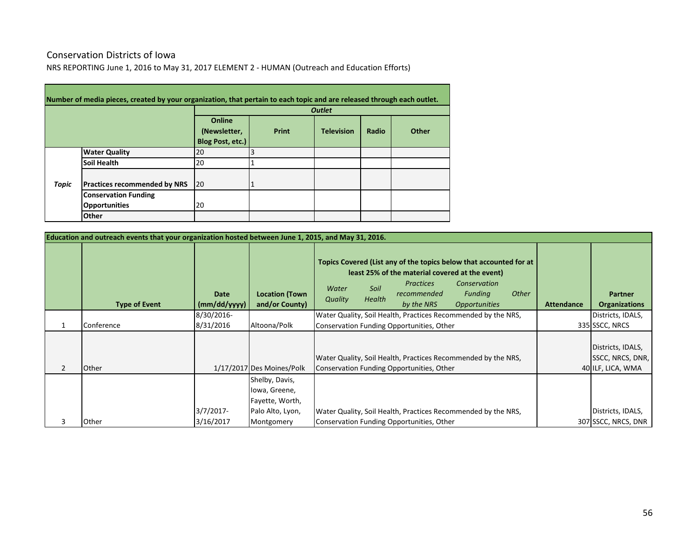# Conservation Districts of Iowa

**Contract Contract Contract** 

NRS REPORTING June 1, 2016 to May 31, 2017 ELEMENT 2 - HUMAN (Outreach and Education Efforts)

|       | Number of media pieces, created by your organization, that pertain to each topic and are released through each outlet. |                                            |       |                   |       |       |  |  |  |  |  |  |  |
|-------|------------------------------------------------------------------------------------------------------------------------|--------------------------------------------|-------|-------------------|-------|-------|--|--|--|--|--|--|--|
|       |                                                                                                                        |                                            |       | <b>Outlet</b>     |       |       |  |  |  |  |  |  |  |
|       |                                                                                                                        | Online<br>(Newsletter,<br>Blog Post, etc.) | Print | <b>Television</b> | Radio | Other |  |  |  |  |  |  |  |
|       | <b>Water Quality</b>                                                                                                   | 20                                         |       |                   |       |       |  |  |  |  |  |  |  |
|       | <b>Soil Health</b>                                                                                                     | 20                                         |       |                   |       |       |  |  |  |  |  |  |  |
| Topic | <b>Practices recommended by NRS</b>                                                                                    | 20                                         |       |                   |       |       |  |  |  |  |  |  |  |
|       | <b>Conservation Funding</b>                                                                                            |                                            |       |                   |       |       |  |  |  |  |  |  |  |
|       | <b>Opportunities</b>                                                                                                   | 20                                         |       |                   |       |       |  |  |  |  |  |  |  |
|       | Other                                                                                                                  |                                            |       |                   |       |       |  |  |  |  |  |  |  |

|                | Education and outreach events that your organization hosted between June 1, 2015, and May 31, 2016. |                             |                                                                                      |                  |                       |                                                                                                  |                                                                                                                                     |              |                   |                                                            |
|----------------|-----------------------------------------------------------------------------------------------------|-----------------------------|--------------------------------------------------------------------------------------|------------------|-----------------------|--------------------------------------------------------------------------------------------------|-------------------------------------------------------------------------------------------------------------------------------------|--------------|-------------------|------------------------------------------------------------|
|                | <b>Type of Event</b>                                                                                | <b>Date</b><br>(mm/dd/yyyy) | <b>Location (Town</b><br>and/or County)                                              | Water<br>Quality | Soil<br><b>Health</b> | least 25% of the material covered at the event)<br><b>Practices</b><br>recommended<br>by the NRS | Topics Covered (List any of the topics below that accounted for at<br>Conservation<br><b>Funding</b><br><i><b>Opportunities</b></i> | <b>Other</b> | <b>Attendance</b> | <b>Partner</b><br><b>Organizations</b>                     |
|                |                                                                                                     | 8/30/2016-                  |                                                                                      |                  |                       |                                                                                                  | Water Quality, Soil Health, Practices Recommended by the NRS,                                                                       |              |                   | Districts, IDALS,                                          |
|                | Conference                                                                                          | 8/31/2016                   | Altoona/Polk                                                                         |                  |                       | Conservation Funding Opportunities, Other                                                        |                                                                                                                                     |              |                   | 335 SSCC, NRCS                                             |
| $\overline{2}$ | Other                                                                                               |                             | 1/17/2017 Des Moines/Polk                                                            |                  |                       | Conservation Funding Opportunities, Other                                                        | Water Quality, Soil Health, Practices Recommended by the NRS,                                                                       |              |                   | Districts, IDALS,<br>SSCC, NRCS, DNR,<br>40 ILF, LICA, WMA |
| 3              | Other                                                                                               | $3/7/2017$ -<br>3/16/2017   | Shelby, Davis,<br>lowa, Greene,<br>Fayette, Worth,<br>Palo Alto, Lyon,<br>Montgomery |                  |                       | Conservation Funding Opportunities, Other                                                        | Water Quality, Soil Health, Practices Recommended by the NRS,                                                                       |              |                   | Districts, IDALS,<br>307 SSCC, NRCS, DNR                   |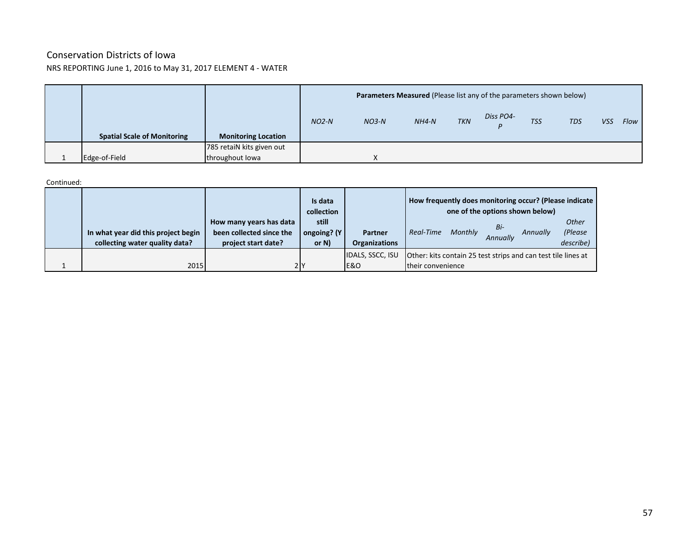### Conservation Districts of Iowa NRS REPORTING June 1, 2016 to May 31, 2017 ELEMENT 4 - WATER

|                                    |                            |         | <b>Parameters Measured (Please list any of the parameters shown below)</b> |         |            |           |            |            |            |      |
|------------------------------------|----------------------------|---------|----------------------------------------------------------------------------|---------|------------|-----------|------------|------------|------------|------|
|                                    |                            | $NO2-N$ | $NO3-N$                                                                    | $NH4-N$ | <b>TKN</b> | Diss PO4- | <b>TSS</b> | <b>TDS</b> | <b>VSS</b> | Flow |
| <b>Spatial Scale of Monitoring</b> | <b>Monitoring Location</b> |         |                                                                            |         |            |           |            |            |            |      |
|                                    | 785 retaiN kits given out  |         |                                                                            |         |            |           |            |            |            |      |
| Edge-of-Field                      | throughout lowa            |         | $\sqrt{ }$                                                                 |         |            |           |            |            |            |      |

### Continued:

|                                                                       |                                                                            | Is data<br>collection            |                                           | How frequently does monitoring occur? (Please indicate                             | one of the options shown below) |          |                                      |
|-----------------------------------------------------------------------|----------------------------------------------------------------------------|----------------------------------|-------------------------------------------|------------------------------------------------------------------------------------|---------------------------------|----------|--------------------------------------|
| In what year did this project begin<br>collecting water quality data? | How many years has data<br>been collected since the<br>project start date? | still<br>ongoing? (Y<br>or $N$ ) | Partner<br><b>Organizations</b>           | Real-Time<br>Monthly                                                               | Bi-<br>Annually                 | Annually | <b>Other</b><br>(Please<br>describe) |
| 2015                                                                  | 2 I Y                                                                      |                                  | <b>IDALS, SSCC, ISU</b><br><b>E&amp;O</b> | Other: kits contain 25 test strips and can test tile lines at<br>their convenience |                                 |          |                                      |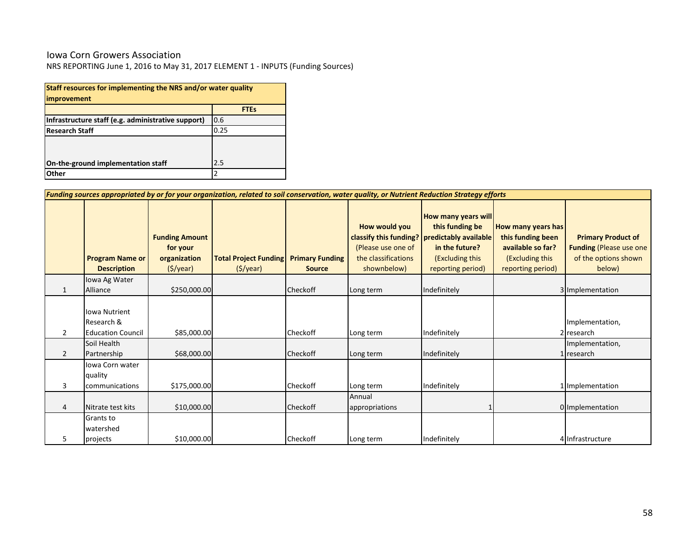### Iowa Corn Growers Association

| Staff resources for implementing the NRS and/or water quality<br>improvement |             |  |  |  |  |  |  |  |  |
|------------------------------------------------------------------------------|-------------|--|--|--|--|--|--|--|--|
|                                                                              | <b>FTEs</b> |  |  |  |  |  |  |  |  |
| Infrastructure staff (e.g. administrative support)                           | 0.6         |  |  |  |  |  |  |  |  |
| <b>Research Staff</b>                                                        | 0.25        |  |  |  |  |  |  |  |  |
|                                                                              |             |  |  |  |  |  |  |  |  |
| On-the-ground implementation staff                                           | 2.5         |  |  |  |  |  |  |  |  |
| Other                                                                        | 2           |  |  |  |  |  |  |  |  |

|                | Funding sources appropriated by or for your organization, related to soil conservation, water quality, or Nutrient Reduction Strategy efforts |                                                                              |                                                         |                                         |                                                                                                     |                                                                                                                                  |                                                                                                      |                                                                                                |  |  |  |  |
|----------------|-----------------------------------------------------------------------------------------------------------------------------------------------|------------------------------------------------------------------------------|---------------------------------------------------------|-----------------------------------------|-----------------------------------------------------------------------------------------------------|----------------------------------------------------------------------------------------------------------------------------------|------------------------------------------------------------------------------------------------------|------------------------------------------------------------------------------------------------|--|--|--|--|
|                | <b>Program Name or</b><br><b>Description</b>                                                                                                  | <b>Funding Amount</b><br>for your<br>organization<br>$(\frac{1}{2})\sqrt{2}$ | <b>Total Project Funding</b><br>$(\frac{1}{2})\sqrt{2}$ | <b>Primary Funding</b><br><b>Source</b> | How would you<br>classify this funding?<br>(Please use one of<br>the classifications<br>shownbelow) | <b>How many years will</b><br>this funding be<br>predictably available<br>in the future?<br>(Excluding this<br>reporting period) | How many years has<br>this funding been<br>available so far?<br>(Excluding this<br>reporting period) | <b>Primary Product of</b><br><b>Funding (Please use one)</b><br>of the options shown<br>below) |  |  |  |  |
| 1              | lowa Ag Water<br>Alliance                                                                                                                     | \$250,000.00                                                                 |                                                         | Checkoff                                | Long term                                                                                           | Indefinitely                                                                                                                     |                                                                                                      | 3 Implementation                                                                               |  |  |  |  |
| $\overline{2}$ | <b>Iowa Nutrient</b><br>Research &<br><b>Education Council</b>                                                                                | \$85,000.00                                                                  |                                                         | Checkoff                                | Long term                                                                                           | Indefinitely                                                                                                                     |                                                                                                      | Implementation,<br>2 research                                                                  |  |  |  |  |
| 2              | Soil Health<br>Partnership                                                                                                                    | \$68,000.00                                                                  |                                                         | Checkoff                                | Long term                                                                                           | Indefinitely                                                                                                                     |                                                                                                      | Implementation,<br>1 research                                                                  |  |  |  |  |
| 3              | Iowa Corn water<br>quality<br>communications                                                                                                  | \$175,000.00                                                                 |                                                         | Checkoff                                | Long term                                                                                           | Indefinitely                                                                                                                     |                                                                                                      | 1 Implementation                                                                               |  |  |  |  |
| 4              | Nitrate test kits                                                                                                                             | \$10,000.00                                                                  |                                                         | Checkoff                                | Annual<br>appropriations                                                                            |                                                                                                                                  |                                                                                                      | 0 Implementation                                                                               |  |  |  |  |
| 5              | <b>Grants to</b><br>watershed<br>projects                                                                                                     | \$10,000.00                                                                  |                                                         | Checkoff                                | Long term                                                                                           | Indefinitely                                                                                                                     |                                                                                                      | 4 Infrastructure                                                                               |  |  |  |  |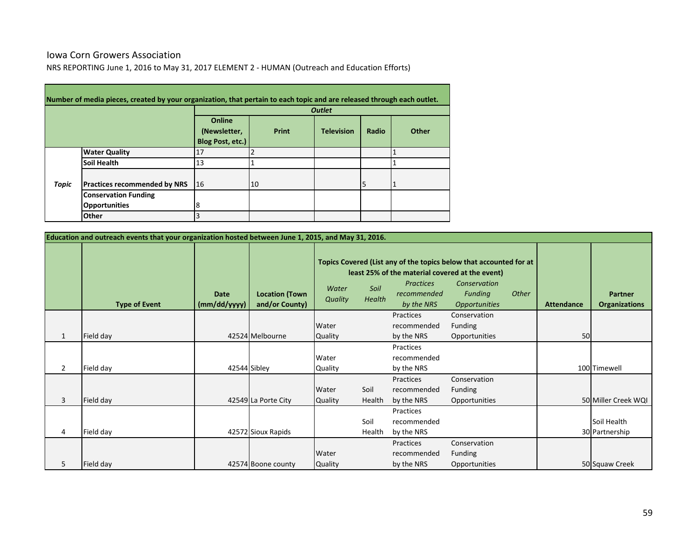### Iowa Corn Growers Association

and the control of the control of the control of the control of the control of the control of

NRS REPORTING June 1, 2016 to May 31, 2017 ELEMENT 2 - HUMAN (Outreach and Education Efforts)

|       | Number of media pieces, created by your organization, that pertain to each topic and are released through each outlet. |                                            |       |                   |       |       |  |  |  |  |
|-------|------------------------------------------------------------------------------------------------------------------------|--------------------------------------------|-------|-------------------|-------|-------|--|--|--|--|
|       |                                                                                                                        | <b>Outlet</b>                              |       |                   |       |       |  |  |  |  |
|       |                                                                                                                        | Online<br>(Newsletter,<br>Blog Post, etc.) | Print | <b>Television</b> | Radio | Other |  |  |  |  |
|       | <b>Water Quality</b>                                                                                                   | 17                                         |       |                   |       |       |  |  |  |  |
|       | <b>Soil Health</b>                                                                                                     | 13                                         |       |                   |       |       |  |  |  |  |
| Topic | <b>Practices recommended by NRS</b>                                                                                    | 16                                         | 10    |                   |       |       |  |  |  |  |
|       | <b>Conservation Funding</b>                                                                                            |                                            |       |                   |       |       |  |  |  |  |
|       | <b>Opportunities</b>                                                                                                   | 8                                          |       |                   |       |       |  |  |  |  |
|       | Other                                                                                                                  |                                            |       |                   |       |       |  |  |  |  |

|                | Education and outreach events that your organization hosted between June 1, 2015, and May 31, 2016. |                             |                                         |                         |                                                                                                                                                                                                                                                             |                                        |                                                 |  |    |                                        |
|----------------|-----------------------------------------------------------------------------------------------------|-----------------------------|-----------------------------------------|-------------------------|-------------------------------------------------------------------------------------------------------------------------------------------------------------------------------------------------------------------------------------------------------------|----------------------------------------|-------------------------------------------------|--|----|----------------------------------------|
|                | <b>Type of Event</b>                                                                                | <b>Date</b><br>(mm/dd/yyyy) | <b>Location (Town</b><br>and/or County) | Water<br><b>Quality</b> | Topics Covered (List any of the topics below that accounted for at<br>least 25% of the material covered at the event)<br>Conservation<br><b>Practices</b><br>Soil<br>Funding<br>Other<br>recommended<br>Health<br>by the NRS<br><i><b>Opportunities</b></i> |                                        |                                                 |  |    | <b>Partner</b><br><b>Organizations</b> |
| $\mathbf{1}$   | Field day                                                                                           |                             | 42524 Melbourne                         | Water<br>Quality        |                                                                                                                                                                                                                                                             | Practices<br>recommended<br>by the NRS | Conservation<br><b>Funding</b><br>Opportunities |  | 50 |                                        |
| $\overline{2}$ | Field day                                                                                           |                             | 42544 Sibley                            | Water<br>Quality        |                                                                                                                                                                                                                                                             | Practices<br>recommended<br>by the NRS |                                                 |  |    | 100 Timewell                           |
| $\overline{3}$ | Field day                                                                                           |                             | 42549 La Porte City                     | Water<br><b>Quality</b> | Soil<br>Health                                                                                                                                                                                                                                              | Practices<br>recommended<br>by the NRS | Conservation<br><b>Funding</b><br>Opportunities |  |    | 50 Miller Creek WQI                    |
| 4              | Field day                                                                                           |                             | 42572 Sioux Rapids                      |                         | Soil<br>Health                                                                                                                                                                                                                                              | Practices<br>recommended<br>by the NRS |                                                 |  |    | Soil Health<br>30 Partnership          |
| 5              | Field day                                                                                           |                             | 42574 Boone county                      | Water<br>Quality        |                                                                                                                                                                                                                                                             | Practices<br>recommended<br>by the NRS | Conservation<br><b>Funding</b><br>Opportunities |  |    | 50 Squaw Creek                         |

and the control of the control of the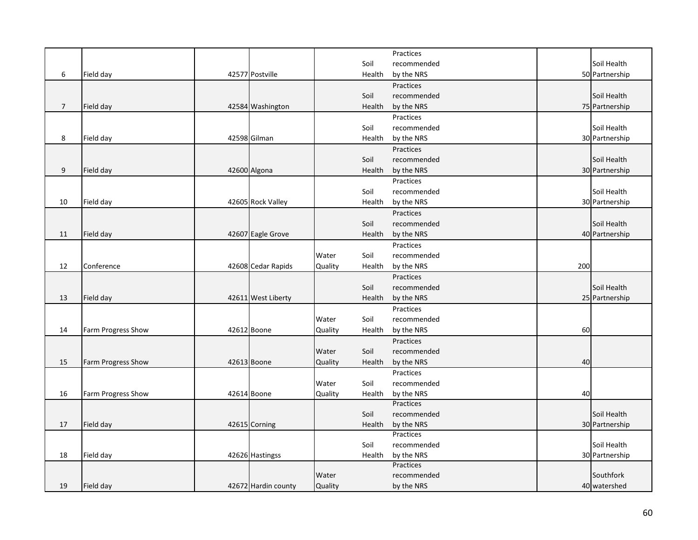|                |                    |                     |         |        | Practices   |     |                |
|----------------|--------------------|---------------------|---------|--------|-------------|-----|----------------|
|                |                    |                     |         | Soil   | recommended |     | Soil Health    |
| 6              | Field day          | 42577 Postville     |         | Health | by the NRS  |     | 50 Partnership |
|                |                    |                     |         |        | Practices   |     |                |
|                |                    |                     |         | Soil   | recommended |     | Soil Health    |
| $\overline{7}$ | Field day          | 42584 Washington    |         | Health | by the NRS  |     | 75 Partnership |
|                |                    |                     |         |        | Practices   |     |                |
|                |                    |                     |         | Soil   | recommended |     | Soil Health    |
| 8              | Field day          | 42598 Gilman        |         | Health | by the NRS  |     | 30 Partnership |
|                |                    |                     |         |        | Practices   |     |                |
|                |                    |                     |         | Soil   | recommended |     | Soil Health    |
| 9              | Field day          | 42600 Algona        |         | Health | by the NRS  |     | 30 Partnership |
|                |                    |                     |         |        | Practices   |     |                |
|                |                    |                     |         | Soil   | recommended |     | Soil Health    |
|                |                    |                     |         |        |             |     |                |
| 10             | Field day          | 42605 Rock Valley   |         | Health | by the NRS  |     | 30 Partnership |
|                |                    |                     |         |        | Practices   |     |                |
|                |                    |                     |         | Soil   | recommended |     | Soil Health    |
| 11             | Field day          | 42607 Eagle Grove   |         | Health | by the NRS  |     | 40 Partnership |
|                |                    |                     |         |        | Practices   |     |                |
|                |                    |                     | Water   | Soil   | recommended |     |                |
| 12             | Conference         | 42608 Cedar Rapids  | Quality | Health | by the NRS  | 200 |                |
|                |                    |                     |         |        | Practices   |     |                |
|                |                    |                     |         | Soil   | recommended |     | Soil Health    |
| 13             | Field day          | 42611 West Liberty  |         | Health | by the NRS  |     | 25 Partnership |
|                |                    |                     |         |        | Practices   |     |                |
|                |                    |                     | Water   | Soil   | recommended |     |                |
| 14             | Farm Progress Show | 42612 Boone         | Quality | Health | by the NRS  | 60  |                |
|                |                    |                     |         |        | Practices   |     |                |
|                |                    |                     | Water   | Soil   | recommended |     |                |
| 15             | Farm Progress Show | 42613 Boone         | Quality | Health | by the NRS  | 40  |                |
|                |                    |                     |         |        | Practices   |     |                |
|                |                    |                     | Water   | Soil   | recommended |     |                |
| 16             | Farm Progress Show | 42614 Boone         | Quality | Health | by the NRS  | 40  |                |
|                |                    |                     |         |        | Practices   |     |                |
|                |                    |                     |         | Soil   | recommended |     | Soil Health    |
| 17             | Field day          | 42615 Corning       |         | Health | by the NRS  |     | 30 Partnership |
|                |                    |                     |         |        | Practices   |     |                |
|                |                    |                     |         | Soil   | recommended |     | Soil Health    |
| 18             | Field day          | 42626 Hastingss     |         | Health | by the NRS  |     | 30 Partnership |
|                |                    |                     |         |        | Practices   |     |                |
|                |                    |                     | Water   |        | recommended |     | Southfork      |
| 19             | Field day          | 42672 Hardin county | Quality |        | by the NRS  |     | 40 watershed   |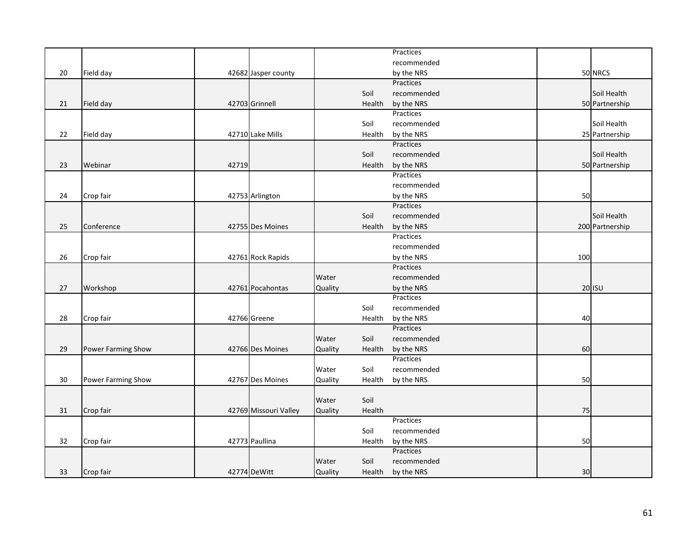|    |                    |       |                       |         |        | Practices               |     |                 |
|----|--------------------|-------|-----------------------|---------|--------|-------------------------|-----|-----------------|
|    |                    |       |                       |         |        | recommended             |     |                 |
| 20 | Field day          |       | 42682 Jasper county   |         |        | by the NRS              |     | 50 NRCS         |
|    |                    |       |                       |         |        | Practices               |     |                 |
|    |                    |       |                       |         | Soil   | recommended             |     | Soil Health     |
| 21 | Field day          |       | 42703 Grinnell        |         | Health | by the NRS              |     | 50 Partnership  |
|    |                    |       |                       |         |        | Practices               |     |                 |
|    |                    |       |                       |         | Soil   | recommended             |     | Soil Health     |
| 22 | Field day          |       | 42710 Lake Mills      |         | Health | by the NRS              |     | 25 Partnership  |
|    |                    |       |                       |         |        | Practices               |     |                 |
|    |                    |       |                       |         | Soil   | recommended             |     | Soil Health     |
| 23 | Webinar            | 42719 |                       |         | Health | by the NRS              |     | 50 Partnership  |
|    |                    |       |                       |         |        | Practices               |     |                 |
|    |                    |       |                       |         |        | recommended             |     |                 |
| 24 | Crop fair          |       | 42753 Arlington       |         |        | by the NRS              | 50  |                 |
|    |                    |       |                       |         |        | Practices               |     |                 |
|    |                    |       |                       |         | Soil   | recommended             |     | Soil Health     |
| 25 | Conference         |       | 42755 Des Moines      |         | Health | by the NRS              |     | 200 Partnership |
|    |                    |       |                       |         |        | Practices               |     |                 |
|    |                    |       |                       |         |        | recommended             |     |                 |
| 26 | Crop fair          |       | 42761 Rock Rapids     |         |        | by the NRS              | 100 |                 |
|    |                    |       |                       |         |        | Practices               |     |                 |
|    |                    |       |                       | Water   |        | recommended             |     |                 |
|    |                    |       |                       |         |        |                         |     |                 |
| 27 | Workshop           |       | 42761 Pocahontas      | Quality |        | by the NRS<br>Practices |     | 20 ISU          |
|    |                    |       |                       |         |        |                         |     |                 |
|    |                    |       |                       |         | Soil   | recommended             |     |                 |
| 28 | Crop fair          |       | 42766 Greene          |         | Health | by the NRS<br>Practices | 40  |                 |
|    |                    |       |                       |         |        |                         |     |                 |
|    |                    |       |                       | Water   | Soil   | recommended             |     |                 |
| 29 | Power Farming Show |       | 42766 Des Moines      | Quality | Health | by the NRS              | 60  |                 |
|    |                    |       |                       |         |        | Practices               |     |                 |
|    |                    |       |                       | Water   | Soil   | recommended             |     |                 |
| 30 | Power Farming Show |       | 42767 Des Moines      | Quality | Health | by the NRS              | 50  |                 |
|    |                    |       |                       |         |        |                         |     |                 |
|    |                    |       |                       | Water   | Soil   |                         |     |                 |
| 31 | Crop fair          |       | 42769 Missouri Valley | Quality | Health |                         | 75  |                 |
|    |                    |       |                       |         |        | Practices               |     |                 |
|    |                    |       |                       |         | Soil   | recommended             |     |                 |
| 32 | Crop fair          |       | 42773 Paullina        |         | Health | by the NRS              | 50  |                 |
|    |                    |       |                       |         |        | Practices               |     |                 |
|    |                    |       |                       | Water   | Soil   | recommended             |     |                 |
| 33 | Crop fair          |       | 42774 DeWitt          | Quality | Health | by the NRS              | 30  |                 |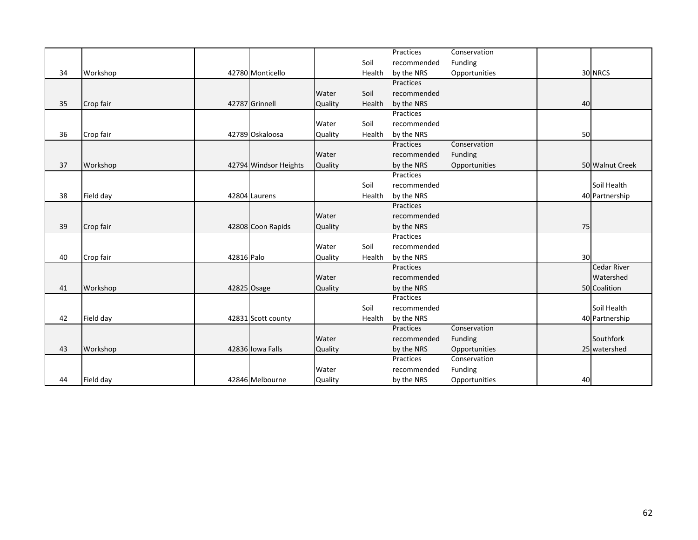|    |           |            |                       |                |        | Practices   | Conservation  |    |                    |
|----|-----------|------------|-----------------------|----------------|--------|-------------|---------------|----|--------------------|
|    |           |            |                       |                | Soil   | recommended | Funding       |    |                    |
| 34 | Workshop  |            | 42780 Monticello      |                | Health | by the NRS  | Opportunities |    | 30 NRCS            |
|    |           |            |                       |                |        | Practices   |               |    |                    |
|    |           |            |                       | Water          | Soil   | recommended |               |    |                    |
| 35 | Crop fair |            | 42787 Grinnell        | Quality        | Health | by the NRS  |               | 40 |                    |
|    |           |            |                       |                |        | Practices   |               |    |                    |
|    |           |            |                       | Water          | Soil   | recommended |               |    |                    |
| 36 | Crop fair |            | 42789 Oskaloosa       | Quality        | Health | by the NRS  |               | 50 |                    |
|    |           |            |                       |                |        | Practices   | Conservation  |    |                    |
|    |           |            |                       | Water          |        | recommended | Funding       |    |                    |
| 37 | Workshop  |            | 42794 Windsor Heights | <b>Quality</b> |        | by the NRS  | Opportunities |    | 50 Walnut Creek    |
|    |           |            |                       |                |        | Practices   |               |    |                    |
|    |           |            |                       |                | Soil   | recommended |               |    | Soil Health        |
| 38 | Field day |            | 42804 Laurens         |                | Health | by the NRS  |               |    | 40 Partnership     |
|    |           |            |                       |                |        | Practices   |               |    |                    |
|    |           |            |                       | Water          |        | recommended |               |    |                    |
| 39 | Crop fair |            | 42808 Coon Rapids     | Quality        |        | by the NRS  |               | 75 |                    |
|    |           |            |                       |                |        | Practices   |               |    |                    |
|    |           |            |                       | Water          | Soil   | recommended |               |    |                    |
| 40 | Crop fair | 42816 Palo |                       | Quality        | Health | by the NRS  |               | 30 |                    |
|    |           |            |                       |                |        | Practices   |               |    | <b>Cedar River</b> |
|    |           |            |                       | Water          |        | recommended |               |    | Watershed          |
| 41 | Workshop  |            | 42825 Osage           | Quality        |        | by the NRS  |               |    | 50 Coalition       |
|    |           |            |                       |                |        | Practices   |               |    |                    |
|    |           |            |                       |                | Soil   | recommended |               |    | Soil Health        |
| 42 | Field day |            | 42831 Scott county    |                | Health | by the NRS  |               |    | 40 Partnership     |
|    |           |            |                       |                |        | Practices   | Conservation  |    |                    |
|    |           |            |                       | Water          |        | recommended | Funding       |    | Southfork          |
| 43 | Workshop  |            | 42836 Iowa Falls      | Quality        |        | by the NRS  | Opportunities |    | 25 watershed       |
|    |           |            |                       |                |        | Practices   | Conservation  |    |                    |
|    |           |            |                       | Water          |        | recommended | Funding       |    |                    |
| 44 | Field day |            | 42846 Melbourne       | Quality        |        | by the NRS  | Opportunities | 40 |                    |
|    |           |            |                       |                |        |             |               |    |                    |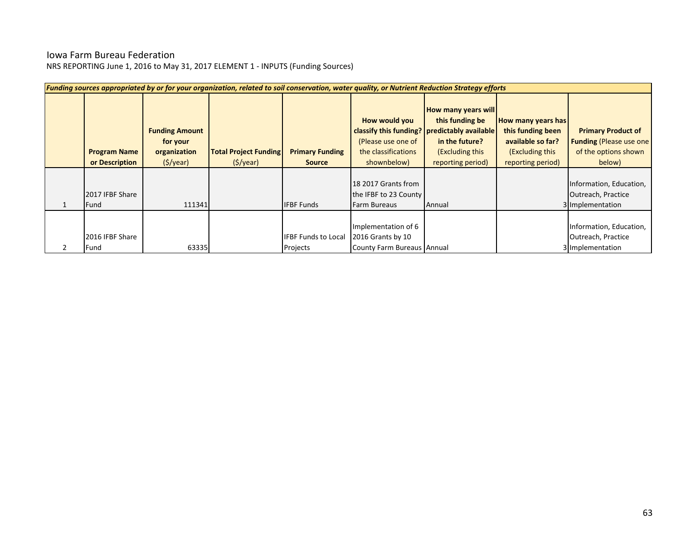# Iowa Farm Bureau Federation

| Funding sources appropriated by or for your organization, related to soil conservation, water quality, or Nutrient Reduction Strategy efforts |                                                               |                                                         |                                         |                                                                                                                           |                                                                                                         |                                                                                                      |                                                                                                |  |  |  |  |  |
|-----------------------------------------------------------------------------------------------------------------------------------------------|---------------------------------------------------------------|---------------------------------------------------------|-----------------------------------------|---------------------------------------------------------------------------------------------------------------------------|---------------------------------------------------------------------------------------------------------|------------------------------------------------------------------------------------------------------|------------------------------------------------------------------------------------------------|--|--|--|--|--|
| <b>Program Name</b><br>or Description                                                                                                         | <b>Funding Amount</b><br>for your<br>organization<br>(S/year) | <b>Total Project Funding</b><br>$(\frac{1}{2})\sqrt{2}$ | <b>Primary Funding</b><br><b>Source</b> | How would you<br>classify this funding? predictably available<br>(Please use one of<br>the classifications<br>shownbelow) | <b>How many years will</b><br>this funding be<br>in the future?<br>(Excluding this<br>reporting period) | How many years has<br>this funding been<br>available so far?<br>(Excluding this<br>reporting period) | <b>Primary Product of</b><br><b>Funding (Please use one)</b><br>of the options shown<br>below) |  |  |  |  |  |
| 2017 IFBF Share<br><b>Fund</b>                                                                                                                | 111341                                                        |                                                         | <b>IFBF Funds</b>                       | 18 2017 Grants from<br>the IFBF to 23 County<br>Farm Bureaus                                                              | Annual                                                                                                  |                                                                                                      | Information, Education,<br>Outreach, Practice<br>3 Implementation                              |  |  |  |  |  |
| 2016 IFBF Share<br>Fund                                                                                                                       | 63335                                                         |                                                         | <b>IFBF Funds to Local</b><br>Projects  | Implementation of 6<br>2016 Grants by 10<br>County Farm Bureaus Annual                                                    |                                                                                                         |                                                                                                      | Information, Education,<br>Outreach, Practice<br>3 Implementation                              |  |  |  |  |  |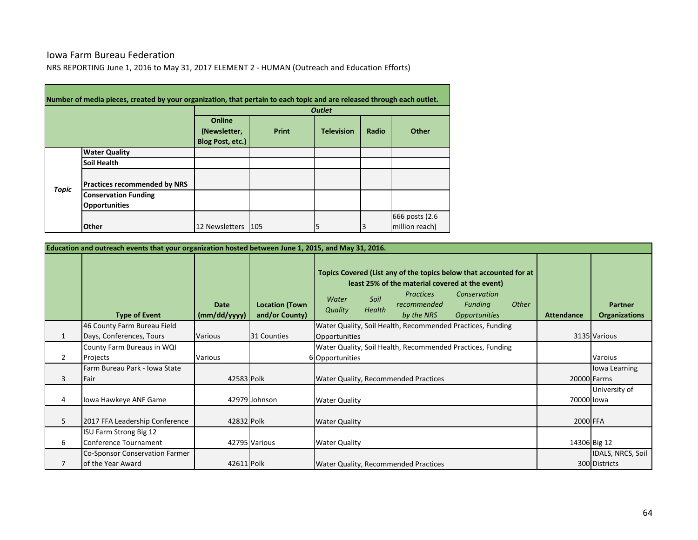### Iowa Farm Bureau Federation

**Contract** 

NRS REPORTING June 1, 2016 to May 31, 2017 ELEMENT 2 - HUMAN (Outreach and Education Efforts)

|              | Number of media pieces, created by your organization, that pertain to each topic and are released through each outlet. |                                            |       |                   |       |                |
|--------------|------------------------------------------------------------------------------------------------------------------------|--------------------------------------------|-------|-------------------|-------|----------------|
|              |                                                                                                                        |                                            |       | <b>Outlet</b>     |       |                |
|              |                                                                                                                        | Online<br>(Newsletter,<br>Blog Post, etc.) | Print | <b>Television</b> | Radio | Other          |
|              | <b>Water Quality</b>                                                                                                   |                                            |       |                   |       |                |
|              | <b>Soil Health</b>                                                                                                     |                                            |       |                   |       |                |
| <b>Topic</b> | <b>Practices recommended by NRS</b>                                                                                    |                                            |       |                   |       |                |
|              | <b>Conservation Funding</b>                                                                                            |                                            |       |                   |       |                |
|              | <b>Opportunities</b>                                                                                                   |                                            |       |                   |       |                |
|              |                                                                                                                        |                                            |       |                   |       | 666 posts (2.6 |
|              | Other                                                                                                                  | 12 Newsletters                             | 105   | 5                 |       | million reach) |

|   | Education and outreach events that your organization hosted between June 1, 2015, and May 31, 2016. |                             |                                         |                                                                                                                                                                                                                                                                                                                    |                                        |  |  |  |  |  |  |  |  |
|---|-----------------------------------------------------------------------------------------------------|-----------------------------|-----------------------------------------|--------------------------------------------------------------------------------------------------------------------------------------------------------------------------------------------------------------------------------------------------------------------------------------------------------------------|----------------------------------------|--|--|--|--|--|--|--|--|
|   | <b>Type of Event</b>                                                                                | <b>Date</b><br>(mm/dd/yyyy) | <b>Location (Town</b><br>and/or County) | Topics Covered (List any of the topics below that accounted for at<br>least 25% of the material covered at the event)<br>Conservation<br><b>Practices</b><br>Soil<br>Water<br><b>Other</b><br>recommended<br><b>Funding</b><br>Health<br>Quality<br>by the NRS<br><i><b>Opportunities</b></i><br><b>Attendance</b> | <b>Partner</b><br><b>Organizations</b> |  |  |  |  |  |  |  |  |
|   | 46 County Farm Bureau Field                                                                         |                             |                                         | Water Quality, Soil Health, Recommended Practices, Funding                                                                                                                                                                                                                                                         |                                        |  |  |  |  |  |  |  |  |
| 1 | Days, Conferences, Tours                                                                            | Various                     | 31 Counties                             | Opportunities                                                                                                                                                                                                                                                                                                      | 3135 Various                           |  |  |  |  |  |  |  |  |
|   | County Farm Bureaus in WQI                                                                          |                             |                                         | Water Quality, Soil Health, Recommended Practices, Funding                                                                                                                                                                                                                                                         |                                        |  |  |  |  |  |  |  |  |
| 2 | Projects                                                                                            | <b>Various</b>              |                                         | 6 Opportunities                                                                                                                                                                                                                                                                                                    | Varoius                                |  |  |  |  |  |  |  |  |
|   | Farm Bureau Park - Iowa State                                                                       |                             |                                         |                                                                                                                                                                                                                                                                                                                    | Iowa Learning                          |  |  |  |  |  |  |  |  |
| 3 | Fair                                                                                                | 42583 Polk                  |                                         | Water Quality, Recommended Practices                                                                                                                                                                                                                                                                               | 20000 Farms                            |  |  |  |  |  |  |  |  |
|   |                                                                                                     |                             |                                         |                                                                                                                                                                                                                                                                                                                    | University of                          |  |  |  |  |  |  |  |  |
| 4 | Iowa Hawkeye ANF Game                                                                               |                             | 42979 Johnson                           | <b>Water Quality</b>                                                                                                                                                                                                                                                                                               | 70000 lowa                             |  |  |  |  |  |  |  |  |
| 5 | 2017 FFA Leadership Conference                                                                      | 42832 Polk                  |                                         | <b>Water Quality</b>                                                                                                                                                                                                                                                                                               | 2000 FFA                               |  |  |  |  |  |  |  |  |
|   | ISU Farm Strong Big 12                                                                              |                             |                                         |                                                                                                                                                                                                                                                                                                                    |                                        |  |  |  |  |  |  |  |  |
| 6 | Conference Tournament                                                                               |                             | 42795 Various                           | <b>Water Quality</b>                                                                                                                                                                                                                                                                                               | 14306 Big 12                           |  |  |  |  |  |  |  |  |
|   | <b>Co-Sponsor Conservation Farmer</b>                                                               |                             |                                         |                                                                                                                                                                                                                                                                                                                    | IDALS, NRCS, Soil                      |  |  |  |  |  |  |  |  |
|   | of the Year Award                                                                                   | 42611 Polk                  |                                         | Water Quality, Recommended Practices                                                                                                                                                                                                                                                                               | 300 Districts                          |  |  |  |  |  |  |  |  |

and the control of the control of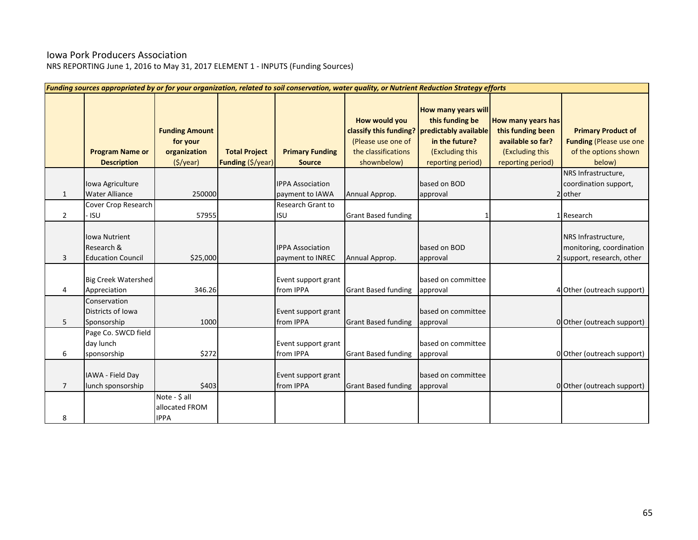# Iowa Pork Producers Association

|                | Funding sources appropriated by or for your organization, related to soil conservation, water quality, or Nutrient Reduction Strategy efforts |                                                               |                                           |                                             |                                                                           |                                                                                                                                                  |                                                                                                      |                                                                                               |  |  |  |  |
|----------------|-----------------------------------------------------------------------------------------------------------------------------------------------|---------------------------------------------------------------|-------------------------------------------|---------------------------------------------|---------------------------------------------------------------------------|--------------------------------------------------------------------------------------------------------------------------------------------------|------------------------------------------------------------------------------------------------------|-----------------------------------------------------------------------------------------------|--|--|--|--|
|                | <b>Program Name or</b><br><b>Description</b>                                                                                                  | <b>Funding Amount</b><br>for your<br>organization<br>(5/year) | <b>Total Project</b><br>Funding (\$/year) | <b>Primary Funding</b><br><b>Source</b>     | How would you<br>(Please use one of<br>the classifications<br>shownbelow) | How many years will<br>this funding be<br>classify this funding? predictably available<br>in the future?<br>(Excluding this<br>reporting period) | How many years has<br>this funding been<br>available so far?<br>(Excluding this<br>reporting period) | <b>Primary Product of</b><br><b>Funding (Please use one</b><br>of the options shown<br>below) |  |  |  |  |
| 1              | Iowa Agriculture<br><b>Water Alliance</b>                                                                                                     | 250000                                                        |                                           | <b>IPPA Association</b><br>payment to IAWA  | Annual Approp.                                                            | based on BOD<br>approval                                                                                                                         |                                                                                                      | NRS Infrastructure,<br>coordination support,<br>2 other                                       |  |  |  |  |
| 2              | Cover Crop Research<br>- ISU                                                                                                                  | 57955                                                         |                                           | <b>Research Grant to</b><br><b>ISU</b>      | <b>Grant Based funding</b>                                                |                                                                                                                                                  |                                                                                                      | 1 Research                                                                                    |  |  |  |  |
| 3              | <b>Iowa Nutrient</b><br>Research &<br><b>Education Council</b>                                                                                | \$25,000                                                      |                                           | <b>IPPA Association</b><br>payment to INREC | Annual Approp.                                                            | based on BOD<br>approval                                                                                                                         |                                                                                                      | NRS Infrastructure,<br>monitoring, coordination<br>2 support, research, other                 |  |  |  |  |
| 4              | <b>Big Creek Watershed</b><br>Appreciation                                                                                                    | 346.26                                                        |                                           | Event support grant<br>from IPPA            | <b>Grant Based funding</b>                                                | based on committee<br>approval                                                                                                                   |                                                                                                      | 4 Other (outreach support)                                                                    |  |  |  |  |
| 5              | Conservation<br>Districts of Iowa<br>Sponsorship                                                                                              | 1000                                                          |                                           | Event support grant<br>from IPPA            | <b>Grant Based funding</b>                                                | based on committee<br>approval                                                                                                                   |                                                                                                      | 0 Other (outreach support)                                                                    |  |  |  |  |
| 6              | Page Co. SWCD field<br>day lunch<br>sponsorship                                                                                               | \$272                                                         |                                           | Event support grant<br>from IPPA            | <b>Grant Based funding</b>                                                | based on committee<br>approval                                                                                                                   |                                                                                                      | 0 Other (outreach support)                                                                    |  |  |  |  |
| $\overline{7}$ | IAWA - Field Day<br>lunch sponsorship                                                                                                         | \$403                                                         |                                           | Event support grant<br>from IPPA            | <b>Grant Based funding</b>                                                | based on committee<br>approval                                                                                                                   |                                                                                                      | 0 Other (outreach support)                                                                    |  |  |  |  |
| 8              |                                                                                                                                               | Note - \$ all<br>allocated FROM<br><b>IPPA</b>                |                                           |                                             |                                                                           |                                                                                                                                                  |                                                                                                      |                                                                                               |  |  |  |  |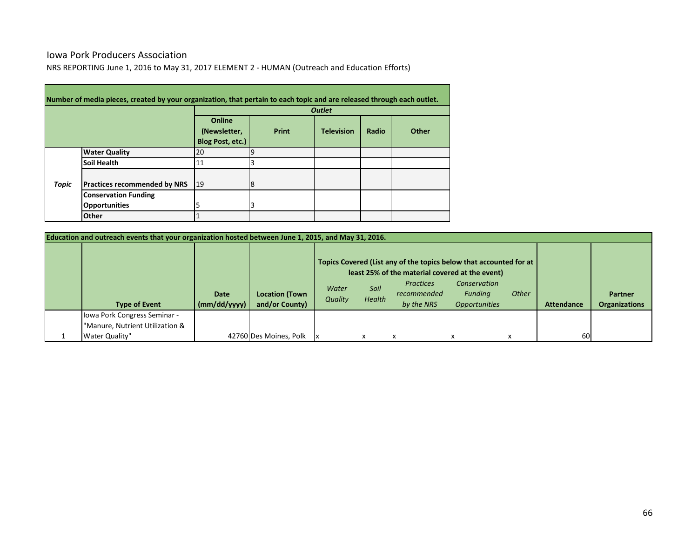# Iowa Pork Producers Association

**Contract** 

NRS REPORTING June 1, 2016 to May 31, 2017 ELEMENT 2 - HUMAN (Outreach and Education Efforts)

|       | Number of media pieces, created by your organization, that pertain to each topic and are released through each outlet. |                                            |          |                   |       |       |  |  |  |  |  |  |
|-------|------------------------------------------------------------------------------------------------------------------------|--------------------------------------------|----------|-------------------|-------|-------|--|--|--|--|--|--|
|       |                                                                                                                        | <b>Outlet</b>                              |          |                   |       |       |  |  |  |  |  |  |
|       |                                                                                                                        | Online<br>(Newsletter,<br>Blog Post, etc.) | Print    | <b>Television</b> | Radio | Other |  |  |  |  |  |  |
|       | <b>Water Quality</b>                                                                                                   | 20                                         | <b>g</b> |                   |       |       |  |  |  |  |  |  |
|       | Soil Health                                                                                                            | 11                                         |          |                   |       |       |  |  |  |  |  |  |
| Topic | <b>Practices recommended by NRS</b>                                                                                    | 19                                         | 18       |                   |       |       |  |  |  |  |  |  |
|       | <b>Conservation Funding</b>                                                                                            |                                            |          |                   |       |       |  |  |  |  |  |  |
|       | <b>Opportunities</b>                                                                                                   | 5                                          | 3        |                   |       |       |  |  |  |  |  |  |
|       | <b>Other</b>                                                                                                           |                                            |          |                   |       |       |  |  |  |  |  |  |

| Education and outreach events that your organization hosted between June 1, 2015, and May 31, 2016. |                                                   |                             |                                         |                                                                                                                                                                             |  |  |  |   |           |  |  |
|-----------------------------------------------------------------------------------------------------|---------------------------------------------------|-----------------------------|-----------------------------------------|-----------------------------------------------------------------------------------------------------------------------------------------------------------------------------|--|--|--|---|-----------|--|--|
|                                                                                                     |                                                   |                             |                                         | Topics Covered (List any of the topics below that accounted for at<br>least 25% of the material covered at the event)                                                       |  |  |  |   |           |  |  |
|                                                                                                     | <b>Type of Event</b>                              | <b>Date</b><br>(mm/dd/yyyy) | <b>Location (Town</b><br>and/or County) | Conservation<br><b>Practices</b><br>Soil<br>Water<br><b>Other</b><br>Funding<br>recommended<br>Health<br>Quality<br>by the NRS<br><b>Opportunities</b><br><b>Attendance</b> |  |  |  |   |           |  |  |
|                                                                                                     | Iowa Pork Congress Seminar -                      |                             |                                         |                                                                                                                                                                             |  |  |  |   |           |  |  |
|                                                                                                     | 'Manure, Nutrient Utilization &<br>Water Quality" |                             | 42760 Des Moines, Polk                  |                                                                                                                                                                             |  |  |  | x | <b>60</b> |  |  |

and the control of the control of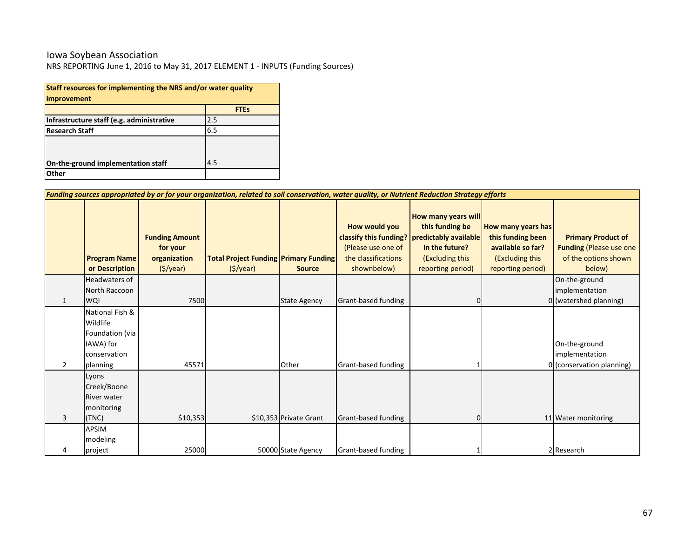### Iowa Soybean Association

| Staff resources for implementing the NRS and/or water quality |     |  |  |  |  |  |  |  |  |  |
|---------------------------------------------------------------|-----|--|--|--|--|--|--|--|--|--|
| improvement<br><b>FTEs</b>                                    |     |  |  |  |  |  |  |  |  |  |
| Infrastructure staff (e.g. administrative                     | 2.5 |  |  |  |  |  |  |  |  |  |
| 6.5<br><b>Research Staff</b>                                  |     |  |  |  |  |  |  |  |  |  |
|                                                               |     |  |  |  |  |  |  |  |  |  |
|                                                               |     |  |  |  |  |  |  |  |  |  |
| On-the-ground implementation staff                            | 4.5 |  |  |  |  |  |  |  |  |  |
| Other                                                         |     |  |  |  |  |  |  |  |  |  |

|   | Funding sources appropriated by or for your organization, related to soil conservation, water quality, or Nutrient Reduction Strategy efforts |                                                               |                                                          |                        |                                                                           |                                                                                                                                                    |                                                                                                      |                                                                                               |  |  |  |  |
|---|-----------------------------------------------------------------------------------------------------------------------------------------------|---------------------------------------------------------------|----------------------------------------------------------|------------------------|---------------------------------------------------------------------------|----------------------------------------------------------------------------------------------------------------------------------------------------|------------------------------------------------------------------------------------------------------|-----------------------------------------------------------------------------------------------|--|--|--|--|
|   | <b>Program Name</b><br>or Description                                                                                                         | <b>Funding Amount</b><br>for your<br>organization<br>(5/year) | <b>Total Project Funding Primary Funding</b><br>(S/year) | <b>Source</b>          | How would you<br>(Please use one of<br>the classifications<br>shownbelow) | How many years will<br>this funding be<br>classify this funding?   predictably available<br>in the future?<br>(Excluding this<br>reporting period) | How many years has<br>this funding been<br>available so far?<br>(Excluding this<br>reporting period) | <b>Primary Product of</b><br><b>Funding (Please use one</b><br>of the options shown<br>below) |  |  |  |  |
| 1 | <b>Headwaters of</b><br>North Raccoon<br><b>WQI</b>                                                                                           | 7500                                                          |                                                          | <b>State Agency</b>    | Grant-based funding                                                       |                                                                                                                                                    |                                                                                                      | On-the-ground<br>implementation<br>0 (watershed planning)                                     |  |  |  |  |
| 2 | National Fish &<br>Wildlife<br>Foundation (via<br>IAWA) for<br>conservation<br>planning                                                       | 45571                                                         |                                                          | Other                  | Grant-based funding                                                       |                                                                                                                                                    |                                                                                                      | On-the-ground<br>implementation<br>0 (conservation planning)                                  |  |  |  |  |
| 3 | Lyons<br>Creek/Boone<br><b>River water</b><br>monitoring<br>(TNC)                                                                             | \$10,353                                                      |                                                          | \$10,353 Private Grant | Grant-based funding                                                       |                                                                                                                                                    |                                                                                                      | 11 Water monitoring                                                                           |  |  |  |  |
| 4 | <b>APSIM</b><br>modeling<br>project                                                                                                           | 25000                                                         |                                                          | 50000 State Agency     | Grant-based funding                                                       |                                                                                                                                                    |                                                                                                      | 2 Research                                                                                    |  |  |  |  |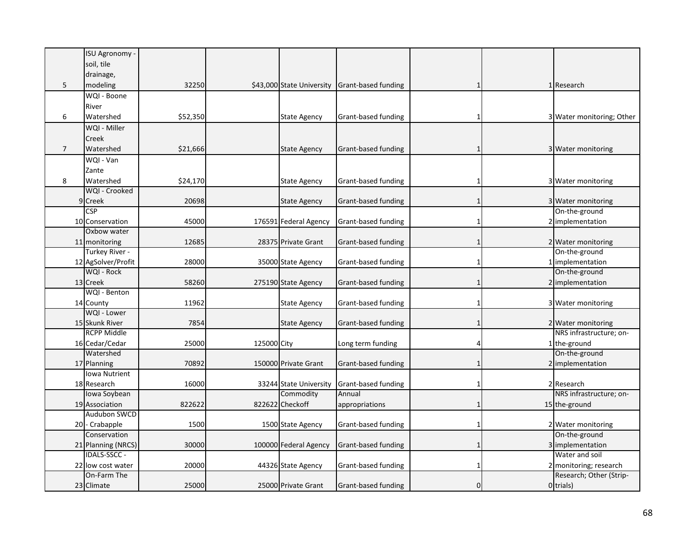|                | ISU Agronomy -                 |          |             |                                     |                               |                |                                       |
|----------------|--------------------------------|----------|-------------|-------------------------------------|-------------------------------|----------------|---------------------------------------|
|                | soil, tile                     |          |             |                                     |                               |                |                                       |
|                | drainage,                      |          |             |                                     |                               |                |                                       |
| 5              | modeling                       | 32250    |             | \$43,000 State University           | Grant-based funding           | 1              | 1 Research                            |
|                | WQI - Boone                    |          |             |                                     |                               |                |                                       |
|                | River                          |          |             |                                     |                               |                |                                       |
| 6              | Watershed                      | \$52,350 |             | <b>State Agency</b>                 | Grant-based funding           | 1              | 3 Water monitoring; Other             |
|                | WQI - Miller                   |          |             |                                     |                               |                |                                       |
|                | Creek                          |          |             |                                     |                               |                |                                       |
| $\overline{7}$ | Watershed                      | \$21,666 |             | <b>State Agency</b>                 | Grant-based funding           | $\mathbf{1}$   | 3 Water monitoring                    |
|                | WQI - Van                      |          |             |                                     |                               |                |                                       |
|                | Zante                          |          |             |                                     |                               |                |                                       |
| 8              | Watershed                      | \$24,170 |             | <b>State Agency</b>                 | Grant-based funding           | 1              | 3 Water monitoring                    |
|                | WQI - Crooked                  |          |             |                                     |                               |                |                                       |
|                | 9 Creek                        | 20698    |             | <b>State Agency</b>                 | Grant-based funding           | $\mathbf{1}$   | 3 Water monitoring                    |
|                | $\overline{\text{CSP}}$        |          |             |                                     |                               |                | On-the-ground                         |
|                | 10 Conservation                | 45000    |             | 176591 Federal Agency               | Grant-based funding           | 1              | 2 implementation                      |
|                | Oxbow water                    |          |             |                                     |                               |                |                                       |
|                | 11 monitoring                  | 12685    |             | 28375 Private Grant                 | Grant-based funding           | $\mathbf{1}$   | 2 Water monitoring                    |
|                | Turkey River -                 |          |             |                                     |                               |                | On-the-ground                         |
|                | 12 AgSolver/Profit             | 28000    |             | 35000 State Agency                  | Grant-based funding           | 1              | 1 implementation                      |
|                | WQI - Rock                     |          |             |                                     |                               |                | On-the-ground                         |
|                | 13 Creek                       | 58260    |             | 275190 State Agency                 | Grant-based funding           | $\mathbf{1}$   | 2 implementation                      |
|                | WQI - Benton                   |          |             |                                     |                               |                |                                       |
|                | 14 County                      | 11962    |             | <b>State Agency</b>                 | Grant-based funding           | 1              | 3 Water monitoring                    |
|                | WQI - Lower                    |          |             |                                     |                               |                |                                       |
|                | 15 Skunk River                 | 7854     |             | <b>State Agency</b>                 | Grant-based funding           | $\mathbf{1}$   | 2 Water monitoring                    |
|                | <b>RCPP Middle</b>             |          |             |                                     |                               |                | NRS infrastructure; on-               |
|                | 16 Cedar/Cedar                 | 25000    | 125000 City |                                     | Long term funding             | 4              | 1 the-ground                          |
|                | Watershed                      |          |             |                                     |                               |                | On-the-ground                         |
|                | 17 Planning                    | 70892    |             | 150000 Private Grant                | Grant-based funding           | $\mathbf{1}$   | 2 implementation                      |
|                | <b>Iowa Nutrient</b>           |          |             |                                     |                               |                |                                       |
|                | 18 Research                    | 16000    |             | 33244 State University<br>Commodity | Grant-based funding<br>Annual | 1              | 2 Research<br>NRS infrastructure; on- |
|                | Iowa Soybean<br>19 Association | 822622   |             | 822622 Checkoff                     |                               | $\mathbf{1}$   | 15 the-ground                         |
|                | Audubon SWCD                   |          |             |                                     | appropriations                |                |                                       |
|                | 20 - Crabapple                 | 1500     |             | 1500 State Agency                   | Grant-based funding           | $\mathbf{1}$   | 2 Water monitoring                    |
|                | Conservation                   |          |             |                                     |                               |                | On-the-ground                         |
|                | 21 Planning (NRCS)             | 30000    |             | 100000 Federal Agency               | Grant-based funding           | $\mathbf{1}$   | 3 implementation                      |
|                | <b>IDALS-SSCC -</b>            |          |             |                                     |                               |                | Water and soil                        |
|                | 22 low cost water              | 20000    |             | 44326 State Agency                  | Grant-based funding           | 1              | 2 monitoring; research                |
|                | On-Farm The                    |          |             |                                     |                               |                | Research; Other (Strip-               |
|                | 23 Climate                     | 25000    |             | 25000 Private Grant                 | Grant-based funding           | $\overline{0}$ | 0 trials)                             |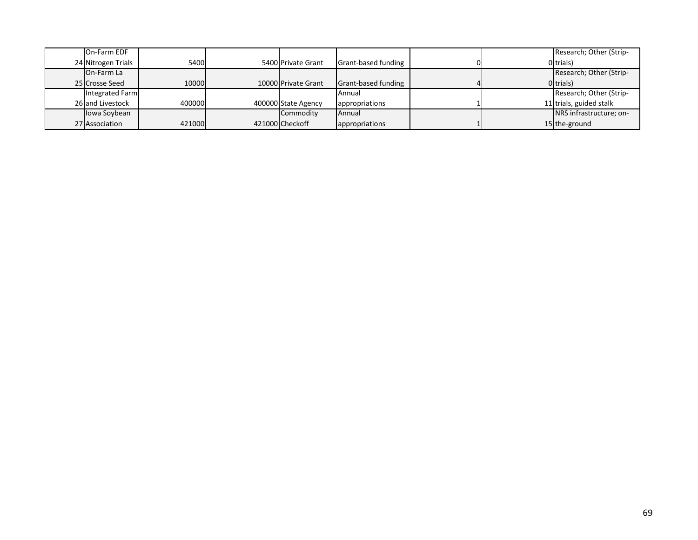| On-Farm EDF        |        |                     |                            |  | Research; Other (Strip- |
|--------------------|--------|---------------------|----------------------------|--|-------------------------|
| 24 Nitrogen Trials | 5400   | 5400 Private Grant  | <b>Grant-based funding</b> |  | Oltrials)               |
| On-Farm La         |        |                     |                            |  | Research; Other (Strip- |
| 25 Crosse Seed     | 10000  | 10000 Private Grant | Grant-based funding        |  | Otrials)                |
| Integrated Farm    |        |                     | Annual                     |  | Research; Other (Strip- |
| 26 and Livestock   | 400000 | 400000 State Agency | appropriations             |  | 11 trials, guided stalk |
| Iowa Soybean       |        | Commodity           | Annual                     |  | NRS infrastructure; on- |
| 27 Association     | 421000 | 421000 Checkoff     | appropriations             |  | 15 the-ground           |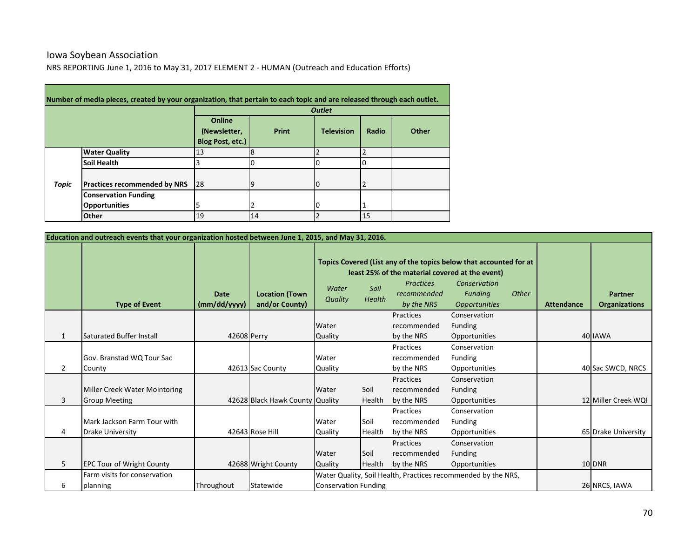### NRS REPORTING June 1, 2016 to May 31, 2017 ELEMENT 2 - HUMAN (Outreach and Education Efforts) Iowa Soybean Association

|       |                                     | <b>Outlet</b>                              |          |                   |       |       |  |  |  |
|-------|-------------------------------------|--------------------------------------------|----------|-------------------|-------|-------|--|--|--|
|       |                                     | Online<br>(Newsletter,<br>Blog Post, etc.) | Print    | <b>Television</b> | Radio | Other |  |  |  |
|       | <b>Water Quality</b>                | 13                                         | 8        |                   |       |       |  |  |  |
| Topic | Soil Health                         |                                            |          |                   |       |       |  |  |  |
|       | <b>Practices recommended by NRS</b> | 28                                         | <u>g</u> | 0                 |       |       |  |  |  |
|       | <b>Conservation Funding</b>         |                                            |          |                   |       |       |  |  |  |
|       | <b>Opportunities</b>                |                                            | '2       | 0                 |       |       |  |  |  |
|       | Other                               | 19                                         | 14       |                   | 15    |       |  |  |  |

| Education and outreach events that your organization hosted between June 1, 2015, and May 31, 2016. |                                                       |                             |                                         |                             |                |                                                                                                  |                                                                                                                                     |       |                   |                                        |
|-----------------------------------------------------------------------------------------------------|-------------------------------------------------------|-----------------------------|-----------------------------------------|-----------------------------|----------------|--------------------------------------------------------------------------------------------------|-------------------------------------------------------------------------------------------------------------------------------------|-------|-------------------|----------------------------------------|
|                                                                                                     | <b>Type of Event</b>                                  | <b>Date</b><br>(mm/dd/yyyy) | <b>Location (Town</b><br>and/or County) | Water<br>Quality            | Soil<br>Health | least 25% of the material covered at the event)<br><b>Practices</b><br>recommended<br>by the NRS | Topics Covered (List any of the topics below that accounted for at<br>Conservation<br><b>Funding</b><br><i><b>Opportunities</b></i> | Other | <b>Attendance</b> | <b>Partner</b><br><b>Organizations</b> |
|                                                                                                     |                                                       |                             |                                         |                             |                | Practices                                                                                        | Conservation                                                                                                                        |       |                   |                                        |
|                                                                                                     |                                                       |                             |                                         | Water                       |                | recommended                                                                                      | <b>Funding</b>                                                                                                                      |       |                   |                                        |
| $\mathbf{1}$                                                                                        | Saturated Buffer Install                              | 42608 Perry                 |                                         | Quality                     |                | by the NRS                                                                                       | Opportunities                                                                                                                       |       |                   | 40 IAWA                                |
|                                                                                                     |                                                       |                             |                                         |                             |                | Practices                                                                                        | Conservation                                                                                                                        |       |                   |                                        |
|                                                                                                     | Gov. Branstad WQ Tour Sac                             |                             |                                         | Water                       |                | recommended                                                                                      | Funding                                                                                                                             |       |                   |                                        |
| $\overline{2}$                                                                                      | County                                                |                             | 42613 Sac County                        | Quality                     |                | by the NRS                                                                                       | Opportunities                                                                                                                       |       |                   | 40 Sac SWCD, NRCS                      |
| 3                                                                                                   | Miller Creek Water Mointoring<br><b>Group Meeting</b> |                             | 42628 Black Hawk County                 | Water<br><b>Quality</b>     | Soil<br>Health | Practices<br>recommended<br>by the NRS                                                           | Conservation<br><b>Funding</b><br>Opportunities                                                                                     |       |                   | 12 Miller Creek WQI                    |
|                                                                                                     |                                                       |                             |                                         |                             |                | Practices                                                                                        | Conservation                                                                                                                        |       |                   |                                        |
|                                                                                                     | Mark Jackson Farm Tour with                           |                             |                                         | Water                       | Soil           | recommended                                                                                      | <b>Funding</b>                                                                                                                      |       |                   |                                        |
| 4                                                                                                   | <b>Drake University</b>                               |                             | 42643 Rose Hill                         | Quality                     | Health         | by the NRS                                                                                       | Opportunities                                                                                                                       |       |                   | 65 Drake University                    |
|                                                                                                     |                                                       |                             |                                         |                             |                | Practices                                                                                        | Conservation                                                                                                                        |       |                   |                                        |
|                                                                                                     |                                                       |                             |                                         | Water                       | Soil           | recommended                                                                                      | <b>Funding</b>                                                                                                                      |       |                   |                                        |
| 5                                                                                                   | <b>EPC Tour of Wright County</b>                      |                             | 42688 Wright County                     | Quality                     | Health         | by the NRS                                                                                       | Opportunities                                                                                                                       |       |                   | 10 DNR                                 |
|                                                                                                     | Farm visits for conservation                          |                             |                                         |                             |                |                                                                                                  | Water Quality, Soil Health, Practices recommended by the NRS,                                                                       |       |                   |                                        |
| 6                                                                                                   | planning                                              | Throughout                  | Statewide                               | <b>Conservation Funding</b> |                |                                                                                                  |                                                                                                                                     |       |                   | 26 NRCS, IAWA                          |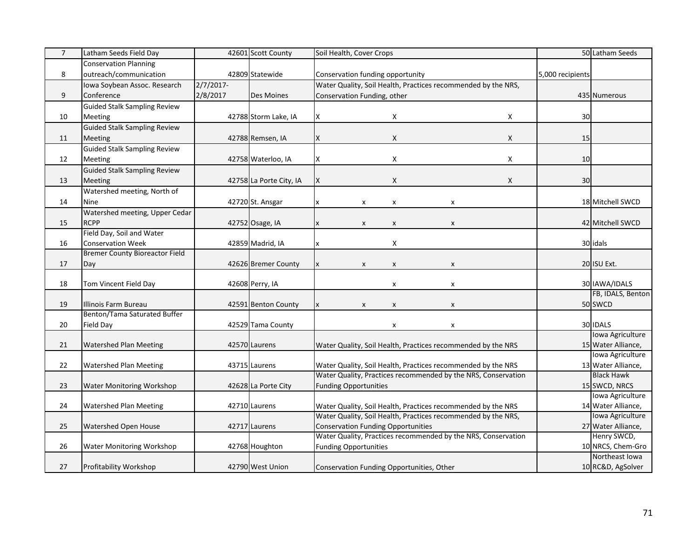| <b>Conservation Planning</b><br>8<br>outreach/communication<br>42809 Statewide<br>Conservation funding opportunity<br>5,000 recipients<br>2/7/2017<br>Iowa Soybean Assoc. Research<br>Water Quality, Soil Health, Practices recommended by the NRS,<br>2/8/2017<br>9<br>Conference<br>Conservation Funding, other<br>Des Moines<br>435 Numerous<br><b>Guided Stalk Sampling Review</b><br>X<br>42788 Storm Lake, IA<br>X<br>30<br>10<br>Meeting<br>X<br><b>Guided Stalk Sampling Review</b><br>$\mathsf X$<br>X<br>15<br>11<br>Meeting<br>42788 Remsen, IA<br>х<br><b>Guided Stalk Sampling Review</b><br>$\mathsf{X}$<br>42758 Waterloo, IA<br>X<br>10<br>12<br>Meeting<br>X<br><b>Guided Stalk Sampling Review</b><br>$\mathsf X$<br>30<br>13<br>Meeting<br>42758 La Porte City, IA<br>X<br>X<br>Watershed meeting, North of<br>14<br>42720 St. Ansgar<br>18 Mitchell SWCD<br>Nine<br>X<br>$\pmb{\chi}$<br>X<br>Watershed meeting, Upper Cedar<br><b>RCPP</b><br>15<br>42 Mitchell SWCD<br>42752 Osage, IA<br>$\boldsymbol{\mathsf{x}}$<br>$\boldsymbol{\mathsf{x}}$<br>$\boldsymbol{\mathsf{x}}$<br>Field Day, Soil and Water<br><b>Conservation Week</b><br>16<br>42859 Madrid, IA<br>X<br>30 idals<br>x<br><b>Bremer County Bioreactor Field</b><br>20 ISU Ext.<br>17<br>42626 Bremer County<br>Day<br>$\pmb{\mathsf{X}}$<br>$\pmb{\mathsf{X}}$<br>$\pmb{\mathsf{x}}$<br>X<br>30 IAWA/IDALS<br>18<br>Tom Vincent Field Day<br>42608 Perry, IA<br>$\pmb{\mathsf{x}}$<br>X<br>19<br>Illinois Farm Bureau<br>50 SWCD<br>42591 Benton County<br>$\pmb{\chi}$<br>x<br>$\boldsymbol{\mathsf{x}}$<br>X<br>Benton/Tama Saturated Buffer<br>30 IDALS<br>$20\,$<br>Field Day<br>42529 Tama County<br>$\pmb{\mathsf{x}}$<br>x<br>Iowa Agriculture<br>21<br>42570 Laurens<br>15 Water Alliance,<br><b>Watershed Plan Meeting</b><br>Water Quality, Soil Health, Practices recommended by the NRS<br>Iowa Agriculture<br>22<br>Water Quality, Soil Health, Practices recommended by the NRS<br>13 Water Alliance,<br><b>Watershed Plan Meeting</b><br>43715 Laurens<br><b>Black Hawk</b><br>Water Quality, Practices recommended by the NRS, Conservation<br>15 SWCD, NRCS<br>23<br>Water Monitoring Workshop<br>42628 La Porte City<br><b>Funding Opportunities</b><br>Iowa Agriculture<br>24<br>Water Quality, Soil Health, Practices recommended by the NRS<br>14 Water Alliance,<br><b>Watershed Plan Meeting</b><br>42710 Laurens<br>Water Quality, Soil Health, Practices recommended by the NRS,<br>Iowa Agriculture<br>25<br>27 Water Alliance,<br>Watershed Open House<br>42717 Laurens<br><b>Conservation Funding Opportunities</b><br>Water Quality, Practices recommended by the NRS, Conservation<br>Henry SWCD,<br>10 NRCS, Chem-Gro<br>26<br>42768 Houghton<br>Water Monitoring Workshop<br><b>Funding Opportunities</b> | $\overline{7}$ | Latham Seeds Field Day | 42601 Scott County | Soil Health, Cover Crops | 50 Latham Seeds |
|---------------------------------------------------------------------------------------------------------------------------------------------------------------------------------------------------------------------------------------------------------------------------------------------------------------------------------------------------------------------------------------------------------------------------------------------------------------------------------------------------------------------------------------------------------------------------------------------------------------------------------------------------------------------------------------------------------------------------------------------------------------------------------------------------------------------------------------------------------------------------------------------------------------------------------------------------------------------------------------------------------------------------------------------------------------------------------------------------------------------------------------------------------------------------------------------------------------------------------------------------------------------------------------------------------------------------------------------------------------------------------------------------------------------------------------------------------------------------------------------------------------------------------------------------------------------------------------------------------------------------------------------------------------------------------------------------------------------------------------------------------------------------------------------------------------------------------------------------------------------------------------------------------------------------------------------------------------------------------------------------------------------------------------------------------------------------------------------------------------------------------------------------------------------------------------------------------------------------------------------------------------------------------------------------------------------------------------------------------------------------------------------------------------------------------------------------------------------------------------------------------------------------------------------------------------------------------------------------------------------------------------------------------------------------------------------------------------------------------------------------------------------------------------------------------------------------------|----------------|------------------------|--------------------|--------------------------|-----------------|
|                                                                                                                                                                                                                                                                                                                                                                                                                                                                                                                                                                                                                                                                                                                                                                                                                                                                                                                                                                                                                                                                                                                                                                                                                                                                                                                                                                                                                                                                                                                                                                                                                                                                                                                                                                                                                                                                                                                                                                                                                                                                                                                                                                                                                                                                                                                                                                                                                                                                                                                                                                                                                                                                                                                                                                                                                                 |                |                        |                    |                          |                 |
|                                                                                                                                                                                                                                                                                                                                                                                                                                                                                                                                                                                                                                                                                                                                                                                                                                                                                                                                                                                                                                                                                                                                                                                                                                                                                                                                                                                                                                                                                                                                                                                                                                                                                                                                                                                                                                                                                                                                                                                                                                                                                                                                                                                                                                                                                                                                                                                                                                                                                                                                                                                                                                                                                                                                                                                                                                 |                |                        |                    |                          |                 |
|                                                                                                                                                                                                                                                                                                                                                                                                                                                                                                                                                                                                                                                                                                                                                                                                                                                                                                                                                                                                                                                                                                                                                                                                                                                                                                                                                                                                                                                                                                                                                                                                                                                                                                                                                                                                                                                                                                                                                                                                                                                                                                                                                                                                                                                                                                                                                                                                                                                                                                                                                                                                                                                                                                                                                                                                                                 |                |                        |                    |                          |                 |
|                                                                                                                                                                                                                                                                                                                                                                                                                                                                                                                                                                                                                                                                                                                                                                                                                                                                                                                                                                                                                                                                                                                                                                                                                                                                                                                                                                                                                                                                                                                                                                                                                                                                                                                                                                                                                                                                                                                                                                                                                                                                                                                                                                                                                                                                                                                                                                                                                                                                                                                                                                                                                                                                                                                                                                                                                                 |                |                        |                    |                          |                 |
|                                                                                                                                                                                                                                                                                                                                                                                                                                                                                                                                                                                                                                                                                                                                                                                                                                                                                                                                                                                                                                                                                                                                                                                                                                                                                                                                                                                                                                                                                                                                                                                                                                                                                                                                                                                                                                                                                                                                                                                                                                                                                                                                                                                                                                                                                                                                                                                                                                                                                                                                                                                                                                                                                                                                                                                                                                 |                |                        |                    |                          |                 |
|                                                                                                                                                                                                                                                                                                                                                                                                                                                                                                                                                                                                                                                                                                                                                                                                                                                                                                                                                                                                                                                                                                                                                                                                                                                                                                                                                                                                                                                                                                                                                                                                                                                                                                                                                                                                                                                                                                                                                                                                                                                                                                                                                                                                                                                                                                                                                                                                                                                                                                                                                                                                                                                                                                                                                                                                                                 |                |                        |                    |                          |                 |
|                                                                                                                                                                                                                                                                                                                                                                                                                                                                                                                                                                                                                                                                                                                                                                                                                                                                                                                                                                                                                                                                                                                                                                                                                                                                                                                                                                                                                                                                                                                                                                                                                                                                                                                                                                                                                                                                                                                                                                                                                                                                                                                                                                                                                                                                                                                                                                                                                                                                                                                                                                                                                                                                                                                                                                                                                                 |                |                        |                    |                          |                 |
| FB, IDALS, Benton                                                                                                                                                                                                                                                                                                                                                                                                                                                                                                                                                                                                                                                                                                                                                                                                                                                                                                                                                                                                                                                                                                                                                                                                                                                                                                                                                                                                                                                                                                                                                                                                                                                                                                                                                                                                                                                                                                                                                                                                                                                                                                                                                                                                                                                                                                                                                                                                                                                                                                                                                                                                                                                                                                                                                                                                               |                |                        |                    |                          |                 |
|                                                                                                                                                                                                                                                                                                                                                                                                                                                                                                                                                                                                                                                                                                                                                                                                                                                                                                                                                                                                                                                                                                                                                                                                                                                                                                                                                                                                                                                                                                                                                                                                                                                                                                                                                                                                                                                                                                                                                                                                                                                                                                                                                                                                                                                                                                                                                                                                                                                                                                                                                                                                                                                                                                                                                                                                                                 |                |                        |                    |                          |                 |
|                                                                                                                                                                                                                                                                                                                                                                                                                                                                                                                                                                                                                                                                                                                                                                                                                                                                                                                                                                                                                                                                                                                                                                                                                                                                                                                                                                                                                                                                                                                                                                                                                                                                                                                                                                                                                                                                                                                                                                                                                                                                                                                                                                                                                                                                                                                                                                                                                                                                                                                                                                                                                                                                                                                                                                                                                                 |                |                        |                    |                          |                 |
|                                                                                                                                                                                                                                                                                                                                                                                                                                                                                                                                                                                                                                                                                                                                                                                                                                                                                                                                                                                                                                                                                                                                                                                                                                                                                                                                                                                                                                                                                                                                                                                                                                                                                                                                                                                                                                                                                                                                                                                                                                                                                                                                                                                                                                                                                                                                                                                                                                                                                                                                                                                                                                                                                                                                                                                                                                 |                |                        |                    |                          |                 |
|                                                                                                                                                                                                                                                                                                                                                                                                                                                                                                                                                                                                                                                                                                                                                                                                                                                                                                                                                                                                                                                                                                                                                                                                                                                                                                                                                                                                                                                                                                                                                                                                                                                                                                                                                                                                                                                                                                                                                                                                                                                                                                                                                                                                                                                                                                                                                                                                                                                                                                                                                                                                                                                                                                                                                                                                                                 |                |                        |                    |                          |                 |
|                                                                                                                                                                                                                                                                                                                                                                                                                                                                                                                                                                                                                                                                                                                                                                                                                                                                                                                                                                                                                                                                                                                                                                                                                                                                                                                                                                                                                                                                                                                                                                                                                                                                                                                                                                                                                                                                                                                                                                                                                                                                                                                                                                                                                                                                                                                                                                                                                                                                                                                                                                                                                                                                                                                                                                                                                                 |                |                        |                    |                          |                 |
|                                                                                                                                                                                                                                                                                                                                                                                                                                                                                                                                                                                                                                                                                                                                                                                                                                                                                                                                                                                                                                                                                                                                                                                                                                                                                                                                                                                                                                                                                                                                                                                                                                                                                                                                                                                                                                                                                                                                                                                                                                                                                                                                                                                                                                                                                                                                                                                                                                                                                                                                                                                                                                                                                                                                                                                                                                 |                |                        |                    |                          |                 |
|                                                                                                                                                                                                                                                                                                                                                                                                                                                                                                                                                                                                                                                                                                                                                                                                                                                                                                                                                                                                                                                                                                                                                                                                                                                                                                                                                                                                                                                                                                                                                                                                                                                                                                                                                                                                                                                                                                                                                                                                                                                                                                                                                                                                                                                                                                                                                                                                                                                                                                                                                                                                                                                                                                                                                                                                                                 |                |                        |                    |                          |                 |
|                                                                                                                                                                                                                                                                                                                                                                                                                                                                                                                                                                                                                                                                                                                                                                                                                                                                                                                                                                                                                                                                                                                                                                                                                                                                                                                                                                                                                                                                                                                                                                                                                                                                                                                                                                                                                                                                                                                                                                                                                                                                                                                                                                                                                                                                                                                                                                                                                                                                                                                                                                                                                                                                                                                                                                                                                                 |                |                        |                    |                          |                 |
|                                                                                                                                                                                                                                                                                                                                                                                                                                                                                                                                                                                                                                                                                                                                                                                                                                                                                                                                                                                                                                                                                                                                                                                                                                                                                                                                                                                                                                                                                                                                                                                                                                                                                                                                                                                                                                                                                                                                                                                                                                                                                                                                                                                                                                                                                                                                                                                                                                                                                                                                                                                                                                                                                                                                                                                                                                 |                |                        |                    |                          |                 |
|                                                                                                                                                                                                                                                                                                                                                                                                                                                                                                                                                                                                                                                                                                                                                                                                                                                                                                                                                                                                                                                                                                                                                                                                                                                                                                                                                                                                                                                                                                                                                                                                                                                                                                                                                                                                                                                                                                                                                                                                                                                                                                                                                                                                                                                                                                                                                                                                                                                                                                                                                                                                                                                                                                                                                                                                                                 |                |                        |                    |                          |                 |
|                                                                                                                                                                                                                                                                                                                                                                                                                                                                                                                                                                                                                                                                                                                                                                                                                                                                                                                                                                                                                                                                                                                                                                                                                                                                                                                                                                                                                                                                                                                                                                                                                                                                                                                                                                                                                                                                                                                                                                                                                                                                                                                                                                                                                                                                                                                                                                                                                                                                                                                                                                                                                                                                                                                                                                                                                                 |                |                        |                    |                          |                 |
|                                                                                                                                                                                                                                                                                                                                                                                                                                                                                                                                                                                                                                                                                                                                                                                                                                                                                                                                                                                                                                                                                                                                                                                                                                                                                                                                                                                                                                                                                                                                                                                                                                                                                                                                                                                                                                                                                                                                                                                                                                                                                                                                                                                                                                                                                                                                                                                                                                                                                                                                                                                                                                                                                                                                                                                                                                 |                |                        |                    |                          |                 |
|                                                                                                                                                                                                                                                                                                                                                                                                                                                                                                                                                                                                                                                                                                                                                                                                                                                                                                                                                                                                                                                                                                                                                                                                                                                                                                                                                                                                                                                                                                                                                                                                                                                                                                                                                                                                                                                                                                                                                                                                                                                                                                                                                                                                                                                                                                                                                                                                                                                                                                                                                                                                                                                                                                                                                                                                                                 |                |                        |                    |                          |                 |
|                                                                                                                                                                                                                                                                                                                                                                                                                                                                                                                                                                                                                                                                                                                                                                                                                                                                                                                                                                                                                                                                                                                                                                                                                                                                                                                                                                                                                                                                                                                                                                                                                                                                                                                                                                                                                                                                                                                                                                                                                                                                                                                                                                                                                                                                                                                                                                                                                                                                                                                                                                                                                                                                                                                                                                                                                                 |                |                        |                    |                          |                 |
|                                                                                                                                                                                                                                                                                                                                                                                                                                                                                                                                                                                                                                                                                                                                                                                                                                                                                                                                                                                                                                                                                                                                                                                                                                                                                                                                                                                                                                                                                                                                                                                                                                                                                                                                                                                                                                                                                                                                                                                                                                                                                                                                                                                                                                                                                                                                                                                                                                                                                                                                                                                                                                                                                                                                                                                                                                 |                |                        |                    |                          |                 |
|                                                                                                                                                                                                                                                                                                                                                                                                                                                                                                                                                                                                                                                                                                                                                                                                                                                                                                                                                                                                                                                                                                                                                                                                                                                                                                                                                                                                                                                                                                                                                                                                                                                                                                                                                                                                                                                                                                                                                                                                                                                                                                                                                                                                                                                                                                                                                                                                                                                                                                                                                                                                                                                                                                                                                                                                                                 |                |                        |                    |                          |                 |
|                                                                                                                                                                                                                                                                                                                                                                                                                                                                                                                                                                                                                                                                                                                                                                                                                                                                                                                                                                                                                                                                                                                                                                                                                                                                                                                                                                                                                                                                                                                                                                                                                                                                                                                                                                                                                                                                                                                                                                                                                                                                                                                                                                                                                                                                                                                                                                                                                                                                                                                                                                                                                                                                                                                                                                                                                                 |                |                        |                    |                          |                 |
|                                                                                                                                                                                                                                                                                                                                                                                                                                                                                                                                                                                                                                                                                                                                                                                                                                                                                                                                                                                                                                                                                                                                                                                                                                                                                                                                                                                                                                                                                                                                                                                                                                                                                                                                                                                                                                                                                                                                                                                                                                                                                                                                                                                                                                                                                                                                                                                                                                                                                                                                                                                                                                                                                                                                                                                                                                 |                |                        |                    |                          |                 |
|                                                                                                                                                                                                                                                                                                                                                                                                                                                                                                                                                                                                                                                                                                                                                                                                                                                                                                                                                                                                                                                                                                                                                                                                                                                                                                                                                                                                                                                                                                                                                                                                                                                                                                                                                                                                                                                                                                                                                                                                                                                                                                                                                                                                                                                                                                                                                                                                                                                                                                                                                                                                                                                                                                                                                                                                                                 |                |                        |                    |                          |                 |
|                                                                                                                                                                                                                                                                                                                                                                                                                                                                                                                                                                                                                                                                                                                                                                                                                                                                                                                                                                                                                                                                                                                                                                                                                                                                                                                                                                                                                                                                                                                                                                                                                                                                                                                                                                                                                                                                                                                                                                                                                                                                                                                                                                                                                                                                                                                                                                                                                                                                                                                                                                                                                                                                                                                                                                                                                                 |                |                        |                    |                          |                 |
|                                                                                                                                                                                                                                                                                                                                                                                                                                                                                                                                                                                                                                                                                                                                                                                                                                                                                                                                                                                                                                                                                                                                                                                                                                                                                                                                                                                                                                                                                                                                                                                                                                                                                                                                                                                                                                                                                                                                                                                                                                                                                                                                                                                                                                                                                                                                                                                                                                                                                                                                                                                                                                                                                                                                                                                                                                 |                |                        |                    |                          |                 |
|                                                                                                                                                                                                                                                                                                                                                                                                                                                                                                                                                                                                                                                                                                                                                                                                                                                                                                                                                                                                                                                                                                                                                                                                                                                                                                                                                                                                                                                                                                                                                                                                                                                                                                                                                                                                                                                                                                                                                                                                                                                                                                                                                                                                                                                                                                                                                                                                                                                                                                                                                                                                                                                                                                                                                                                                                                 |                |                        |                    |                          |                 |
|                                                                                                                                                                                                                                                                                                                                                                                                                                                                                                                                                                                                                                                                                                                                                                                                                                                                                                                                                                                                                                                                                                                                                                                                                                                                                                                                                                                                                                                                                                                                                                                                                                                                                                                                                                                                                                                                                                                                                                                                                                                                                                                                                                                                                                                                                                                                                                                                                                                                                                                                                                                                                                                                                                                                                                                                                                 |                |                        |                    |                          |                 |
|                                                                                                                                                                                                                                                                                                                                                                                                                                                                                                                                                                                                                                                                                                                                                                                                                                                                                                                                                                                                                                                                                                                                                                                                                                                                                                                                                                                                                                                                                                                                                                                                                                                                                                                                                                                                                                                                                                                                                                                                                                                                                                                                                                                                                                                                                                                                                                                                                                                                                                                                                                                                                                                                                                                                                                                                                                 |                |                        |                    |                          |                 |
|                                                                                                                                                                                                                                                                                                                                                                                                                                                                                                                                                                                                                                                                                                                                                                                                                                                                                                                                                                                                                                                                                                                                                                                                                                                                                                                                                                                                                                                                                                                                                                                                                                                                                                                                                                                                                                                                                                                                                                                                                                                                                                                                                                                                                                                                                                                                                                                                                                                                                                                                                                                                                                                                                                                                                                                                                                 |                |                        |                    |                          |                 |
|                                                                                                                                                                                                                                                                                                                                                                                                                                                                                                                                                                                                                                                                                                                                                                                                                                                                                                                                                                                                                                                                                                                                                                                                                                                                                                                                                                                                                                                                                                                                                                                                                                                                                                                                                                                                                                                                                                                                                                                                                                                                                                                                                                                                                                                                                                                                                                                                                                                                                                                                                                                                                                                                                                                                                                                                                                 |                |                        |                    |                          |                 |
|                                                                                                                                                                                                                                                                                                                                                                                                                                                                                                                                                                                                                                                                                                                                                                                                                                                                                                                                                                                                                                                                                                                                                                                                                                                                                                                                                                                                                                                                                                                                                                                                                                                                                                                                                                                                                                                                                                                                                                                                                                                                                                                                                                                                                                                                                                                                                                                                                                                                                                                                                                                                                                                                                                                                                                                                                                 |                |                        |                    |                          |                 |
|                                                                                                                                                                                                                                                                                                                                                                                                                                                                                                                                                                                                                                                                                                                                                                                                                                                                                                                                                                                                                                                                                                                                                                                                                                                                                                                                                                                                                                                                                                                                                                                                                                                                                                                                                                                                                                                                                                                                                                                                                                                                                                                                                                                                                                                                                                                                                                                                                                                                                                                                                                                                                                                                                                                                                                                                                                 |                |                        |                    |                          |                 |
|                                                                                                                                                                                                                                                                                                                                                                                                                                                                                                                                                                                                                                                                                                                                                                                                                                                                                                                                                                                                                                                                                                                                                                                                                                                                                                                                                                                                                                                                                                                                                                                                                                                                                                                                                                                                                                                                                                                                                                                                                                                                                                                                                                                                                                                                                                                                                                                                                                                                                                                                                                                                                                                                                                                                                                                                                                 |                |                        |                    |                          |                 |
|                                                                                                                                                                                                                                                                                                                                                                                                                                                                                                                                                                                                                                                                                                                                                                                                                                                                                                                                                                                                                                                                                                                                                                                                                                                                                                                                                                                                                                                                                                                                                                                                                                                                                                                                                                                                                                                                                                                                                                                                                                                                                                                                                                                                                                                                                                                                                                                                                                                                                                                                                                                                                                                                                                                                                                                                                                 |                |                        |                    |                          | Northeast Iowa  |
| 27<br>42790 West Union<br>10 RC&D, AgSolver<br>Profitability Workshop<br>Conservation Funding Opportunities, Other                                                                                                                                                                                                                                                                                                                                                                                                                                                                                                                                                                                                                                                                                                                                                                                                                                                                                                                                                                                                                                                                                                                                                                                                                                                                                                                                                                                                                                                                                                                                                                                                                                                                                                                                                                                                                                                                                                                                                                                                                                                                                                                                                                                                                                                                                                                                                                                                                                                                                                                                                                                                                                                                                                              |                |                        |                    |                          |                 |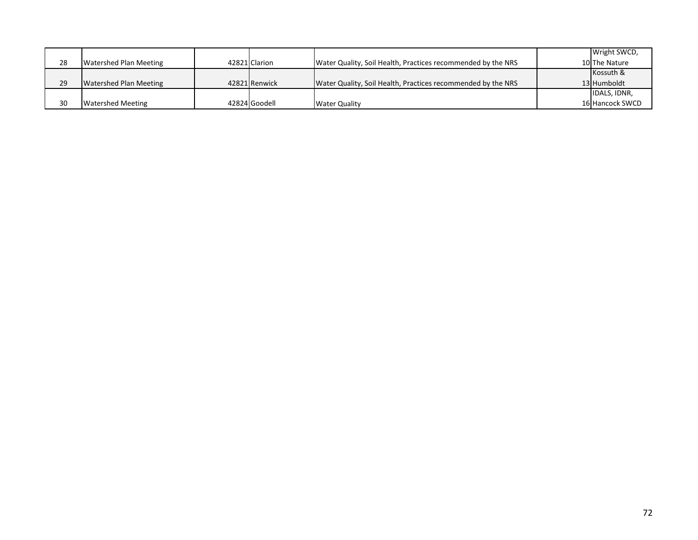|    |                               |               |                                                              | Wright SWCD,    |
|----|-------------------------------|---------------|--------------------------------------------------------------|-----------------|
| 28 | <b>Watershed Plan Meeting</b> | 42821 Clarion | Water Quality, Soil Health, Practices recommended by the NRS | 10 The Nature   |
|    |                               |               |                                                              | Kossuth &       |
| 29 | <b>Watershed Plan Meeting</b> | 42821 Renwick | Water Quality, Soil Health, Practices recommended by the NRS | 13 Humboldt     |
|    |                               |               |                                                              | IDALS, IDNR,    |
| 30 | <b>Watershed Meeting</b>      | 42824 Goodell | <b>Water Quality</b>                                         | 16 Hancock SWCD |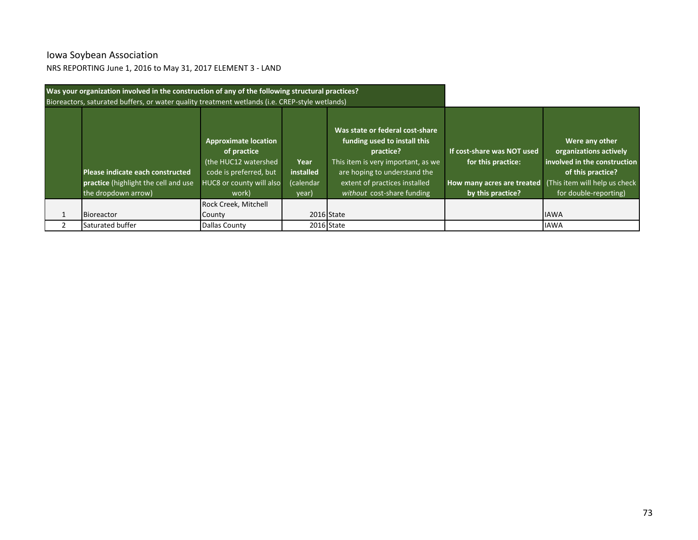# Iowa Soybean Association

NRS REPORTING June 1, 2016 to May 31, 2017 ELEMENT 3 - LAND

| Was your organization involved in the construction of any of the following structural practices? |                                                                                                                                   |                                         |                                                                                                                                                                                                                   |                                                                                                     |                                                                                                                                                         |
|--------------------------------------------------------------------------------------------------|-----------------------------------------------------------------------------------------------------------------------------------|-----------------------------------------|-------------------------------------------------------------------------------------------------------------------------------------------------------------------------------------------------------------------|-----------------------------------------------------------------------------------------------------|---------------------------------------------------------------------------------------------------------------------------------------------------------|
| Bioreactors, saturated buffers, or water quality treatment wetlands (i.e. CREP-style wetlands)   |                                                                                                                                   |                                         |                                                                                                                                                                                                                   |                                                                                                     |                                                                                                                                                         |
| Please indicate each constructed<br>practice (highlight the cell and use<br>the dropdown arrow)  | <b>Approximate location</b><br>of practice<br>(the HUC12 watershed<br>code is preferred, but<br>HUC8 or county will also<br>work) | Year<br>installed<br>(calendar<br>year) | Was state or federal cost-share<br>funding used to install this<br>practice?<br>This item is very important, as we<br>are hoping to understand the<br>extent of practices installed<br>without cost-share funding | If cost-share was NOT used<br>for this practice:<br>How many acres are treated<br>by this practice? | Were any other<br>organizations actively<br>involved in the construction<br>of this practice?<br>(This item will help us check<br>for double-reporting) |
|                                                                                                  | Rock Creek, Mitchell                                                                                                              |                                         |                                                                                                                                                                                                                   |                                                                                                     |                                                                                                                                                         |
| <b>Bioreactor</b>                                                                                | County                                                                                                                            |                                         | 2016 State                                                                                                                                                                                                        |                                                                                                     | <b>IAWA</b>                                                                                                                                             |
| Saturated buffer                                                                                 | Dallas County                                                                                                                     |                                         | 2016 State                                                                                                                                                                                                        |                                                                                                     | <b>IAWA</b>                                                                                                                                             |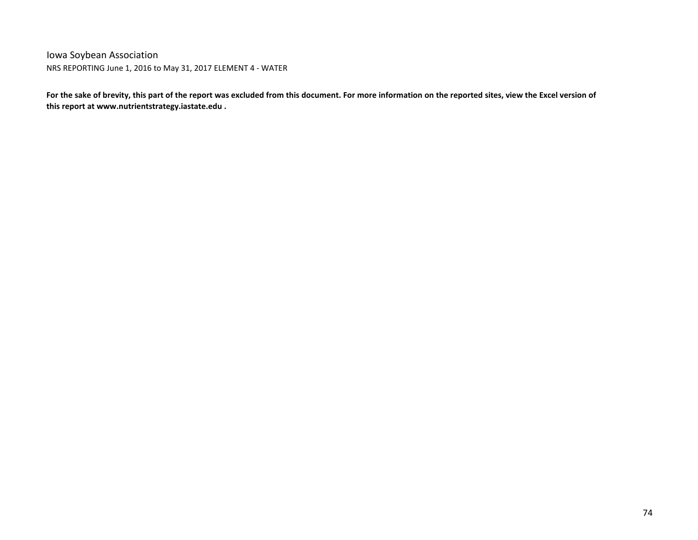Iowa Soybean Association NRS REPORTING June 1, 2016 to May 31, 2017 ELEMENT 4 - WATER

**For the sake of brevity, this part of the report was excluded from this document. For more information on the reported sites, view the Excel version of this report at www.nutrientstrategy.iastate.edu .**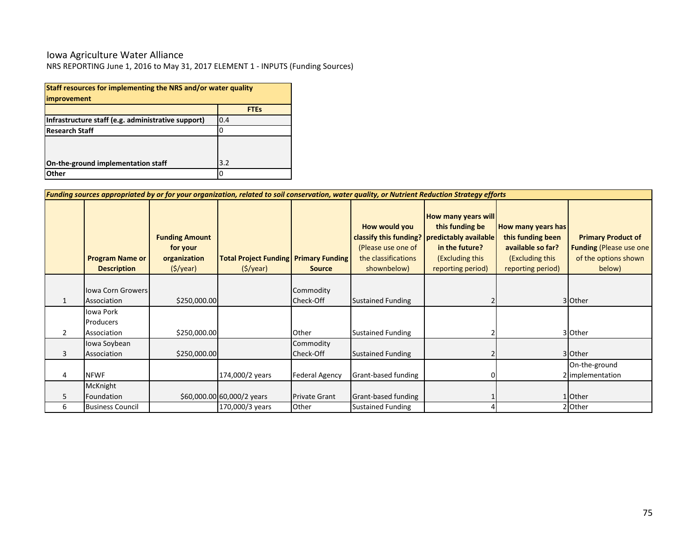#### Iowa Agriculture Water Alliance

NRS REPORTING June 1, 2016 to May 31, 2017 ELEMENT 1 - INPUTS (Funding Sources)

| Staff resources for implementing the NRS and/or water quality<br>improvement |             |  |  |  |  |  |  |  |  |
|------------------------------------------------------------------------------|-------------|--|--|--|--|--|--|--|--|
|                                                                              | <b>FTEs</b> |  |  |  |  |  |  |  |  |
| Infrastructure staff (e.g. administrative support)                           | 0.4         |  |  |  |  |  |  |  |  |
| <b>Research Staff</b>                                                        |             |  |  |  |  |  |  |  |  |
| On-the-ground implementation staff                                           | 3.2         |  |  |  |  |  |  |  |  |
| Other                                                                        |             |  |  |  |  |  |  |  |  |

| Funding sources appropriated by or for your organization, related to soil conservation, water quality, or Nutrient Reduction Strategy efforts |                                              |                                                               |                                                          |                        |                                                                           |                                                                                                                                                    |                                                                                                      |                                                                                                |  |
|-----------------------------------------------------------------------------------------------------------------------------------------------|----------------------------------------------|---------------------------------------------------------------|----------------------------------------------------------|------------------------|---------------------------------------------------------------------------|----------------------------------------------------------------------------------------------------------------------------------------------------|------------------------------------------------------------------------------------------------------|------------------------------------------------------------------------------------------------|--|
|                                                                                                                                               | <b>Program Name or</b><br><b>Description</b> | <b>Funding Amount</b><br>for your<br>organization<br>(S/year) | <b>Total Project Funding Primary Funding</b><br>(S/year) | <b>Source</b>          | How would you<br>(Please use one of<br>the classifications<br>shownbelow) | How many years will<br>this funding be<br>classify this funding?   predictably available<br>in the future?<br>(Excluding this<br>reporting period) | How many years has<br>this funding been<br>available so far?<br>(Excluding this<br>reporting period) | <b>Primary Product of</b><br><b>Funding (Please use one)</b><br>of the options shown<br>below) |  |
|                                                                                                                                               | <b>Iowa Corn Growers</b><br>Association      | \$250,000.00                                                  |                                                          | Commodity<br>Check-Off | <b>Sustained Funding</b>                                                  |                                                                                                                                                    |                                                                                                      | 3 Other                                                                                        |  |
| $\overline{2}$                                                                                                                                | Iowa Pork<br>Producers<br>Association        | \$250,000.00                                                  |                                                          | Other                  | <b>Sustained Funding</b>                                                  |                                                                                                                                                    |                                                                                                      | 3 Other                                                                                        |  |
| 3                                                                                                                                             | Iowa Soybean<br>Association                  | \$250,000.00                                                  |                                                          | Commodity<br>Check-Off | <b>Sustained Funding</b>                                                  |                                                                                                                                                    |                                                                                                      | 3 Other                                                                                        |  |
| 4                                                                                                                                             | <b>NFWF</b>                                  |                                                               | 174,000/2 years                                          | <b>Federal Agency</b>  | Grant-based funding                                                       |                                                                                                                                                    |                                                                                                      | On-the-ground<br>2 implementation                                                              |  |
| 5                                                                                                                                             | McKnight<br>Foundation                       |                                                               | \$60,000.00 60,000/2 years                               | <b>Private Grant</b>   | Grant-based funding                                                       |                                                                                                                                                    |                                                                                                      | 1 Other                                                                                        |  |
| 6                                                                                                                                             | <b>Business Council</b>                      |                                                               | 170,000/3 years                                          | Other                  | <b>Sustained Funding</b>                                                  |                                                                                                                                                    |                                                                                                      | 2 Other                                                                                        |  |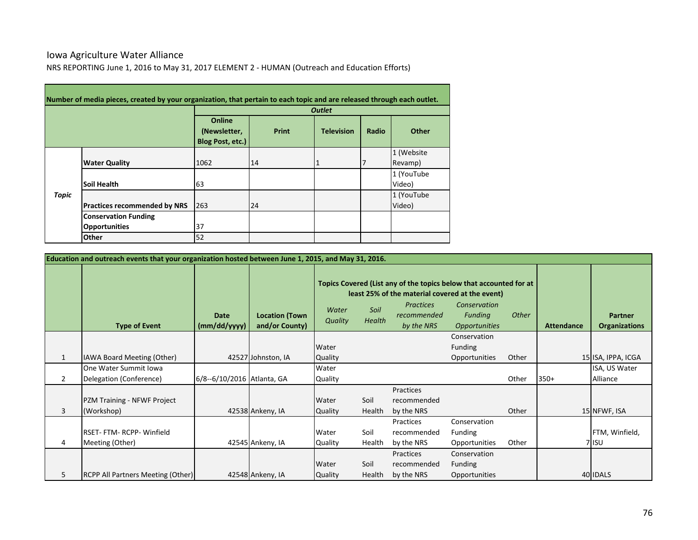### Iowa Agriculture Water Alliance NRS REPORTING June 1, 2016 to May 31, 2017 ELEMENT 2 - HUMAN (Outreach and Education Efforts)

|       |                                                     |                                            |       | <b>Outlet</b>     |       |                       |
|-------|-----------------------------------------------------|--------------------------------------------|-------|-------------------|-------|-----------------------|
|       |                                                     | Online<br>(Newsletter,<br>Blog Post, etc.) | Print | <b>Television</b> | Radio | Other                 |
|       | <b>Water Quality</b>                                | 1062                                       | 14    |                   |       | 1 (Website<br>Revamp) |
|       | <b>Soil Health</b>                                  | 63                                         |       |                   |       | 1 (YouTube<br>Video)  |
| Topic | <b>Practices recommended by NRS</b>                 | 263                                        | 24    |                   |       | 1 (YouTube<br>Video)  |
|       | <b>Conservation Funding</b><br><b>Opportunities</b> | 37                                         |       |                   |       |                       |
|       | Other                                               | 52                                         |       |                   |       |                       |

|                | Education and outreach events that your organization hosted between June 1, 2015, and May 31, 2016. |                             |                                         |                         |                |                                                                                                                                                                        |                                                 |       |                   |                                        |
|----------------|-----------------------------------------------------------------------------------------------------|-----------------------------|-----------------------------------------|-------------------------|----------------|------------------------------------------------------------------------------------------------------------------------------------------------------------------------|-------------------------------------------------|-------|-------------------|----------------------------------------|
|                | <b>Type of Event</b>                                                                                | <b>Date</b><br>(mm/dd/yyyy) | <b>Location (Town</b><br>and/or County) | Water<br><b>Quality</b> | Soil<br>Health | Topics Covered (List any of the topics below that accounted for at<br>least 25% of the material covered at the event)<br><b>Practices</b><br>recommended<br>by the NRS | Conservation<br>Funding<br><b>Opportunities</b> | Other | <b>Attendance</b> | <b>Partner</b><br><b>Organizations</b> |
|                |                                                                                                     |                             |                                         |                         |                |                                                                                                                                                                        | Conservation                                    |       |                   |                                        |
|                |                                                                                                     |                             |                                         | Water                   |                |                                                                                                                                                                        | Funding                                         |       |                   |                                        |
| $\mathbf{1}$   | IAWA Board Meeting (Other)                                                                          |                             | 42527 Johnston, IA                      | <b>Quality</b>          |                |                                                                                                                                                                        | Opportunities                                   | Other |                   | 15 ISA, IPPA, ICGA                     |
|                | One Water Summit Iowa                                                                               |                             |                                         | Water                   |                |                                                                                                                                                                        |                                                 |       |                   | ISA, US Water                          |
| $\overline{2}$ | Delegation (Conference)                                                                             | 6/8--6/10/2016 Atlanta, GA  |                                         | <b>Quality</b>          |                |                                                                                                                                                                        |                                                 | Other | $350+$            | Alliance                               |
| 3              | PZM Training - NFWF Project<br>(Workshop)                                                           |                             | 42538 Ankeny, IA                        | Water<br><b>Quality</b> | Soil<br>Health | Practices<br>recommended<br>by the NRS                                                                                                                                 |                                                 | Other |                   | 15 NFWF, ISA                           |
|                |                                                                                                     |                             |                                         |                         |                | Practices                                                                                                                                                              | Conservation                                    |       |                   |                                        |
|                | RSET-FTM-RCPP-Winfield                                                                              |                             |                                         | Water                   | Soil           | recommended                                                                                                                                                            | Funding                                         |       |                   | FTM, Winfield,                         |
| 4              | Meeting (Other)                                                                                     |                             | 42545 Ankeny, IA                        | Quality                 | Health         | by the NRS                                                                                                                                                             | Opportunities                                   | Other |                   | 7 ISU                                  |
|                |                                                                                                     |                             |                                         |                         |                | Practices                                                                                                                                                              | Conservation                                    |       |                   |                                        |
|                |                                                                                                     |                             |                                         | Water                   | Soil           | recommended                                                                                                                                                            | Funding                                         |       |                   |                                        |
| 5              | <b>RCPP All Partners Meeting (Other)</b>                                                            |                             | 42548 Ankeny, IA                        | Quality                 | Health         | by the NRS                                                                                                                                                             | Opportunities                                   |       |                   | 40 IDALS                               |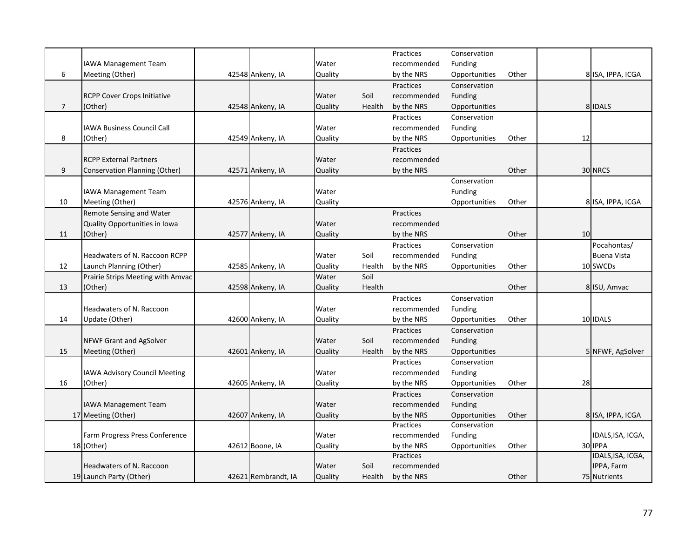|                |                                      |                     |         |        | Practices   | Conservation  |       |    |                    |
|----------------|--------------------------------------|---------------------|---------|--------|-------------|---------------|-------|----|--------------------|
|                | <b>IAWA Management Team</b>          |                     | Water   |        | recommended | Funding       |       |    |                    |
| 6              | Meeting (Other)                      | 42548 Ankeny, IA    | Quality |        | by the NRS  | Opportunities | Other |    | 8 ISA, IPPA, ICGA  |
|                |                                      |                     |         |        | Practices   | Conservation  |       |    |                    |
|                | <b>RCPP Cover Crops Initiative</b>   |                     | Water   | Soil   | recommended | Funding       |       |    |                    |
| $\overline{7}$ | (Other)                              | 42548 Ankeny, IA    | Quality | Health | by the NRS  | Opportunities |       |    | 8 IDALS            |
|                |                                      |                     |         |        | Practices   | Conservation  |       |    |                    |
|                | <b>IAWA Business Council Call</b>    |                     | Water   |        | recommended | Funding       |       |    |                    |
| 8              | (Other)                              | 42549 Ankeny, IA    | Quality |        | by the NRS  | Opportunities | Other | 12 |                    |
|                |                                      |                     |         |        | Practices   |               |       |    |                    |
|                | <b>RCPP External Partners</b>        |                     | Water   |        | recommended |               |       |    |                    |
| 9              | <b>Conservation Planning (Other)</b> | 42571 Ankeny, IA    | Quality |        | by the NRS  |               | Other |    | 30 NRCS            |
|                |                                      |                     |         |        |             | Conservation  |       |    |                    |
|                | IAWA Management Team                 |                     | Water   |        |             | Funding       |       |    |                    |
| 10             | Meeting (Other)                      | 42576 Ankeny, IA    | Quality |        |             | Opportunities | Other |    | 8 ISA, IPPA, ICGA  |
|                | Remote Sensing and Water             |                     |         |        | Practices   |               |       |    |                    |
|                | Quality Opportunities in Iowa        |                     | Water   |        | recommended |               |       |    |                    |
| 11             | (Other)                              | 42577 Ankeny, IA    | Quality |        | by the NRS  |               | Other | 10 |                    |
|                |                                      |                     |         |        | Practices   | Conservation  |       |    | Pocahontas/        |
|                | Headwaters of N. Raccoon RCPP        |                     |         | Soil   |             |               |       |    |                    |
|                |                                      |                     | Water   |        | recommended | Funding       |       |    | <b>Buena Vista</b> |
| 12             | Launch Planning (Other)              | 42585 Ankeny, IA    | Quality | Health | by the NRS  | Opportunities | Other |    | 10 SWCDs           |
|                | Prairie Strips Meeting with Amvac    |                     | Water   | Soil   |             |               |       |    |                    |
| 13             | (Other)                              | 42598 Ankeny, IA    | Quality | Health |             |               | Other |    | 8 ISU, Amvac       |
|                |                                      |                     |         |        | Practices   | Conservation  |       |    |                    |
|                | Headwaters of N. Raccoon             |                     | Water   |        | recommended | Funding       |       |    |                    |
| 14             | Update (Other)                       | 42600 Ankeny, IA    | Quality |        | by the NRS  | Opportunities | Other |    | 10 IDALS           |
|                |                                      |                     |         |        | Practices   | Conservation  |       |    |                    |
|                | <b>NFWF Grant and AgSolver</b>       |                     | Water   | Soil   | recommended | Funding       |       |    |                    |
| 15             | Meeting (Other)                      | 42601 Ankeny, IA    | Quality | Health | by the NRS  | Opportunities |       |    | 5 NFWF, AgSolver   |
|                |                                      |                     |         |        | Practices   | Conservation  |       |    |                    |
|                | <b>IAWA Advisory Council Meeting</b> |                     | Water   |        | recommended | Funding       |       |    |                    |
| 16             | (Other)                              | 42605 Ankeny, IA    | Quality |        | by the NRS  | Opportunities | Other | 28 |                    |
|                |                                      |                     |         |        | Practices   | Conservation  |       |    |                    |
|                | IAWA Management Team                 |                     | Water   |        | recommended | Funding       |       |    |                    |
|                | 17 Meeting (Other)                   | 42607 Ankeny, IA    | Quality |        | by the NRS  | Opportunities | Other |    | 8 ISA, IPPA, ICGA  |
|                |                                      |                     |         |        | Practices   | Conservation  |       |    |                    |
|                | Farm Progress Press Conference       |                     | Water   |        | recommended | Funding       |       |    | IDALS, ISA, ICGA,  |
|                | 18 (Other)                           | 42612 Boone, IA     | Quality |        | by the NRS  | Opportunities | Other |    | 30 IPPA            |
|                |                                      |                     |         |        | Practices   |               |       |    | IDALS, ISA, ICGA,  |
|                | Headwaters of N. Raccoon             |                     | Water   | Soil   | recommended |               |       |    | IPPA, Farm         |
|                | 19 Launch Party (Other)              | 42621 Rembrandt, IA | Quality | Health | by the NRS  |               | Other |    | 75 Nutrients       |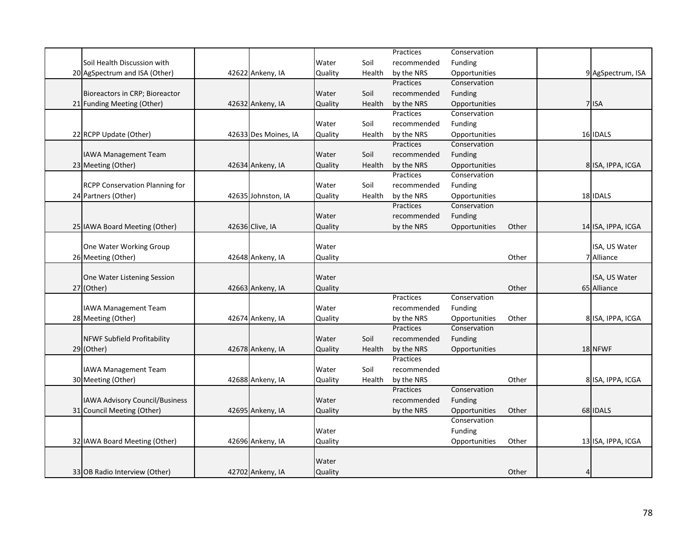|                                       |                      |         |        | Practices   | Conservation  |       |                |                    |
|---------------------------------------|----------------------|---------|--------|-------------|---------------|-------|----------------|--------------------|
| Soil Health Discussion with           |                      | Water   | Soil   | recommended | Funding       |       |                |                    |
| 20 AgSpectrum and ISA (Other)         | 42622 Ankeny, IA     | Quality | Health | by the NRS  | Opportunities |       |                | 9 AgSpectrum, ISA  |
|                                       |                      |         |        | Practices   | Conservation  |       |                |                    |
| Bioreactors in CRP; Bioreactor        |                      | Water   | Soil   | recommended | Funding       |       |                |                    |
| 21 Funding Meeting (Other)            | 42632 Ankeny, IA     | Quality | Health | by the NRS  | Opportunities |       |                | 7 ISA              |
|                                       |                      |         |        | Practices   | Conservation  |       |                |                    |
|                                       |                      | Water   | Soil   | recommended | Funding       |       |                |                    |
| 22 RCPP Update (Other)                | 42633 Des Moines, IA | Quality | Health | by the NRS  | Opportunities |       |                | 16 IDALS           |
|                                       |                      |         |        | Practices   | Conservation  |       |                |                    |
| <b>IAWA Management Team</b>           |                      | Water   | Soil   | recommended | Funding       |       |                |                    |
| 23 Meeting (Other)                    | 42634 Ankeny, IA     | Quality | Health | by the NRS  | Opportunities |       |                | 8 ISA, IPPA, ICGA  |
|                                       |                      |         |        | Practices   | Conservation  |       |                |                    |
| <b>RCPP Conservation Planning for</b> |                      | Water   | Soil   | recommended | Funding       |       |                |                    |
| 24 Partners (Other)                   | 42635 Johnston, IA   | Quality | Health | by the NRS  | Opportunities |       |                | 18 IDALS           |
|                                       |                      |         |        | Practices   | Conservation  |       |                |                    |
|                                       |                      | Water   |        | recommended | Funding       |       |                |                    |
| 25 IAWA Board Meeting (Other)         | 42636 Clive, IA      | Quality |        | by the NRS  | Opportunities | Other |                | 14 ISA, IPPA, ICGA |
|                                       |                      |         |        |             |               |       |                |                    |
| One Water Working Group               |                      | Water   |        |             |               |       |                | ISA, US Water      |
| 26 Meeting (Other)                    | 42648 Ankeny, IA     | Quality |        |             |               | Other |                | 7 Alliance         |
|                                       |                      |         |        |             |               |       |                |                    |
| One Water Listening Session           |                      | Water   |        |             |               |       |                | ISA, US Water      |
| 27 (Other)                            | 42663 Ankeny, IA     | Quality |        |             |               | Other |                | 65 Alliance        |
|                                       |                      |         |        | Practices   | Conservation  |       |                |                    |
| IAWA Management Team                  |                      | Water   |        | recommended | Funding       |       |                |                    |
| 28 Meeting (Other)                    | 42674 Ankeny, IA     | Quality |        | by the NRS  | Opportunities | Other |                | 8 ISA, IPPA, ICGA  |
|                                       |                      |         |        | Practices   | Conservation  |       |                |                    |
| <b>NFWF Subfield Profitability</b>    |                      | Water   | Soil   | recommended | Funding       |       |                |                    |
| 29 (Other)                            | 42678 Ankeny, IA     | Quality | Health | by the NRS  | Opportunities |       |                | 18 NFWF            |
|                                       |                      |         |        | Practices   |               |       |                |                    |
| <b>IAWA Management Team</b>           |                      | Water   | Soil   | recommended |               |       |                |                    |
| 30 Meeting (Other)                    | 42688 Ankeny, IA     | Quality | Health | by the NRS  |               | Other |                | 8 ISA, IPPA, ICGA  |
|                                       |                      |         |        | Practices   | Conservation  |       |                |                    |
| IAWA Advisory Council/Business        |                      | Water   |        | recommended | Funding       |       |                |                    |
| 31 Council Meeting (Other)            | 42695 Ankeny, IA     | Quality |        | by the NRS  | Opportunities | Other |                | 68 IDALS           |
|                                       |                      |         |        |             | Conservation  |       |                |                    |
|                                       |                      | Water   |        |             | Funding       |       |                |                    |
| 32 IAWA Board Meeting (Other)         | 42696 Ankeny, IA     | Quality |        |             | Opportunities | Other |                | 13 ISA, IPPA, ICGA |
|                                       |                      |         |        |             |               |       |                |                    |
|                                       |                      | Water   |        |             |               |       |                |                    |
| 33 OB Radio Interview (Other)         | 42702 Ankeny, IA     | Quality |        |             |               | Other | $\overline{4}$ |                    |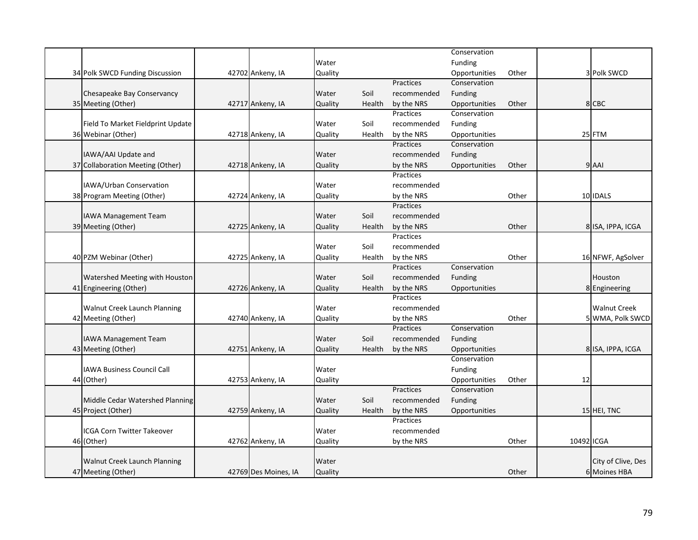|                                     |                      |         |        |             | Conservation   |       |            |                     |
|-------------------------------------|----------------------|---------|--------|-------------|----------------|-------|------------|---------------------|
|                                     |                      | Water   |        |             | Funding        |       |            |                     |
| 34 Polk SWCD Funding Discussion     | 42702 Ankeny, IA     | Quality |        |             | Opportunities  | Other |            | 3 Polk SWCD         |
|                                     |                      |         |        | Practices   | Conservation   |       |            |                     |
| Chesapeake Bay Conservancy          |                      | Water   | Soil   | recommended | <b>Funding</b> |       |            |                     |
| 35 Meeting (Other)                  | 42717 Ankeny, IA     | Quality | Health | by the NRS  | Opportunities  | Other |            | 8 CBC               |
|                                     |                      |         |        | Practices   | Conservation   |       |            |                     |
| Field To Market Fieldprint Update   |                      | Water   | Soil   | recommended | <b>Funding</b> |       |            |                     |
| 36 Webinar (Other)                  | 42718 Ankeny, IA     | Quality | Health | by the NRS  | Opportunities  |       |            | 25 FTM              |
|                                     |                      |         |        | Practices   | Conservation   |       |            |                     |
| IAWA/AAI Update and                 |                      | Water   |        | recommended | Funding        |       |            |                     |
| 37 Collaboration Meeting (Other)    | 42718 Ankeny, IA     | Quality |        | by the NRS  | Opportunities  | Other |            | 9 AAI               |
|                                     |                      |         |        | Practices   |                |       |            |                     |
| IAWA/Urban Conservation             |                      | Water   |        | recommended |                |       |            |                     |
| 38 Program Meeting (Other)          | 42724 Ankeny, IA     | Quality |        | by the NRS  |                | Other |            | 10 IDALS            |
|                                     |                      |         |        | Practices   |                |       |            |                     |
| IAWA Management Team                |                      | Water   | Soil   | recommended |                |       |            |                     |
| 39 Meeting (Other)                  | 42725 Ankeny, IA     | Quality | Health | by the NRS  |                | Other |            | 8 ISA, IPPA, ICGA   |
|                                     |                      |         |        | Practices   |                |       |            |                     |
|                                     |                      | Water   | Soil   | recommended |                |       |            |                     |
| 40 PZM Webinar (Other)              | 42725 Ankeny, IA     | Quality | Health | by the NRS  |                | Other |            | 16 NFWF, AgSolver   |
|                                     |                      |         |        | Practices   | Conservation   |       |            |                     |
| Watershed Meeting with Houston      |                      | Water   | Soil   | recommended | Funding        |       |            | Houston             |
| 41 Engineering (Other)              | 42726 Ankeny, IA     | Quality | Health | by the NRS  | Opportunities  |       |            | 8 Engineering       |
|                                     |                      |         |        | Practices   |                |       |            |                     |
| <b>Walnut Creek Launch Planning</b> |                      | Water   |        | recommended |                |       |            | <b>Walnut Creek</b> |
| 42 Meeting (Other)                  | 42740 Ankeny, IA     | Quality |        | by the NRS  |                | Other |            | 5 WMA, Polk SWCD    |
|                                     |                      |         |        | Practices   | Conservation   |       |            |                     |
| IAWA Management Team                |                      | Water   | Soil   | recommended | <b>Funding</b> |       |            |                     |
| 43 Meeting (Other)                  | 42751 Ankeny, IA     | Quality | Health | by the NRS  | Opportunities  |       |            | 8 ISA, IPPA, ICGA   |
|                                     |                      |         |        |             | Conservation   |       |            |                     |
| <b>IAWA Business Council Call</b>   |                      | Water   |        |             | Funding        |       |            |                     |
| 44 (Other)                          | 42753 Ankeny, IA     | Quality |        |             | Opportunities  | Other | 12         |                     |
|                                     |                      |         |        | Practices   | Conservation   |       |            |                     |
| Middle Cedar Watershed Planning     |                      | Water   | Soil   | recommended | Funding        |       |            |                     |
| 45 Project (Other)                  | 42759 Ankeny, IA     | Quality | Health | by the NRS  | Opportunities  |       |            | 15 HEI, TNC         |
|                                     |                      |         |        | Practices   |                |       |            |                     |
| ICGA Corn Twitter Takeover          |                      | Water   |        | recommended |                |       |            |                     |
| 46 (Other)                          | 42762 Ankeny, IA     | Quality |        | by the NRS  |                | Other | 10492 ICGA |                     |
|                                     |                      |         |        |             |                |       |            |                     |
| Walnut Creek Launch Planning        |                      | Water   |        |             |                |       |            | City of Clive, Des  |
| 47 Meeting (Other)                  | 42769 Des Moines, IA | Quality |        |             |                | Other |            | 6 Moines HBA        |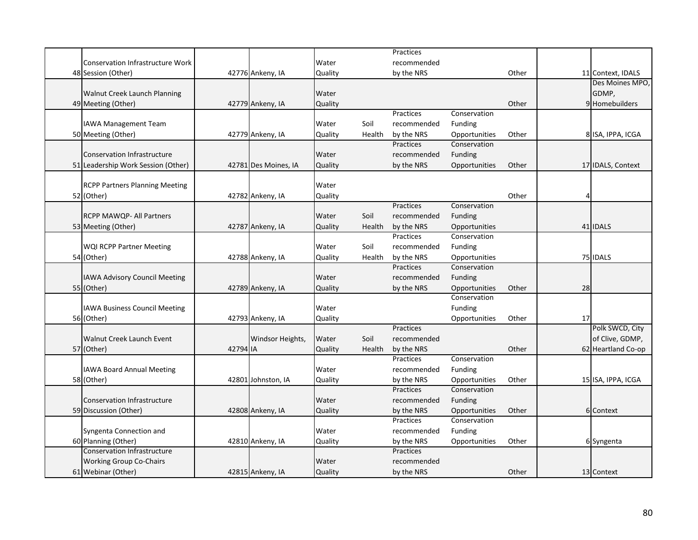|                                         |          |                      |         |        | Practices   |                |       |    |                    |
|-----------------------------------------|----------|----------------------|---------|--------|-------------|----------------|-------|----|--------------------|
| <b>Conservation Infrastructure Work</b> |          |                      | Water   |        | recommended |                |       |    |                    |
| 48 Session (Other)                      |          | 42776 Ankeny, IA     | Quality |        | by the NRS  |                | Other |    | 11 Context, IDALS  |
|                                         |          |                      |         |        |             |                |       |    | Des Moines MPO,    |
| Walnut Creek Launch Planning            |          |                      | Water   |        |             |                |       |    | GDMP,              |
| 49 Meeting (Other)                      |          | 42779 Ankeny, IA     | Quality |        |             |                | Other |    | 9 Homebuilders     |
|                                         |          |                      |         |        | Practices   | Conservation   |       |    |                    |
| <b>IAWA Management Team</b>             |          |                      | Water   | Soil   | recommended | Funding        |       |    |                    |
| 50 Meeting (Other)                      |          | 42779 Ankeny, IA     | Quality | Health | by the NRS  | Opportunities  | Other |    | 8 ISA, IPPA, ICGA  |
|                                         |          |                      |         |        | Practices   | Conservation   |       |    |                    |
| <b>Conservation Infrastructure</b>      |          |                      | Water   |        | recommended | Funding        |       |    |                    |
| 51 Leadership Work Session (Other)      |          | 42781 Des Moines, IA | Quality |        | by the NRS  | Opportunities  | Other |    | 17 IDALS, Context  |
|                                         |          |                      |         |        |             |                |       |    |                    |
| <b>RCPP Partners Planning Meeting</b>   |          |                      | Water   |        |             |                |       |    |                    |
| 52 (Other)                              |          | 42782 Ankeny, IA     | Quality |        |             |                | Other |    |                    |
|                                         |          |                      |         |        | Practices   | Conservation   |       |    |                    |
| <b>RCPP MAWQP- All Partners</b>         |          |                      | Water   | Soil   | recommended | <b>Funding</b> |       |    |                    |
| 53 Meeting (Other)                      |          | 42787 Ankeny, IA     | Quality | Health | by the NRS  | Opportunities  |       |    | 41 IDALS           |
|                                         |          |                      |         |        | Practices   | Conservation   |       |    |                    |
| <b>WQI RCPP Partner Meeting</b>         |          |                      | Water   | Soil   | recommended | Funding        |       |    |                    |
| 54 (Other)                              |          | 42788 Ankeny, IA     | Quality | Health | by the NRS  | Opportunities  |       |    | 75 IDALS           |
|                                         |          |                      |         |        | Practices   | Conservation   |       |    |                    |
| IAWA Advisory Council Meeting           |          |                      | Water   |        | recommended | Funding        |       |    |                    |
| 55 (Other)                              |          | 42789 Ankeny, IA     | Quality |        | by the NRS  | Opportunities  | Other | 28 |                    |
|                                         |          |                      |         |        |             | Conservation   |       |    |                    |
| <b>IAWA Business Council Meeting</b>    |          |                      | Water   |        |             | Funding        |       |    |                    |
| 56 (Other)                              |          | 42793 Ankeny, IA     | Quality |        |             | Opportunities  | Other | 17 |                    |
|                                         |          |                      |         |        | Practices   |                |       |    | Polk SWCD, City    |
| Walnut Creek Launch Event               |          | Windsor Heights,     | Water   | Soil   | recommended |                |       |    | of Clive, GDMP,    |
| 57 (Other)                              | 42794 IA |                      | Quality | Health | by the NRS  |                | Other |    | 62 Heartland Co-op |
|                                         |          |                      |         |        | Practices   | Conservation   |       |    |                    |
| IAWA Board Annual Meeting               |          |                      | Water   |        | recommended | Funding        |       |    |                    |
| 58 (Other)                              |          | 42801 Johnston, IA   | Quality |        | by the NRS  | Opportunities  | Other |    | 15 ISA, IPPA, ICGA |
|                                         |          |                      |         |        | Practices   | Conservation   |       |    |                    |
| Conservation Infrastructure             |          |                      | Water   |        | recommended | Funding        |       |    |                    |
| 59 Discussion (Other)                   |          | 42808 Ankeny, IA     | Quality |        | by the NRS  | Opportunities  | Other |    | 6 Context          |
|                                         |          |                      |         |        | Practices   | Conservation   |       |    |                    |
| Syngenta Connection and                 |          |                      | Water   |        | recommended | Funding        |       |    |                    |
| 60 Planning (Other)                     |          | 42810 Ankeny, IA     | Quality |        | by the NRS  | Opportunities  | Other |    | 6 Syngenta         |
| Conservation Infrastructure             |          |                      |         |        | Practices   |                |       |    |                    |
| <b>Working Group Co-Chairs</b>          |          |                      | Water   |        | recommended |                |       |    |                    |
| 61 Webinar (Other)                      |          | 42815 Ankeny, IA     | Quality |        | by the NRS  |                | Other |    | 13 Context         |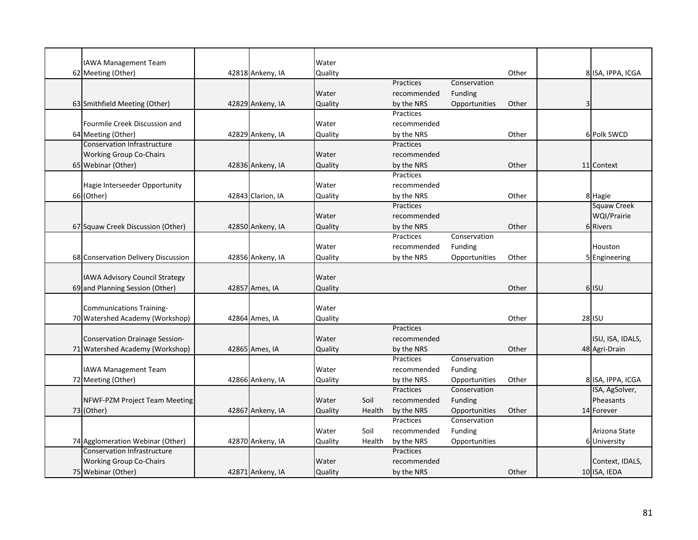| IAWA Management Team                  |                   | Water   |        |                  |               |       |                    |
|---------------------------------------|-------------------|---------|--------|------------------|---------------|-------|--------------------|
| 62 Meeting (Other)                    | 42818 Ankeny, IA  | Quality |        |                  |               | Other | 8 ISA, IPPA, ICGA  |
|                                       |                   |         |        | Practices        | Conservation  |       |                    |
|                                       |                   | Water   |        | recommended      | Funding       |       |                    |
| 63 Smithfield Meeting (Other)         | 42829 Ankeny, IA  | Quality |        | by the NRS       | Opportunities | Other |                    |
|                                       |                   |         |        | Practices        |               |       |                    |
| Fourmile Creek Discussion and         |                   | Water   |        | recommended      |               |       |                    |
| 64 Meeting (Other)                    | 42829 Ankeny, IA  | Quality |        | by the NRS       |               | Other | 6 Polk SWCD        |
| <b>Conservation Infrastructure</b>    |                   |         |        | Practices        |               |       |                    |
| <b>Working Group Co-Chairs</b>        |                   | Water   |        | recommended      |               |       |                    |
| 65 Webinar (Other)                    | 42836 Ankeny, IA  | Quality |        | by the NRS       |               | Other | 11 Context         |
|                                       |                   |         |        | Practices        |               |       |                    |
| Hagie Interseeder Opportunity         |                   | Water   |        | recommended      |               |       |                    |
| 66 (Other)                            | 42843 Clarion, IA | Quality |        | by the NRS       |               | Other | 8 Hagie            |
|                                       |                   |         |        | Practices        |               |       | <b>Squaw Creek</b> |
|                                       |                   | Water   |        | recommended      |               |       | WQI/Prairie        |
| 67 Squaw Creek Discussion (Other)     | 42850 Ankeny, IA  | Quality |        | by the NRS       |               | Other | 6 Rivers           |
|                                       |                   |         |        | Practices        | Conservation  |       |                    |
|                                       |                   | Water   |        | recommended      | Funding       |       | Houston            |
| 68 Conservation Delivery Discussion   | 42856 Ankeny, IA  | Quality |        | by the NRS       | Opportunities | Other | 5 Engineering      |
|                                       |                   |         |        |                  |               |       |                    |
| IAWA Advisory Council Strategy        |                   | Water   |        |                  |               |       |                    |
| 69 and Planning Session (Other)       | 42857 Ames, IA    | Quality |        |                  |               | Other | 6 ISU              |
|                                       |                   |         |        |                  |               |       |                    |
| <b>Communications Training-</b>       |                   | Water   |        |                  |               |       |                    |
| 70 Watershed Academy (Workshop)       | 42864 Ames, IA    | Quality |        |                  |               | Other | <b>28 ISU</b>      |
|                                       |                   |         |        | <b>Practices</b> |               |       |                    |
| <b>Conservation Drainage Session-</b> |                   | Water   |        | recommended      |               |       | ISU, ISA, IDALS,   |
| 71 Watershed Academy (Workshop)       | 42865 Ames, IA    | Quality |        | by the NRS       |               | Other | 48 Agri-Drain      |
|                                       |                   |         |        | Practices        | Conservation  |       |                    |
| <b>IAWA Management Team</b>           |                   | Water   |        | recommended      | Funding       |       |                    |
| 72 Meeting (Other)                    | 42866 Ankeny, IA  | Quality |        | by the NRS       | Opportunities | Other | 8 ISA, IPPA, ICGA  |
|                                       |                   |         |        | Practices        | Conservation  |       | ISA, AgSolver,     |
| NFWF-PZM Project Team Meeting         |                   | Water   | Soil   | recommended      | Funding       |       | Pheasants          |
| 73 (Other)                            | 42867 Ankeny, IA  | Quality | Health | by the NRS       | Opportunities | Other | 14 Forever         |
|                                       |                   |         |        | Practices        | Conservation  |       |                    |
|                                       |                   | Water   | Soil   | recommended      | Funding       |       | Arizona State      |
| 74 Agglomeration Webinar (Other)      | 42870 Ankeny, IA  | Quality | Health | by the NRS       | Opportunities |       | 6 University       |
| Conservation Infrastructure           |                   |         |        | Practices        |               |       |                    |
| <b>Working Group Co-Chairs</b>        |                   | Water   |        | recommended      |               |       | Context, IDALS,    |
| 75 Webinar (Other)                    | 42871 Ankeny, IA  | Quality |        | by the NRS       |               | Other | 10 ISA, IEDA       |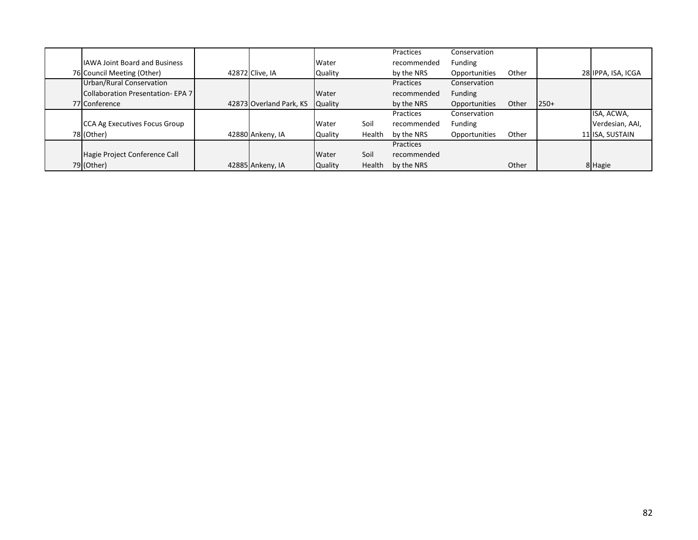|                                      |                         |                |        | Practices   | Conservation  |       |        |                    |
|--------------------------------------|-------------------------|----------------|--------|-------------|---------------|-------|--------|--------------------|
| <b>IAWA Joint Board and Business</b> |                         | Water          |        | recommended | Funding       |       |        |                    |
| 76 Council Meeting (Other)           | 42872 Clive, IA         | Quality        |        | by the NRS  | Opportunities | Other |        | 28 IPPA, ISA, ICGA |
| Urban/Rural Conservation             |                         |                |        | Practices   | Conservation  |       |        |                    |
| Collaboration Presentation-EPA 7     |                         | Water          |        | recommended | Funding       |       |        |                    |
| 77 Conference                        | 42873 Overland Park, KS | <b>Quality</b> |        | by the NRS  | Opportunities | Other | $250+$ |                    |
|                                      |                         |                |        | Practices   | Conservation  |       |        | ISA, ACWA,         |
| CCA Ag Executives Focus Group        |                         | Water          | Soil   | recommended | Funding       |       |        | Verdesian, AAI,    |
| 78 (Other)                           | 42880 Ankeny, IA        | <b>Quality</b> | Health | by the NRS  | Opportunities | Other |        | 11 ISA, SUSTAIN    |
|                                      |                         |                |        | Practices   |               |       |        |                    |
| Hagie Project Conference Call        |                         | Water          | Soil   | recommended |               |       |        |                    |
| 79 (Other)                           | 42885 Ankeny, IA        | <b>Quality</b> | Health | by the NRS  |               | Other |        | 8 Hagie            |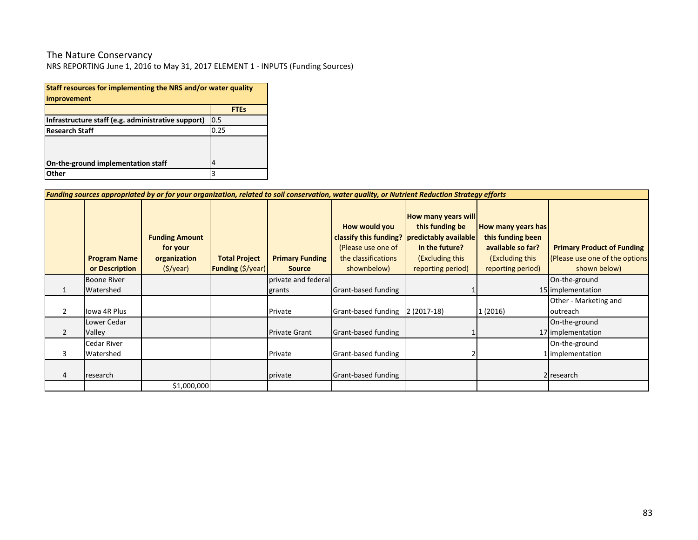#### The Nature Conservancy

NRS REPORTING June 1, 2016 to May 31, 2017 ELEMENT 1 - INPUTS (Funding Sources)

| Staff resources for implementing the NRS and/or water quality<br>improvement |             |  |  |  |  |  |  |  |
|------------------------------------------------------------------------------|-------------|--|--|--|--|--|--|--|
|                                                                              | <b>FTEs</b> |  |  |  |  |  |  |  |
| Infrastructure staff (e.g. administrative support)                           | 0.5         |  |  |  |  |  |  |  |
| <b>Research Staff</b>                                                        | 0.25        |  |  |  |  |  |  |  |
|                                                                              |             |  |  |  |  |  |  |  |
| On-the-ground implementation staff                                           | 4           |  |  |  |  |  |  |  |
| Other                                                                        | 3           |  |  |  |  |  |  |  |

|                | Funding sources appropriated by or for your organization, related to soil conservation, water quality, or Nutrient Reduction Strategy efforts |                                                               |                                                  |                                         |                                                                           |                                                                                                                                                             |                                                                                                      |                                                                                     |  |  |  |  |
|----------------|-----------------------------------------------------------------------------------------------------------------------------------------------|---------------------------------------------------------------|--------------------------------------------------|-----------------------------------------|---------------------------------------------------------------------------|-------------------------------------------------------------------------------------------------------------------------------------------------------------|------------------------------------------------------------------------------------------------------|-------------------------------------------------------------------------------------|--|--|--|--|
|                | <b>Program Name</b><br>or Description                                                                                                         | <b>Funding Amount</b><br>for your<br>organization<br>(S/year) | <b>Total Project</b><br><b>Funding (\$/year)</b> | <b>Primary Funding</b><br><b>Source</b> | How would you<br>(Please use one of<br>the classifications<br>shownbelow) | <b>How many years will</b><br>this funding be<br>classify this funding?   predictably available  <br>in the future?<br>(Excluding this<br>reporting period) | How many years has<br>this funding been<br>available so far?<br>(Excluding this<br>reporting period) | <b>Primary Product of Funding</b><br>(Please use one of the options<br>shown below) |  |  |  |  |
|                | <b>Boone River</b>                                                                                                                            |                                                               |                                                  | private and federal                     |                                                                           |                                                                                                                                                             |                                                                                                      | On-the-ground                                                                       |  |  |  |  |
|                | Watershed                                                                                                                                     |                                                               |                                                  | grants                                  | Grant-based funding                                                       |                                                                                                                                                             |                                                                                                      | 15 implementation                                                                   |  |  |  |  |
| 2              | Iowa 4R Plus                                                                                                                                  |                                                               |                                                  | Private                                 | Grant-based funding                                                       | $2(2017-18)$                                                                                                                                                | 1 (2016)                                                                                             | Other - Marketing and<br>outreach                                                   |  |  |  |  |
| $\overline{2}$ | Lower Cedar<br>Valley                                                                                                                         |                                                               |                                                  | <b>Private Grant</b>                    | Grant-based funding                                                       |                                                                                                                                                             |                                                                                                      | On-the-ground<br>17 implementation                                                  |  |  |  |  |
| 3              | <b>Cedar River</b><br>Watershed                                                                                                               |                                                               |                                                  | Private                                 | Grant-based funding                                                       |                                                                                                                                                             |                                                                                                      | On-the-ground<br>1 implementation                                                   |  |  |  |  |
| 4              | research                                                                                                                                      |                                                               |                                                  | private                                 | Grant-based funding                                                       |                                                                                                                                                             |                                                                                                      | 2 research                                                                          |  |  |  |  |
|                |                                                                                                                                               | \$1,000,000                                                   |                                                  |                                         |                                                                           |                                                                                                                                                             |                                                                                                      |                                                                                     |  |  |  |  |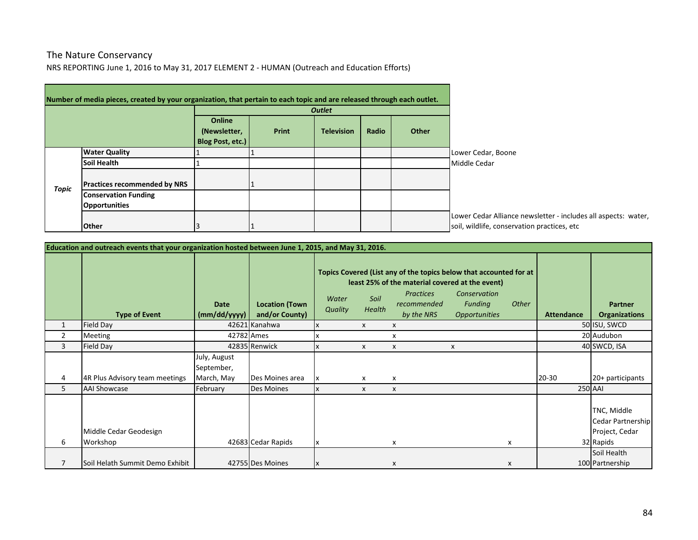### NRS REPORTING June 1, 2016 to May 31, 2017 ELEMENT 2 - HUMAN (Outreach and Education Efforts) The Nature Conservancy

|              | Number of media pieces, created by your organization, that pertain to each topic and are released through each outlet. |                                            |              |                   |       |       |                                                                                                               |
|--------------|------------------------------------------------------------------------------------------------------------------------|--------------------------------------------|--------------|-------------------|-------|-------|---------------------------------------------------------------------------------------------------------------|
|              |                                                                                                                        |                                            |              |                   |       |       |                                                                                                               |
|              |                                                                                                                        | Online<br>(Newsletter,<br>Blog Post, etc.) | <b>Print</b> | <b>Television</b> | Radio | Other |                                                                                                               |
|              | <b>Water Quality</b>                                                                                                   |                                            |              |                   |       |       | Lower Cedar, Boone                                                                                            |
|              | <b>Soil Health</b>                                                                                                     |                                            |              |                   |       |       | Middle Cedar                                                                                                  |
| <b>Topic</b> | <b>Practices recommended by NRS</b>                                                                                    |                                            |              |                   |       |       |                                                                                                               |
|              | <b>Conservation Funding</b>                                                                                            |                                            |              |                   |       |       |                                                                                                               |
|              | <b>Opportunities</b>                                                                                                   |                                            |              |                   |       |       |                                                                                                               |
|              | <b>Other</b>                                                                                                           |                                            |              |                   |       |       | Lower Cedar Alliance newsletter - includes all aspects: water,<br>soil, wildlife, conservation practices, etc |

| Education and outreach events that your organization hosted between June 1, 2015, and May 31, 2016. |                                    |                                          |                                         |                         |                           |                                                      |                                                                                                                                                                                          |                   |                                                                 |  |  |
|-----------------------------------------------------------------------------------------------------|------------------------------------|------------------------------------------|-----------------------------------------|-------------------------|---------------------------|------------------------------------------------------|------------------------------------------------------------------------------------------------------------------------------------------------------------------------------------------|-------------------|-----------------------------------------------------------------|--|--|
|                                                                                                     | <b>Type of Event</b>               | <b>Date</b><br>(mm/dd/yyyy)              | <b>Location (Town</b><br>and/or County) | Water<br><b>Quality</b> | Soil<br>Health            | <b>Practices</b><br><i>recommended</i><br>by the NRS | Topics Covered (List any of the topics below that accounted for at<br>least 25% of the material covered at the event)<br>Conservation<br>Other<br><b>Funding</b><br><b>Opportunities</b> | <b>Attendance</b> | <b>Partner</b><br><b>Organizations</b>                          |  |  |
| 1                                                                                                   | Field Day                          |                                          | 42621 Kanahwa                           |                         | X                         | X                                                    |                                                                                                                                                                                          |                   | 50 ISU, SWCD                                                    |  |  |
| 2                                                                                                   | Meeting                            | 42782 Ames                               |                                         |                         |                           | x                                                    |                                                                                                                                                                                          |                   | 20 Audubon                                                      |  |  |
| 3                                                                                                   | Field Day                          |                                          | 42835 Renwick                           |                         | $\boldsymbol{\mathsf{x}}$ | X                                                    | X                                                                                                                                                                                        |                   | 40 SWCD, ISA                                                    |  |  |
| 4                                                                                                   | 4R Plus Advisory team meetings     | July, August<br>September,<br>March, May | Des Moines area                         |                         | x                         | х                                                    |                                                                                                                                                                                          | $20 - 30$         | 20+ participants                                                |  |  |
| 5                                                                                                   | <b>AAI Showcase</b>                | February                                 | <b>Des Moines</b>                       |                         | X                         | $\boldsymbol{\mathsf{x}}$                            |                                                                                                                                                                                          |                   | <b>250 AAI</b>                                                  |  |  |
| 6                                                                                                   | Middle Cedar Geodesign<br>Workshop |                                          | 42683 Cedar Rapids                      |                         |                           | x                                                    | x                                                                                                                                                                                        |                   | TNC, Middle<br>Cedar Partnership<br>Project, Cedar<br>32 Rapids |  |  |
|                                                                                                     |                                    |                                          |                                         |                         |                           |                                                      |                                                                                                                                                                                          |                   | Soil Health                                                     |  |  |
|                                                                                                     | Soil Helath Summit Demo Exhibit    |                                          | 42755 Des Moines                        |                         |                           | X                                                    | X                                                                                                                                                                                        |                   | 100 Partnership                                                 |  |  |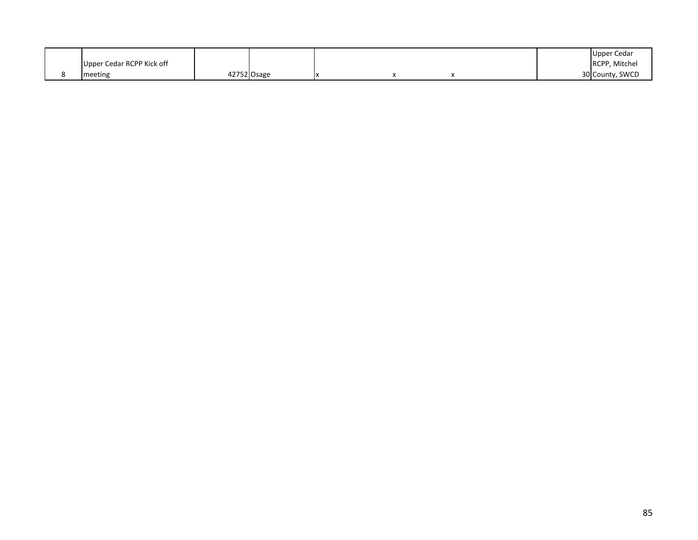|                           |             |  |  | Upper Cedar     |
|---------------------------|-------------|--|--|-----------------|
| Upper Cedar RCPP Kick off |             |  |  | RCPP, Mitchel   |
| meeting                   | 42752 Osage |  |  | 30 County, SWCD |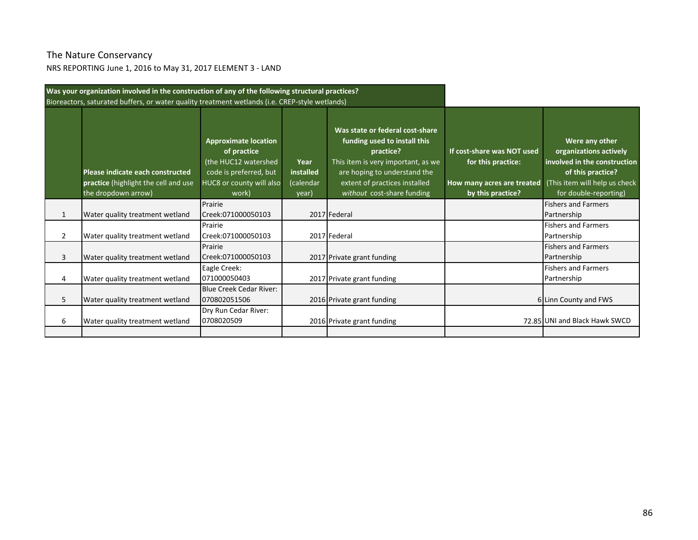# The Nature Conservancy

NRS REPORTING June 1, 2016 to May 31, 2017 ELEMENT 3 - LAND

|                | Was your organization involved in the construction of any of the following structural practices? |                                                                                                                                   |                                         |                                                                                                                                                                                                                   |                                                                                                     |                                                                                                                                                         |
|----------------|--------------------------------------------------------------------------------------------------|-----------------------------------------------------------------------------------------------------------------------------------|-----------------------------------------|-------------------------------------------------------------------------------------------------------------------------------------------------------------------------------------------------------------------|-----------------------------------------------------------------------------------------------------|---------------------------------------------------------------------------------------------------------------------------------------------------------|
|                | Bioreactors, saturated buffers, or water quality treatment wetlands (i.e. CREP-style wetlands)   |                                                                                                                                   |                                         |                                                                                                                                                                                                                   |                                                                                                     |                                                                                                                                                         |
|                | Please indicate each constructed<br>practice (highlight the cell and use<br>the dropdown arrow)  | <b>Approximate location</b><br>of practice<br>(the HUC12 watershed<br>code is preferred, but<br>HUC8 or county will also<br>work) | Year<br>installed<br>(calendar<br>year) | Was state or federal cost-share<br>funding used to install this<br>practice?<br>This item is very important, as we<br>are hoping to understand the<br>extent of practices installed<br>without cost-share funding | If cost-share was NOT used<br>for this practice:<br>How many acres are treated<br>by this practice? | Were any other<br>organizations actively<br>involved in the construction<br>of this practice?<br>(This item will help us check<br>for double-reporting) |
|                | Water quality treatment wetland                                                                  | Prairie<br>Creek:071000050103                                                                                                     |                                         | 2017 Federal                                                                                                                                                                                                      |                                                                                                     | <b>Fishers and Farmers</b><br>Partnership                                                                                                               |
| $\overline{2}$ | Water quality treatment wetland                                                                  | Prairie<br>Creek:071000050103                                                                                                     |                                         | 2017 Federal                                                                                                                                                                                                      |                                                                                                     | <b>Fishers and Farmers</b><br>Partnership                                                                                                               |
| 3              | Water quality treatment wetland                                                                  | Prairie<br>Creek:071000050103                                                                                                     |                                         | 2017 Private grant funding                                                                                                                                                                                        |                                                                                                     | <b>Fishers and Farmers</b><br>Partnership                                                                                                               |
| 4              | Water quality treatment wetland                                                                  | Eagle Creek:<br>071000050403                                                                                                      |                                         | 2017 Private grant funding                                                                                                                                                                                        |                                                                                                     | <b>Fishers and Farmers</b><br>Partnership                                                                                                               |
| 5              | Water quality treatment wetland                                                                  | Blue Creek Cedar River:<br>070802051506                                                                                           |                                         | 2016 Private grant funding                                                                                                                                                                                        |                                                                                                     | 6 Linn County and FWS                                                                                                                                   |
| 6              | Water quality treatment wetland                                                                  | Dry Run Cedar River:<br>0708020509                                                                                                |                                         | 2016 Private grant funding                                                                                                                                                                                        |                                                                                                     | 72.85 UNI and Black Hawk SWCD                                                                                                                           |
|                |                                                                                                  |                                                                                                                                   |                                         |                                                                                                                                                                                                                   |                                                                                                     |                                                                                                                                                         |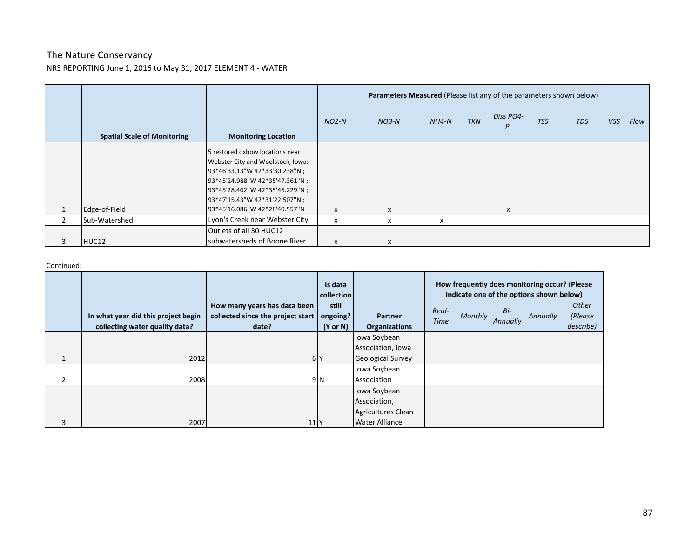## The Nature Conservancy NRS REPORTING June 1, 2016 to May 31, 2017 ELEMENT 4 - WATER

|                                    |                                                                      |         | Parameters Measured (Please list any of the parameters shown below) |         |            |                |            |     |     |      |
|------------------------------------|----------------------------------------------------------------------|---------|---------------------------------------------------------------------|---------|------------|----------------|------------|-----|-----|------|
| <b>Spatial Scale of Monitoring</b> | <b>Monitoring Location</b>                                           | $NO2-N$ | $NO3-N$                                                             | $NH4-N$ | <b>TKN</b> | Diss PO4-<br>P | <b>TSS</b> | TDS | VSS | Flow |
|                                    |                                                                      |         |                                                                     |         |            |                |            |     |     |      |
|                                    | 5 restored oxbow locations near<br>Webster City and Woolstock, Iowa: |         |                                                                     |         |            |                |            |     |     |      |
|                                    | 93*46'33.13"W 42*33'30.238"N;                                        |         |                                                                     |         |            |                |            |     |     |      |
|                                    | 93*45'24.988"W 42*35'47.361"N ;                                      |         |                                                                     |         |            |                |            |     |     |      |
|                                    | 93*45'28.402"W 42*35'46.229"N;                                       |         |                                                                     |         |            |                |            |     |     |      |
|                                    | 93*47'15.43"W 42*31'22.507"N ;                                       |         |                                                                     |         |            |                |            |     |     |      |
| Edge-of-Field                      | 93*45'16.086"W 42*28'40.557"N                                        | X       | X                                                                   |         |            | X              |            |     |     |      |
| Sub-Watershed                      | Lyon's Creek near Webster City                                       | x       | x                                                                   | x       |            |                |            |     |     |      |
|                                    | Outlets of all 30 HUC12                                              |         |                                                                     |         |            |                |            |     |     |      |
| HUC12                              | subwatersheds of Boone River                                         | x       | X                                                                   |         |            |                |            |     |     |      |

#### Continued:

|                | In what year did this project begin<br>collecting water quality data? | How many years has data been<br>collected since the project start<br>date? | Is data<br>collection<br>still<br>ongoing?<br>$(Y \text{ or } N)$ | <b>Partner</b><br><b>Organizations</b> | Real-<br><b>Time</b> | Monthly | Bi-<br>Annually | How frequently does monitoring occur? (Please<br>indicate one of the options shown below)<br>Annually | <b>Other</b><br>(Please<br>describe) |
|----------------|-----------------------------------------------------------------------|----------------------------------------------------------------------------|-------------------------------------------------------------------|----------------------------------------|----------------------|---------|-----------------|-------------------------------------------------------------------------------------------------------|--------------------------------------|
|                |                                                                       |                                                                            |                                                                   | Iowa Soybean                           |                      |         |                 |                                                                                                       |                                      |
|                |                                                                       |                                                                            |                                                                   | Association, Iowa                      |                      |         |                 |                                                                                                       |                                      |
|                | 2012                                                                  | 6 <sup>N</sup>                                                             |                                                                   | <b>Geological Survey</b>               |                      |         |                 |                                                                                                       |                                      |
|                |                                                                       |                                                                            |                                                                   | Iowa Soybean                           |                      |         |                 |                                                                                                       |                                      |
| $\overline{2}$ | 2008                                                                  |                                                                            | 9 N                                                               | Association                            |                      |         |                 |                                                                                                       |                                      |
|                |                                                                       |                                                                            |                                                                   | Iowa Soybean                           |                      |         |                 |                                                                                                       |                                      |
|                |                                                                       |                                                                            |                                                                   | Association,                           |                      |         |                 |                                                                                                       |                                      |
|                |                                                                       |                                                                            |                                                                   | Agricultures Clean                     |                      |         |                 |                                                                                                       |                                      |
| 3              | 2007                                                                  | 11                                                                         |                                                                   | <b>Water Alliance</b>                  |                      |         |                 |                                                                                                       |                                      |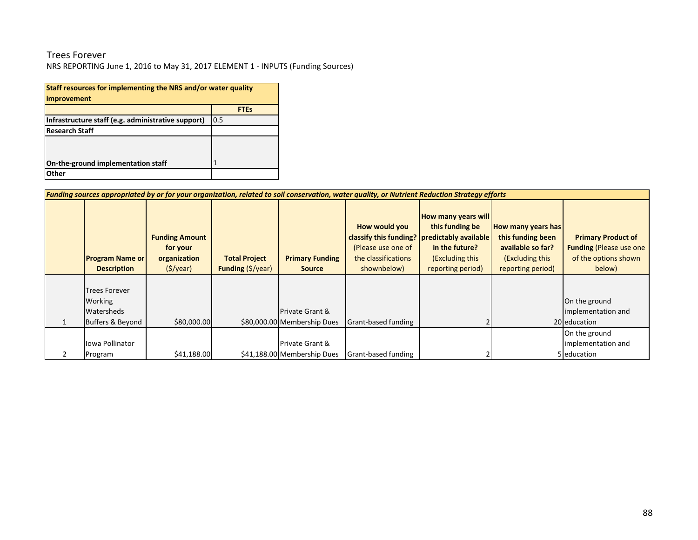## Trees Forever

NRS REPORTING June 1, 2016 to May 31, 2017 ELEMENT 1 - INPUTS (Funding Sources)

| Staff resources for implementing the NRS and/or water quality |             |  |  |  |  |  |  |  |  |
|---------------------------------------------------------------|-------------|--|--|--|--|--|--|--|--|
| improvement                                                   |             |  |  |  |  |  |  |  |  |
|                                                               | <b>FTEs</b> |  |  |  |  |  |  |  |  |
| Infrastructure staff (e.g. administrative support)            | 0.5         |  |  |  |  |  |  |  |  |
| <b>Research Staff</b>                                         |             |  |  |  |  |  |  |  |  |
|                                                               |             |  |  |  |  |  |  |  |  |
|                                                               |             |  |  |  |  |  |  |  |  |
| On-the-ground implementation staff                            |             |  |  |  |  |  |  |  |  |
| Other                                                         |             |  |  |  |  |  |  |  |  |

| Funding sources appropriated by or for your organization, related to soil conservation, water quality, or Nutrient Reduction Strategy efforts |                                                                              |                                                  |                                                           |                                                                                                                           |                                                                                                         |                                                                                                      |                                                                                               |  |  |  |  |
|-----------------------------------------------------------------------------------------------------------------------------------------------|------------------------------------------------------------------------------|--------------------------------------------------|-----------------------------------------------------------|---------------------------------------------------------------------------------------------------------------------------|---------------------------------------------------------------------------------------------------------|------------------------------------------------------------------------------------------------------|-----------------------------------------------------------------------------------------------|--|--|--|--|
| <b>Program Name or</b><br><b>Description</b>                                                                                                  | <b>Funding Amount</b><br>for your<br>organization<br>$(\frac{1}{2})\sqrt{2}$ | <b>Total Project</b><br><b>Funding (\$/year)</b> | <b>Primary Funding</b><br><b>Source</b>                   | How would you<br>classify this funding? predictably available<br>(Please use one of<br>the classifications<br>shownbelow) | <b>How many years will</b><br>this funding be<br>in the future?<br>(Excluding this<br>reporting period) | How many years has<br>this funding been<br>available so far?<br>(Excluding this<br>reporting period) | <b>Primary Product of</b><br><b>Funding (Please use one</b><br>of the options shown<br>below) |  |  |  |  |
| <b>Trees Forever</b><br>Working<br>Watersheds<br>Buffers & Beyond                                                                             | \$80,000.00                                                                  |                                                  | <b>Private Grant &amp;</b><br>\$80,000.00 Membership Dues | Grant-based funding                                                                                                       |                                                                                                         |                                                                                                      | On the ground<br>implementation and<br>20 education                                           |  |  |  |  |
| Iowa Pollinator<br>Program                                                                                                                    | \$41,188.00                                                                  |                                                  | <b>Private Grant &amp;</b><br>\$41,188.00 Membership Dues | Grant-based funding                                                                                                       |                                                                                                         |                                                                                                      | On the ground<br>implementation and<br>5 education                                            |  |  |  |  |